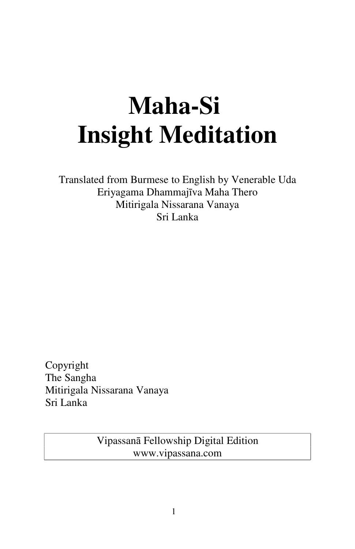# **Maha-Si Insight Meditation**

Translated from Burmese to English by Venerable Uda Eriyagama Dhammajīva Maha Thero Mitirigala Nissarana Vanaya Sri Lanka

Copyright The Sangha Mitirigala Nissarana Vanaya Sri Lanka

> Vipassanā Fellowship Digital Edition www.vipassana.com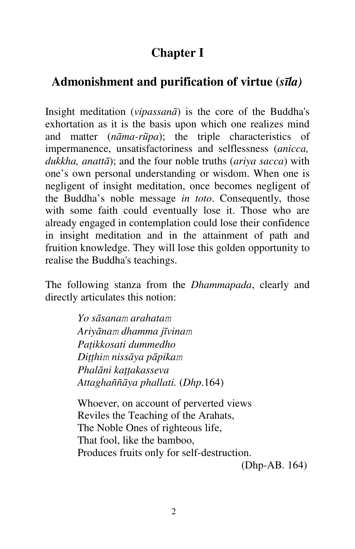# **Chapter I**

# **Admonishment and purification of virtue (***sīla)*

Insight meditation (*vipassanā*) is the core of the Buddha's exhortation as it is the basis upon which one realizes mind and matter (*nāma-rūpa*); the triple characteristics of impermanence, unsatisfactoriness and selflessness (*anicca, dukkha, anattā*); and the four noble truths (*ariya sacca*) with one's own personal understanding or wisdom. When one is negligent of insight meditation, once becomes negligent of the Buddha's noble message *in toto*. Consequently, those with some faith could eventually lose it. Those who are already engaged in contemplation could lose their confidence in insight meditation and in the attainment of path and fruition knowledge. They will lose this golden opportunity to realise the Buddha's teachings.

The following stanza from the *Dhammapada*, clearly and directly articulates this notion:

> *Yo sāsanam arahatam Ariyānam dhamma jīvinam Paţikkosati dummedho Diţţhim nissāya pāpikam Phalāni kaţţakasseva Attaghaññāya phallati.* (*Dhp*.164)

Whoever, on account of perverted views Reviles the Teaching of the Arahats, The Noble Ones of righteous life, That fool, like the bamboo, Produces fruits only for self-destruction.

(Dhp-AB. 164)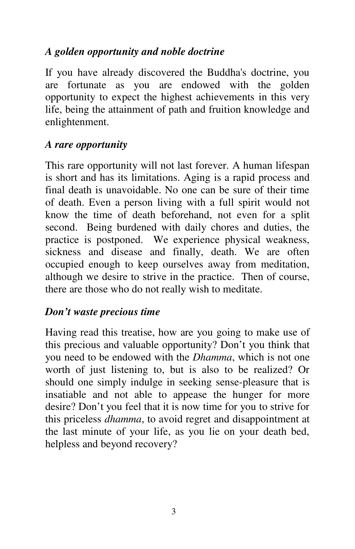#### *A golden opportunity and noble doctrine*

If you have already discovered the Buddha's doctrine, you are fortunate as you are endowed with the golden opportunity to expect the highest achievements in this very life, being the attainment of path and fruition knowledge and enlightenment.

#### *A rare opportunity*

This rare opportunity will not last forever. A human lifespan is short and has its limitations. Aging is a rapid process and final death is unavoidable. No one can be sure of their time of death. Even a person living with a full spirit would not know the time of death beforehand, not even for a split second. Being burdened with daily chores and duties, the practice is postponed. We experience physical weakness, sickness and disease and finally, death. We are often occupied enough to keep ourselves away from meditation, although we desire to strive in the practice. Then of course, there are those who do not really wish to meditate.

#### *Don't waste precious time*

Having read this treatise, how are you going to make use of this precious and valuable opportunity? Don't you think that you need to be endowed with the *Dhamma*, which is not one worth of just listening to, but is also to be realized? Or should one simply indulge in seeking sense-pleasure that is insatiable and not able to appease the hunger for more desire? Don't you feel that it is now time for you to strive for this priceless *dhamma*, to avoid regret and disappointment at the last minute of your life, as you lie on your death bed, helpless and beyond recovery?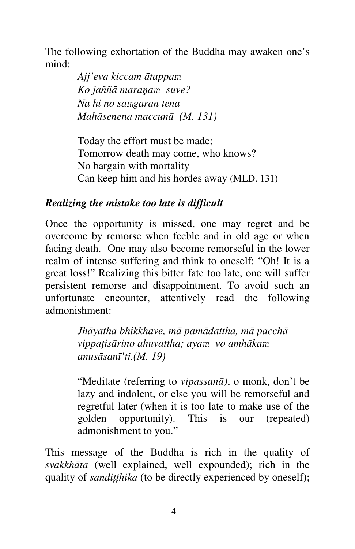The following exhortation of the Buddha may awaken one's mind:

> *Ajj'eva kiccam ātappam Ko jaññā maraņam suve? Na hi no samgaran tena Mahāsenena maccunā (M. 131)*

Today the effort must be made; Tomorrow death may come, who knows? No bargain with mortality Can keep him and his hordes away (MLD. 131)

#### *Realizing the mistake too late is difficult*

Once the opportunity is missed, one may regret and be overcome by remorse when feeble and in old age or when facing death. One may also become remorseful in the lower realm of intense suffering and think to oneself: "Oh! It is a great loss!" Realizing this bitter fate too late, one will suffer persistent remorse and disappointment. To avoid such an unfortunate encounter, attentively read the following admonishment:

> *Jhāyatha bhikkhave, mā pamādattha, mā pacchā vippaţisārino ahuvattha; ayam vo amhākam anusāsanī'ti.(M. 19)*

"Meditate (referring to *vipassanā)*, o monk, don't be lazy and indolent, or else you will be remorseful and regretful later (when it is too late to make use of the golden opportunity). This is our (repeated) admonishment to you."

This message of the Buddha is rich in the quality of *svakkhāta* (well explained, well expounded); rich in the quality of *sandiţţhika* (to be directly experienced by oneself);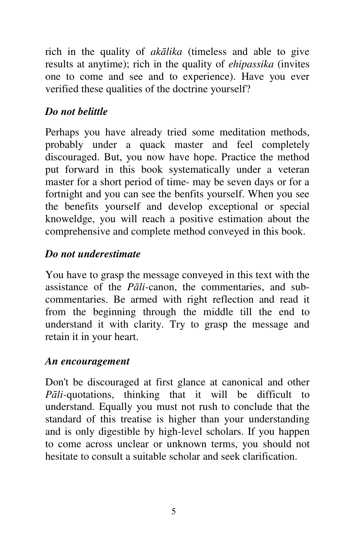rich in the quality of *akālika* (timeless and able to give results at anytime); rich in the quality of *ehipassika* (invites one to come and see and to experience). Have you ever verified these qualities of the doctrine yourself?

## *Do not belittle*

Perhaps you have already tried some meditation methods, probably under a quack master and feel completely discouraged. But, you now have hope. Practice the method put forward in this book systematically under a veteran master for a short period of time- may be seven days or for a fortnight and you can see the benfits yourself. When you see the benefits yourself and develop exceptional or special knoweldge, you will reach a positive estimation about the comprehensive and complete method conveyed in this book.

#### *Do not underestimate*

You have to grasp the message conveyed in this text with the assistance of the *Pāli-*canon, the commentaries, and subcommentaries. Be armed with right reflection and read it from the beginning through the middle till the end to understand it with clarity. Try to grasp the message and retain it in your heart.

#### *An encouragement*

Don't be discouraged at first glance at canonical and other *Pāli-*quotations, thinking that it will be difficult to understand. Equally you must not rush to conclude that the standard of this treatise is higher than your understanding and is only digestible by high-level scholars. If you happen to come across unclear or unknown terms, you should not hesitate to consult a suitable scholar and seek clarification.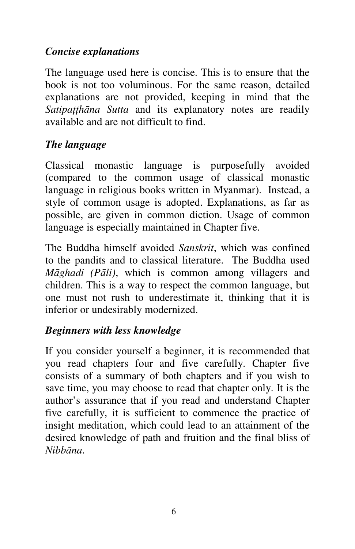#### *Concise explanations*

The language used here is concise. This is to ensure that the book is not too voluminous. For the same reason, detailed explanations are not provided, keeping in mind that the *Satipaţţhāna Sutta* and its explanatory notes are readily available and are not difficult to find.

#### *The language*

Classical monastic language is purposefully avoided (compared to the common usage of classical monastic language in religious books written in Myanmar). Instead, a style of common usage is adopted. Explanations, as far as possible, are given in common diction. Usage of common language is especially maintained in Chapter five.

The Buddha himself avoided *Sanskrit*, which was confined to the pandits and to classical literature. The Buddha used *Māghadi (Pāli)*, which is common among villagers and children. This is a way to respect the common language, but one must not rush to underestimate it, thinking that it is inferior or undesirably modernized.

#### *Beginners with less knowledge*

If you consider yourself a beginner, it is recommended that you read chapters four and five carefully. Chapter five consists of a summary of both chapters and if you wish to save time, you may choose to read that chapter only. It is the author's assurance that if you read and understand Chapter five carefully, it is sufficient to commence the practice of insight meditation, which could lead to an attainment of the desired knowledge of path and fruition and the final bliss of *Nibbāna*.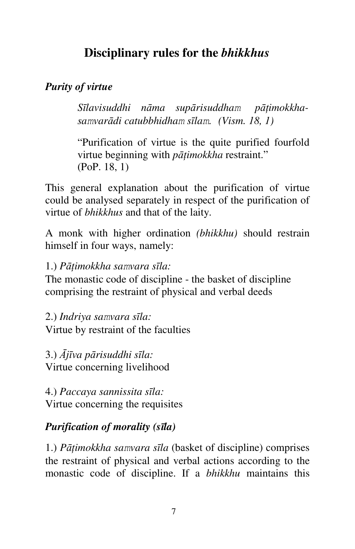# **Disciplinary rules for the** *bhikkhus*

#### *Purity of virtue*

*Sīlavisuddhi nāma supārisuddham pāţimokkhasamvarādi catubbhidham sīlam. (Vism. 18, 1)*

"Purification of virtue is the quite purified fourfold virtue beginning with *pāţimokkha* restraint." (PoP. 18, 1)

This general explanation about the purification of virtue could be analysed separately in respect of the purification of virtue of *bhikkhus* and that of the laity.

A monk with higher ordination *(bhikkhu)* should restrain himself in four ways, namely:

1.) *Pāţimokkha samvara sīla:*

The monastic code of discipline - the basket of discipline comprising the restraint of physical and verbal deeds

2.) *Indriya samvara sīla:* Virtue by restraint of the faculties

3.) *Ājīva pārisuddhi sīla:* Virtue concerning livelihood

4.) *Paccaya sannissita sīla:* Virtue concerning the requisites

#### *Purification of morality (sīla)*

1.) *Pāţimokkha samvara sīla* (basket of discipline) comprises the restraint of physical and verbal actions according to the monastic code of discipline. If a *bhikkhu* maintains this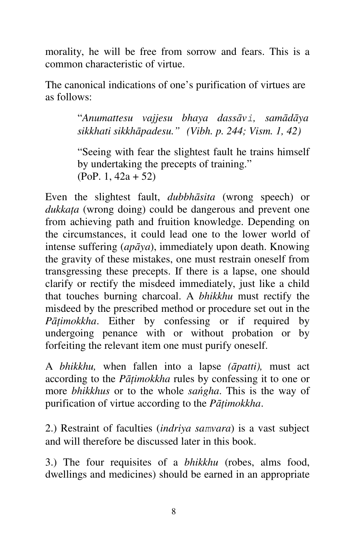morality, he will be free from sorrow and fears. This is a common characteristic of virtue.

The canonical indications of one's purification of virtues are as follows:

> "*Anumattesu vajjesu bhaya dassāvi, samādāya sikkhati sikkhāpadesu." (Vibh. p. 244; Vism. 1, 42)*

> "Seeing with fear the slightest fault he trains himself by undertaking the precepts of training." (PoP. 1, 42a + 52)

Even the slightest fault, *dubbhāsita* (wrong speech) or *dukkaţa* (wrong doing) could be dangerous and prevent one from achieving path and fruition knowledge. Depending on the circumstances, it could lead one to the lower world of intense suffering (*apāya*), immediately upon death. Knowing the gravity of these mistakes, one must restrain oneself from transgressing these precepts. If there is a lapse, one should clarify or rectify the misdeed immediately, just like a child that touches burning charcoal. A *bhikkhu* must rectify the misdeed by the prescribed method or procedure set out in the *Pāţimokkha*. Either by confessing or if required by undergoing penance with or without probation or by forfeiting the relevant item one must purify oneself.

A *bhikkhu,* when fallen into a lapse *(āpatti),* must act according to the *Pāţimokkha* rules by confessing it to one or more *bhikkhus* or to the whole *sańgha*. This is the way of purification of virtue according to the *Pāţimokkha*.

2.) Restraint of faculties (*indriya samvara*) is a vast subject and will therefore be discussed later in this book.

3.) The four requisites of a *bhikkhu* (robes, alms food, dwellings and medicines) should be earned in an appropriate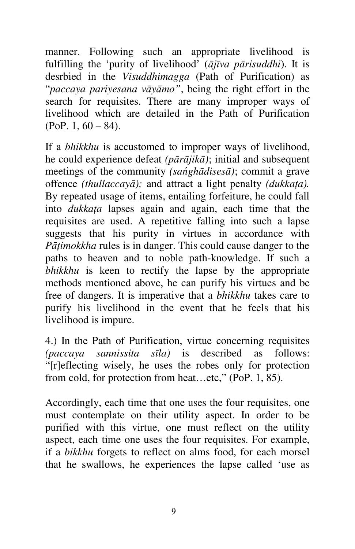manner. Following such an appropriate livelihood is fulfilling the 'purity of livelihood' (*ājīva pārisuddhi*). It is desrbied in the *Visuddhimagga* (Path of Purification) as "*paccaya pariyesana vāyāmo"*, being the right effort in the search for requisites. There are many improper ways of livelihood which are detailed in the Path of Purification  $(PoP, 1, 60 - 84)$ .

If a *bhikkhu* is accustomed to improper ways of livelihood, he could experience defeat *(pārājikā)*; initial and subsequent meetings of the community *(sańghādisesā)*; commit a grave offence *(thullaccayā);* and attract a light penalty *(dukkaţa).*  By repeated usage of items, entailing forfeiture, he could fall into *dukkaţa* lapses again and again, each time that the requisites are used. A repetitive falling into such a lapse suggests that his purity in virtues in accordance with *Pātimokkha* rules is in danger. This could cause danger to the paths to heaven and to noble path-knowledge. If such a *bhikkhu* is keen to rectify the lapse by the appropriate methods mentioned above, he can purify his virtues and be free of dangers. It is imperative that a *bhikkhu* takes care to purify his livelihood in the event that he feels that his livelihood is impure.

4.) In the Path of Purification, virtue concerning requisites *(paccaya sannissita sīla)* is described as follows: "[r]eflecting wisely, he uses the robes only for protection from cold, for protection from heat...etc," (PoP. 1, 85).

Accordingly, each time that one uses the four requisites, one must contemplate on their utility aspect. In order to be purified with this virtue, one must reflect on the utility aspect, each time one uses the four requisites. For example, if a *bikkhu* forgets to reflect on alms food, for each morsel that he swallows, he experiences the lapse called 'use as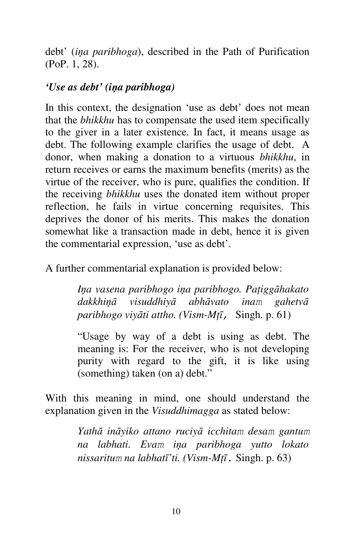debt' (*iņa paribhoga*), described in the Path of Purification (PoP. 1, 28).

#### *'Use as debt' (iņa paribhoga)*

In this context, the designation 'use as debt' does not mean that the *bhikkhu* has to compensate the used item specifically to the giver in a later existence. In fact, it means usage as debt. The following example clarifies the usage of debt. A donor, when making a donation to a virtuous *bhikkhu*, in return receives or earns the maximum benefits (merits) as the virtue of the receiver, who is pure, qualifies the condition. If the receiving *bhikkhu* uses the donated item without proper reflection, he fails in virtue concerning requisites. This deprives the donor of his merits. This makes the donation somewhat like a transaction made in debt, hence it is given the commentarial expression, 'use as debt'.

A further commentarial explanation is provided below:

*Iņa vasena paribhogo iņa paribhogo. Paţiggāhakato dakkhiņā visuddhiyā abhāvato inam gahetvā paribhogo viyāti attho. (Vism-Mţī,* Singh. p. 61)

"Usage by way of a debt is using as debt. The meaning is: For the receiver, who is not developing purity with regard to the gift, it is like using (something) taken (on a) debt."

With this meaning in mind, one should understand the explanation given in the *Visuddhimagga* as stated below:

> *Yathā ināyiko attano ruciyā icchitam desam gantum na labhati. Evam iņa paribhoga yutto lokato nissaritum na labhatī'ti. (Vism-Mţī*. Singh. p. 63)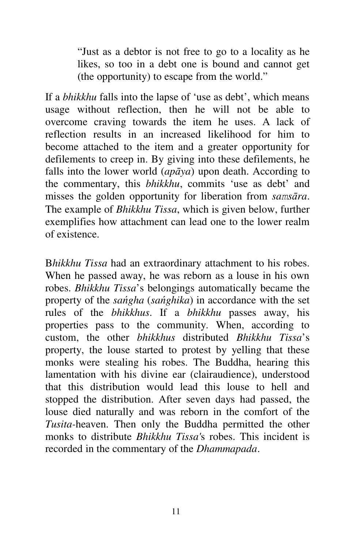"Just as a debtor is not free to go to a locality as he likes, so too in a debt one is bound and cannot get (the opportunity) to escape from the world."

If a *bhikkhu* falls into the lapse of 'use as debt', which means usage without reflection, then he will not be able to overcome craving towards the item he uses. A lack of reflection results in an increased likelihood for him to become attached to the item and a greater opportunity for defilements to creep in. By giving into these defilements, he falls into the lower world (*apāya*) upon death. According to the commentary, this *bhikkhu*, commits 'use as debt' and misses the golden opportunity for liberation from *samsāra*. The example of *Bhikkhu Tissa*, which is given below, further exemplifies how attachment can lead one to the lower realm of existence.

B*hikkhu Tissa* had an extraordinary attachment to his robes. When he passed away, he was reborn as a louse in his own robes. *Bhikkhu Tissa*'s belongings automatically became the property of the *sańgha* (*sańghika*) in accordance with the set rules of the *bhikkhus*. If a *bhikkhu* passes away, his properties pass to the community. When, according to custom, the other *bhikkhus* distributed *Bhikkhu Tissa*'s property, the louse started to protest by yelling that these monks were stealing his robes. The Buddha, hearing this lamentation with his divine ear (clairaudience), understood that this distribution would lead this louse to hell and stopped the distribution. After seven days had passed, the louse died naturally and was reborn in the comfort of the *Tusita-*heaven. Then only the Buddha permitted the other monks to distribute *Bhikkhu Tissa'*s robes. This incident is recorded in the commentary of the *Dhammapada*.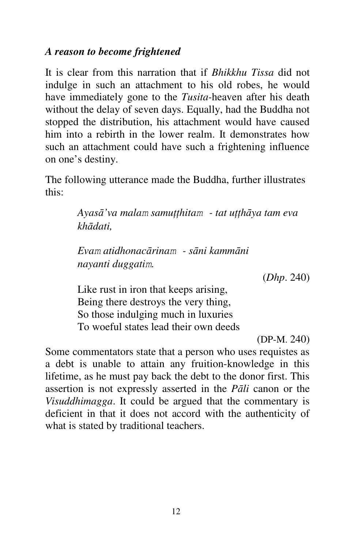#### *A reason to become frightened*

It is clear from this narration that if *Bhikkhu Tissa* did not indulge in such an attachment to his old robes, he would have immediately gone to the *Tusita-*heaven after his death without the delay of seven days. Equally, had the Buddha not stopped the distribution, his attachment would have caused him into a rebirth in the lower realm. It demonstrates how such an attachment could have such a frightening influence on one's destiny.

The following utterance made the Buddha, further illustrates this:

> *Ayasā'va malam samuţţhitam - tat uţţhāya tam eva khādati,*

*Evam atidhonacārinam - sāni kammāni nayanti duggatim.*

(*Dhp*. 240)

Like rust in iron that keeps arising, Being there destroys the very thing, So those indulging much in luxuries To woeful states lead their own deeds

(DP-M. 240)

Some commentators state that a person who uses requistes as a debt is unable to attain any fruition-knowledge in this lifetime, as he must pay back the debt to the donor first. This assertion is not expressly asserted in the *Pāli* canon or the *Visuddhimagga*. It could be argued that the commentary is deficient in that it does not accord with the authenticity of what is stated by traditional teachers.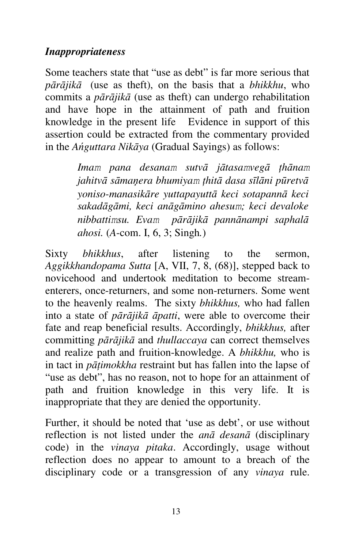#### *Inappropriateness*

Some teachers state that "use as debt" is far more serious that *pārājikā* (use as theft), on the basis that a *bhikkhu*, who commits a *pārājikā* (use as theft) can undergo rehabilitation and have hope in the attainment of path and fruition knowledge in the present life Evidence in support of this assertion could be extracted from the commentary provided in the *Ańguttara Nikāya* (Gradual Sayings) as follows:

> *Imam pana desanam sutvā jātasamvegā ţhānam jahitvā sāmaņera bhumiyam ţhitā dasa sīlāni pūretvā yoniso-manasikāre yuttapayuttā keci sotapannā keci sakadāgāmi, keci anāgāmino ahesum; keci devaloke nibbattimsu. Evam pārājikā pannānampi saphalā ahosi.* (*A*-com. I, 6, 3; Singh*.*)

Sixty *bhikkhus*, after listening to the sermon, *Aggikkhandopama Sutta* [A, VII, 7, 8, (68)], stepped back to novicehood and undertook meditation to become streamenterers, once-returners, and some non-returners. Some went to the heavenly realms. The sixty *bhikkhus,* who had fallen into a state of *pārājikā āpatti*, were able to overcome their fate and reap beneficial results. Accordingly, *bhikkhus,* after committing *pārājikā* and *thullaccaya* can correct themselves and realize path and fruition-knowledge. A *bhikkhu,* who is in tact in *pāţimokkha* restraint but has fallen into the lapse of "use as debt", has no reason, not to hope for an attainment of path and fruition knowledge in this very life. It is inappropriate that they are denied the opportunity.

Further, it should be noted that 'use as debt', or use without reflection is not listed under the *anā desanā* (disciplinary code) in the *vinaya pitaka*. Accordingly, usage without reflection does no appear to amount to a breach of the disciplinary code or a transgression of any *vinaya* rule.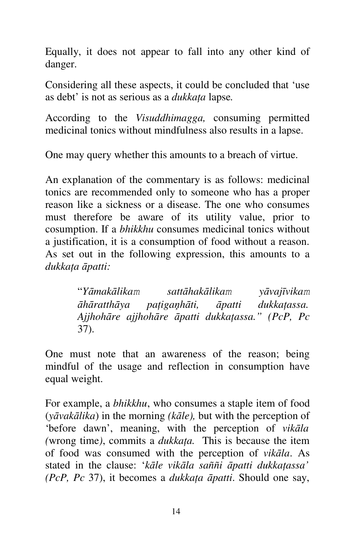Equally, it does not appear to fall into any other kind of danger.

Considering all these aspects, it could be concluded that 'use as debt' is not as serious as a *dukkaţa* lapse*.*

According to the *Visuddhimagga,* consuming permitted medicinal tonics without mindfulness also results in a lapse.

One may query whether this amounts to a breach of virtue.

An explanation of the commentary is as follows: medicinal tonics are recommended only to someone who has a proper reason like a sickness or a disease. The one who consumes must therefore be aware of its utility value, prior to cosumption. If a *bhikkhu* consumes medicinal tonics without a justification, it is a consumption of food without a reason. As set out in the following expression, this amounts to a *dukkaţa āpatti:*

> "*Yāmakālikam sattāhakālikam yāvajīvikam āhāratthāya paţigaņhāti, āpatti dukkaţassa. Ajjhohāre ajjhohāre āpatti dukkaţassa." (PcP, Pc*  37).

One must note that an awareness of the reason; being mindful of the usage and reflection in consumption have equal weight.

For example, a *bhikkhu*, who consumes a staple item of food (*yāvakālika*) in the morning *(kāle),* but with the perception of 'before dawn', meaning, with the perception of *vikāla (*wrong time*)*, commits a *dukkaţa.* This is because the item of food was consumed with the perception of *vikāla*. As stated in the clause: '*kāle vikāla saññi āpatti dukkaţassa' (PcP, Pc* 37), it becomes a *dukkaţa āpatti*. Should one say,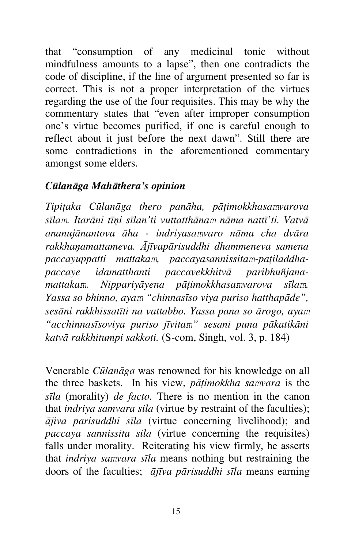that "consumption of any medicinal tonic without mindfulness amounts to a lapse", then one contradicts the code of discipline, if the line of argument presented so far is correct. This is not a proper interpretation of the virtues regarding the use of the four requisites. This may be why the commentary states that "even after improper consumption one's virtue becomes purified, if one is careful enough to reflect about it just before the next dawn". Still there are some contradictions in the aforementioned commentary amongst some elders.

#### *Cūlanāga Mahāthera's opinion*

*Tipiţaka Cūlanāga thero panāha, pāţimokkhasamvarova sīlam. Itarāni tīņi sīlan'ti vuttatthānam nāma nattī'ti. Vatvā ananujānantova āha - indriyasamvaro nāma cha dvāra rakkhaņamattameva. Ājīvapārisuddhi dhammeneva samena paccayuppatti mattakam, paccayasannissitam-paţiladdhapaccaye idamatthanti paccavekkhitvā paribhuñjanamattakam. Nippariyāyena pāţimokkhasamvarova sīlam. Yassa so bhinno, ayam "chinnasīso viya puriso hatthapāde", sesāni rakkhissatīti na vattabbo. Yassa pana so ārogo, ayam "acchinnasīsoviya puriso jīvitam" sesani puna pākatikāni katvā rakkhitumpi sakkoti.* (S-com, Singh, vol. 3, p. 184)

Venerable *Cūlanāga* was renowned for his knowledge on all the three baskets. In his view, *pāţimokkha samvara* is the *sīla* (morality) *de facto.* There is no mention in the canon that *indriya samvara sila* (virtue by restraint of the faculties); *ājiva parisuddhi sīla* (virtue concerning livelihood); and *paccaya sannissita sila* (virtue concerning the requisites) falls under morality. Reiterating his view firmly, he asserts that *indriya samvara sīla* means nothing but restraining the doors of the faculties; *ājīva pārisuddhi sīla* means earning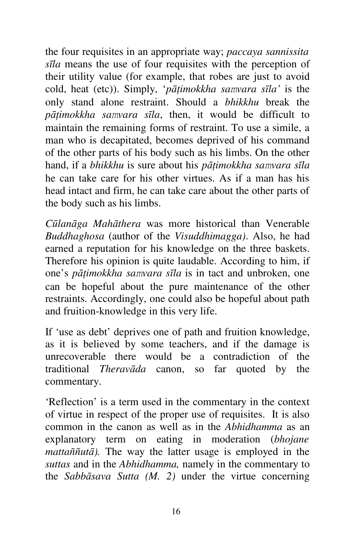the four requisites in an appropriate way; *paccaya sannissita sīla* means the use of four requisites with the perception of their utility value (for example, that robes are just to avoid cold, heat (etc)). Simply, '*pāţimokkha samvara sīla'* is the only stand alone restraint. Should a *bhikkhu* break the *pāţimokkha samvara sīla*, then, it would be difficult to maintain the remaining forms of restraint. To use a simile, a man who is decapitated, becomes deprived of his command of the other parts of his body such as his limbs. On the other hand, if a *bhikkhu* is sure about his *pāţimokkha samvara sīla*  he can take care for his other virtues. As if a man has his head intact and firm, he can take care about the other parts of the body such as his limbs.

*Cūlanāga Mahāthera* was more historical than Venerable *Buddhaghosa* (author of the *Visuddhimagga)*. Also, he had earned a reputation for his knowledge on the three baskets. Therefore his opinion is quite laudable. According to him, if one's *pāţimokkha samvara sīla* is in tact and unbroken, one can be hopeful about the pure maintenance of the other restraints. Accordingly, one could also be hopeful about path and fruition-knowledge in this very life.

If 'use as debt' deprives one of path and fruition knowledge, as it is believed by some teachers, and if the damage is unrecoverable there would be a contradiction of the traditional *Theravāda* canon, so far quoted by the commentary.

'Reflection' is a term used in the commentary in the context of virtue in respect of the proper use of requisites. It is also common in the canon as well as in the *Abhidhamma* as an explanatory term on eating in moderation (*bhojane mattaññutā).* The way the latter usage is employed in the *suttas* and in the *Abhidhamma,* namely in the commentary to the *Sabbāsava Sutta (M. 2)* under the virtue concerning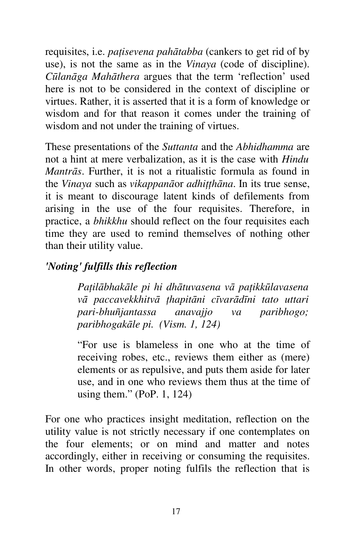requisites, i.e. *paţisevena pahātabba* (cankers to get rid of by use), is not the same as in the *Vinaya* (code of discipline). *Cūlanāga Mahāthera* argues that the term 'reflection' used here is not to be considered in the context of discipline or virtues. Rather, it is asserted that it is a form of knowledge or wisdom and for that reason it comes under the training of wisdom and not under the training of virtues.

These presentations of the *Suttanta* and the *Abhidhamma* are not a hint at mere verbalization, as it is the case with *Hindu Mantrās*. Further, it is not a ritualistic formula as found in the *Vinaya* such as *vikappanā*or *adhiţţhāna*. In its true sense, it is meant to discourage latent kinds of defilements from arising in the use of the four requisites. Therefore, in practice, a *bhikkhu* should reflect on the four requisites each time they are used to remind themselves of nothing other than their utility value.

#### *'Noting' fulfills this reflection*

*Paţilābhakāle pi hi dhātuvasena vā paţikkūlavasena vā paccavekkhitvā ţhapitāni cīvarādīni tato uttari pari-bhuñjantassa anavajjo va paribhogo; paribhogakāle pi. (Vism. 1, 124)*

"For use is blameless in one who at the time of receiving robes, etc., reviews them either as (mere) elements or as repulsive, and puts them aside for later use, and in one who reviews them thus at the time of using them." (PoP. 1, 124)

For one who practices insight meditation, reflection on the utility value is not strictly necessary if one contemplates on the four elements; or on mind and matter and notes accordingly, either in receiving or consuming the requisites. In other words, proper noting fulfils the reflection that is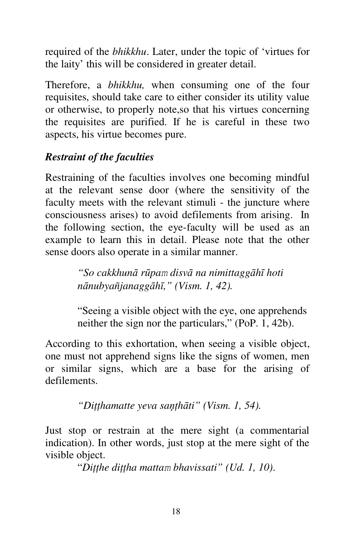required of the *bhikkhu*. Later, under the topic of 'virtues for the laity' this will be considered in greater detail.

Therefore, a *bhikkhu,* when consuming one of the four requisites, should take care to either consider its utility value or otherwise, to properly note,so that his virtues concerning the requisites are purified. If he is careful in these two aspects, his virtue becomes pure.

## *Restraint of the faculties*

Restraining of the faculties involves one becoming mindful at the relevant sense door (where the sensitivity of the faculty meets with the relevant stimuli - the juncture where consciousness arises) to avoid defilements from arising. In the following section, the eye-faculty will be used as an example to learn this in detail. Please note that the other sense doors also operate in a similar manner.

> *"So cakkhunā rūpam disvā na nimittaggāhī hoti nānubyañjanaggāhī," (Vism. 1, 42).*

"Seeing a visible object with the eye, one apprehends neither the sign nor the particulars," (PoP. 1, 42b).

According to this exhortation, when seeing a visible object, one must not apprehend signs like the signs of women, men or similar signs, which are a base for the arising of defilements.

*"Diţţhamatte yeva saņţhāti" (Vism. 1, 54).*

Just stop or restrain at the mere sight (a commentarial indication). In other words, just stop at the mere sight of the visible object.

"*Diţţhe diţţha mattam bhavissati" (Ud. 1, 10)*.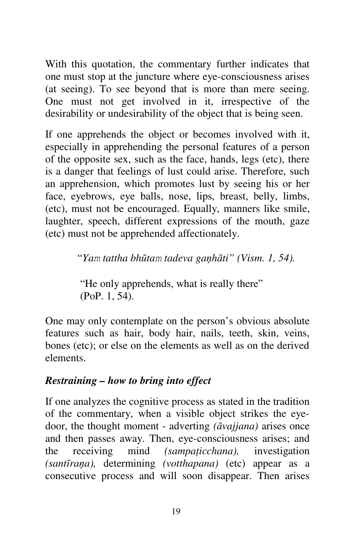With this quotation, the commentary further indicates that one must stop at the juncture where eye-consciousness arises (at seeing). To see beyond that is more than mere seeing. One must not get involved in it, irrespective of the desirability or undesirability of the object that is being seen.

If one apprehends the object or becomes involved with it, especially in apprehending the personal features of a person of the opposite sex, such as the face, hands, legs (etc), there is a danger that feelings of lust could arise. Therefore, such an apprehension, which promotes lust by seeing his or her face, eyebrows, eye balls, nose, lips, breast, belly, limbs, (etc), must not be encouraged. Equally, manners like smile, laughter, speech, different expressions of the mouth, gaze (etc) must not be apprehended affectionately.

"*Yam tattha bhūtam tadeva gaņhāti" (Vism. 1, 54).*

"He only apprehends, what is really there" (PoP. 1, 54).

One may only contemplate on the person's obvious absolute features such as hair, body hair, nails, teeth, skin, veins, bones (etc); or else on the elements as well as on the derived elements.

#### *Restraining – how to bring into effect*

If one analyzes the cognitive process as stated in the tradition of the commentary, when a visible object strikes the eyedoor, the thought moment - adverting *(āvajjana)* arises once and then passes away. Then, eye-consciousness arises; and the receiving mind *(sampaticchana)*, investigation *(santīraņa),* determining *(votthapana)* (etc) appear as a consecutive process and will soon disappear. Then arises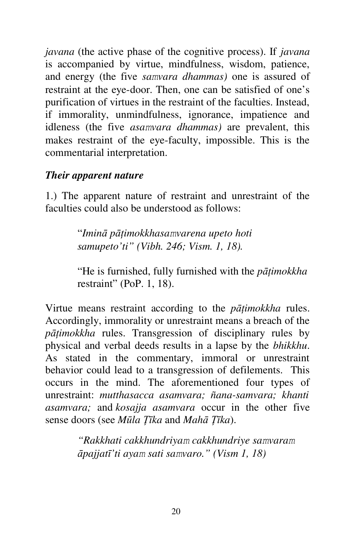*javana* (the active phase of the cognitive process). If *javana*  is accompanied by virtue, mindfulness, wisdom, patience, and energy (the five *samvara dhammas)* one is assured of restraint at the eye-door. Then, one can be satisfied of one's purification of virtues in the restraint of the faculties. Instead, if immorality, unmindfulness, ignorance, impatience and idleness (the five *asamvara dhammas)* are prevalent, this makes restraint of the eye-faculty, impossible. This is the commentarial interpretation.

#### *Their apparent nature*

1.) The apparent nature of restraint and unrestraint of the faculties could also be understood as follows:

> "*Iminā pāţimokkhasamvarena upeto hoti samupeto'ti" (Vibh. 246; Vism. 1, 18).*

"He is furnished, fully furnished with the *pāţimokkha*  restraint" (PoP. 1, 18).

Virtue means restraint according to the *pāţimokkha* rules. Accordingly, immorality or unrestraint means a breach of the *pāţimokkha* rules. Transgression of disciplinary rules by physical and verbal deeds results in a lapse by the *bhikkhu*. As stated in the commentary, immoral or unrestraint behavior could lead to a transgression of defilements. This occurs in the mind. The aforementioned four types of unrestraint: *mutthasacca asamvara; ñana-samvara; khanti asamvara;* and *kosajja asamvara* occur in the other five sense doors (see *Mūla Ţīka* and *Mahā Ţīka*).

> *"Rakkhati cakkhundriyam cakkhundriye samvaram āpajjatī'ti ayam sati samvaro." (Vism 1, 18)*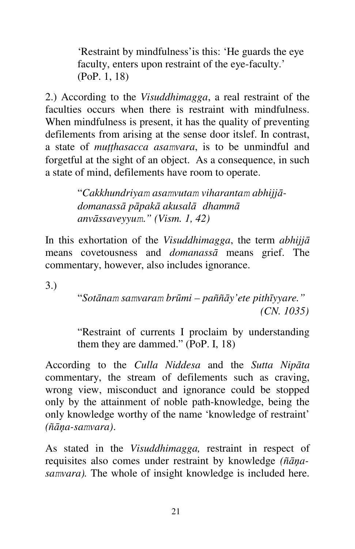'Restraint by mindfulness'is this: 'He guards the eye faculty, enters upon restraint of the eye-faculty.' (PoP. 1, 18)

2.) According to the *Visuddhimagga*, a real restraint of the faculties occurs when there is restraint with mindfulness. When mindfulness is present, it has the quality of preventing defilements from arising at the sense door itslef. In contrast, a state of *muţţhasacca asamvara*, is to be unmindful and forgetful at the sight of an object. As a consequence, in such a state of mind, defilements have room to operate.

> "*Cakkhundriyam asamvutam viharantam abhijjādomanassā pāpakā akusalā dhammā anvāssaveyyum*.*" (Vism. 1, 42)*

In this exhortation of the *Visuddhimagga*, the term *abhijjā* means covetousness and *domanassā* means grief. The commentary, however, also includes ignorance.

3.)

"*Sotānam samvaram brūmi – paññāy'ete pithīyyare." (CN. 1035)*

"Restraint of currents I proclaim by understanding them they are dammed." (PoP. I, 18)

According to the *Culla Niddesa* and the *Sutta Nipāta*  commentary, the stream of defilements such as craving, wrong view, misconduct and ignorance could be stopped only by the attainment of noble path-knowledge, being the only knowledge worthy of the name 'knowledge of restraint' *(ñāņa-samvara)*.

As stated in the *Visuddhimagga,* restraint in respect of requisites also comes under restraint by knowledge *(ñāņasamvara).* The whole of insight knowledge is included here.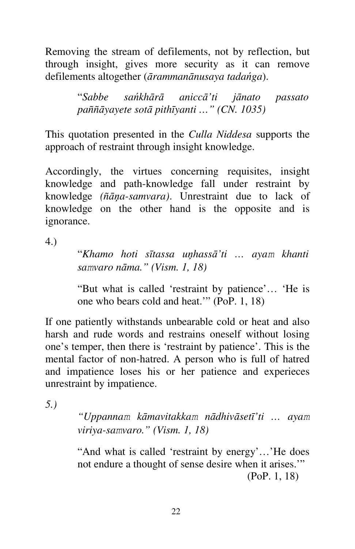Removing the stream of defilements, not by reflection, but through insight, gives more security as it can remove defilements altogether (*ārammanānusaya tadańga*).

> "*Sabbe sańkhārā aniccā'ti jānato passato paññāyayete sotā pithīyanti …" (CN. 1035)*

This quotation presented in the *Culla Niddesa* supports the approach of restraint through insight knowledge.

Accordingly, the virtues concerning requisites, insight knowledge and path-knowledge fall under restraint by knowledge *(ñāņa-samvara)*. Unrestraint due to lack of knowledge on the other hand is the opposite and is ignorance.

4.)

"*Khamo hoti sītassa uņhassā'ti … ayam khanti samvaro nāma." (Vism. 1, 18)*

"But what is called 'restraint by patience'… 'He is one who bears cold and heat.'" (PoP. 1, 18)

If one patiently withstands unbearable cold or heat and also harsh and rude words and restrains oneself without losing one's temper, then there is 'restraint by patience'. This is the mental factor of non-hatred. A person who is full of hatred and impatience loses his or her patience and experieces unrestraint by impatience.

*5.)* 

*"Uppannam kāmavitakkam nādhivāsetī'ti … ayam viriya-samvaro." (Vism. 1, 18)*

"And what is called 'restraint by energy'…'He does not endure a thought of sense desire when it arises.'" (PoP. 1, 18)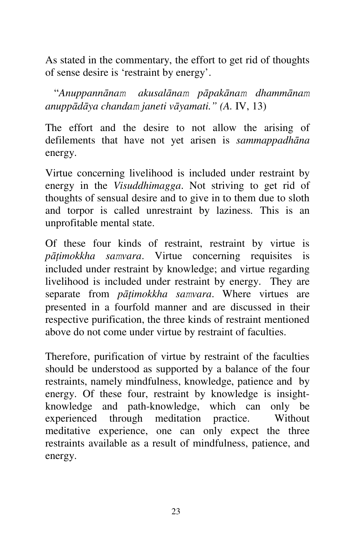As stated in the commentary, the effort to get rid of thoughts of sense desire is 'restraint by energy'.

 "*Anuppannānam akusalānam pāpakānam dhammānam anuppādāya chandam janeti vāyamati." (A.* IV, 13)

The effort and the desire to not allow the arising of defilements that have not yet arisen is *sammappadhāna*  energy.

Virtue concerning livelihood is included under restraint by energy in the *Visuddhimagga*. Not striving to get rid of thoughts of sensual desire and to give in to them due to sloth and torpor is called unrestraint by laziness*.* This is an unprofitable mental state.

Of these four kinds of restraint, restraint by virtue is *pāţimokkha samvara*. Virtue concerning requisites is included under restraint by knowledge; and virtue regarding livelihood is included under restraint by energy. They are separate from *pāţimokkha samvara*. Where virtues are presented in a fourfold manner and are discussed in their respective purification, the three kinds of restraint mentioned above do not come under virtue by restraint of faculties.

Therefore, purification of virtue by restraint of the faculties should be understood as supported by a balance of the four restraints, namely mindfulness, knowledge, patience and by energy. Of these four, restraint by knowledge is insightknowledge and path-knowledge, which can only be experienced through meditation practice. Without meditative experience, one can only expect the three restraints available as a result of mindfulness, patience, and energy.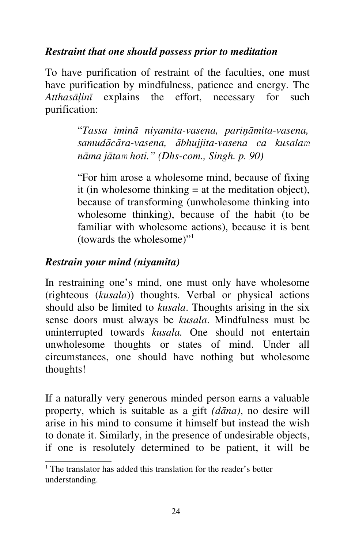#### *Restraint that one should possess prior to meditation*

To have purification of restraint of the faculties, one must have purification by mindfulness, patience and energy. The *Atthasāļinī* explains the effort, necessary for such purification:

> "*Tassa iminā niyamita-vasena, pariņāmita-vasena, samudācāra-vasena, ābhujjita-vasena ca kusalam nāma jātam hoti." (Dhs-com., Singh. p. 90)*

> "For him arose a wholesome mind, because of fixing it (in wholesome thinking  $=$  at the meditation object), because of transforming (unwholesome thinking into wholesome thinking), because of the habit (to be familiar with wholesome actions), because it is bent (towards the wholesome)"<sup>1</sup>

#### *Restrain your mind (niyamita)*

In restraining one's mind, one must only have wholesome (righteous (*kusala*)) thoughts. Verbal or physical actions should also be limited to *kusala*. Thoughts arising in the six sense doors must always be *kusala*. Mindfulness must be uninterrupted towards *kusala.* One should not entertain unwholesome thoughts or states of mind. Under all circumstances, one should have nothing but wholesome thoughts!

If a naturally very generous minded person earns a valuable property, which is suitable as a gift *(dāna)*, no desire will arise in his mind to consume it himself but instead the wish to donate it. Similarly, in the presence of undesirable objects, if one is resolutely determined to be patient, it will be

<sup>&</sup>lt;sup>1</sup> The translator has added this translation for the reader's better understanding.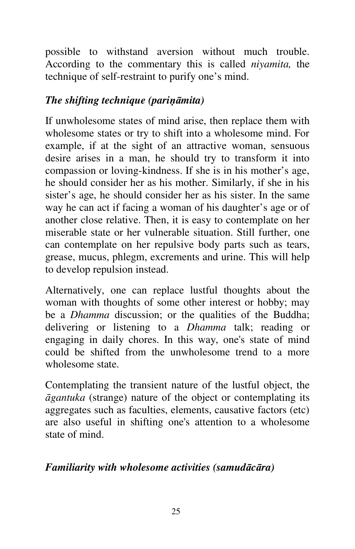possible to withstand aversion without much trouble. According to the commentary this is called *niyamita,* the technique of self-restraint to purify one's mind.

#### *The shifting technique (pariņāmita)*

If unwholesome states of mind arise, then replace them with wholesome states or try to shift into a wholesome mind. For example, if at the sight of an attractive woman, sensuous desire arises in a man, he should try to transform it into compassion or loving-kindness. If she is in his mother's age, he should consider her as his mother. Similarly, if she in his sister's age, he should consider her as his sister. In the same way he can act if facing a woman of his daughter's age or of another close relative. Then, it is easy to contemplate on her miserable state or her vulnerable situation. Still further, one can contemplate on her repulsive body parts such as tears, grease, mucus, phlegm, excrements and urine. This will help to develop repulsion instead.

Alternatively, one can replace lustful thoughts about the woman with thoughts of some other interest or hobby; may be a *Dhamma* discussion; or the qualities of the Buddha; delivering or listening to a *Dhamma* talk; reading or engaging in daily chores. In this way, one's state of mind could be shifted from the unwholesome trend to a more wholesome state.

Contemplating the transient nature of the lustful object, the *āgantuka* (strange) nature of the object or contemplating its aggregates such as faculties, elements, causative factors (etc) are also useful in shifting one's attention to a wholesome state of mind.

#### *Familiarity with wholesome activities (samudācāra)*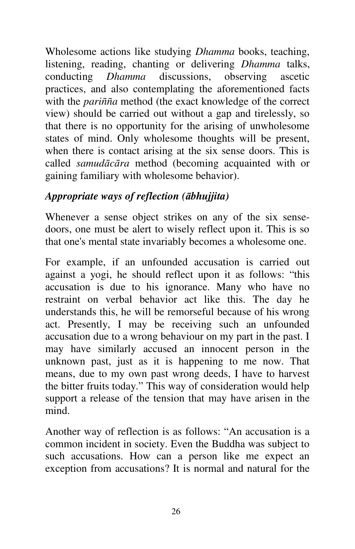Wholesome actions like studying *Dhamma* books, teaching, listening, reading, chanting or delivering *Dhamma* talks, conducting *Dhamma* discussions, observing ascetic practices, and also contemplating the aforementioned facts with the *pariñña* method (the exact knowledge of the correct view) should be carried out without a gap and tirelessly, so that there is no opportunity for the arising of unwholesome states of mind. Only wholesome thoughts will be present, when there is contact arising at the six sense doors. This is called *samudācāra* method (becoming acquainted with or gaining familiary with wholesome behavior).

#### *Appropriate ways of reflection (ābhujjita)*

Whenever a sense object strikes on any of the six sensedoors, one must be alert to wisely reflect upon it. This is so that one's mental state invariably becomes a wholesome one.

For example, if an unfounded accusation is carried out against a yogi, he should reflect upon it as follows: "this accusation is due to his ignorance. Many who have no restraint on verbal behavior act like this. The day he understands this, he will be remorseful because of his wrong act. Presently, I may be receiving such an unfounded accusation due to a wrong behaviour on my part in the past. I may have similarly accused an innocent person in the unknown past, just as it is happening to me now. That means, due to my own past wrong deeds, I have to harvest the bitter fruits today." This way of consideration would help support a release of the tension that may have arisen in the mind.

Another way of reflection is as follows: "An accusation is a common incident in society. Even the Buddha was subject to such accusations. How can a person like me expect an exception from accusations? It is normal and natural for the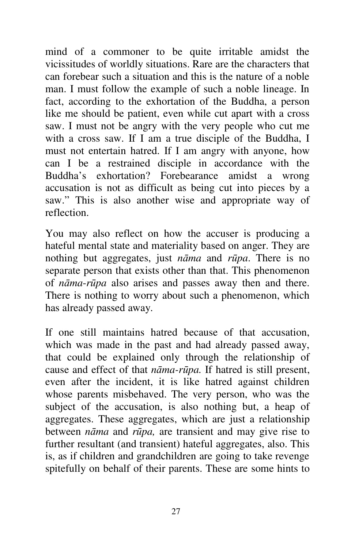mind of a commoner to be quite irritable amidst the vicissitudes of worldly situations. Rare are the characters that can forebear such a situation and this is the nature of a noble man. I must follow the example of such a noble lineage. In fact, according to the exhortation of the Buddha, a person like me should be patient, even while cut apart with a cross saw. I must not be angry with the very people who cut me with a cross saw. If I am a true disciple of the Buddha, I must not entertain hatred. If I am angry with anyone, how can I be a restrained disciple in accordance with the Buddha's exhortation? Forebearance amidst a wrong accusation is not as difficult as being cut into pieces by a saw." This is also another wise and appropriate way of reflection.

You may also reflect on how the accuser is producing a hateful mental state and materiality based on anger. They are nothing but aggregates, just *nāma* and *rūpa*. There is no separate person that exists other than that. This phenomenon of *nāma*-*rūpa* also arises and passes away then and there. There is nothing to worry about such a phenomenon, which has already passed away.

If one still maintains hatred because of that accusation, which was made in the past and had already passed away, that could be explained only through the relationship of cause and effect of that *nāma-rūpa.* If hatred is still present, even after the incident, it is like hatred against children whose parents misbehaved. The very person, who was the subject of the accusation, is also nothing but, a heap of aggregates. These aggregates, which are just a relationship between *nāma* and *rūpa,* are transient and may give rise to further resultant (and transient) hateful aggregates, also. This is, as if children and grandchildren are going to take revenge spitefully on behalf of their parents. These are some hints to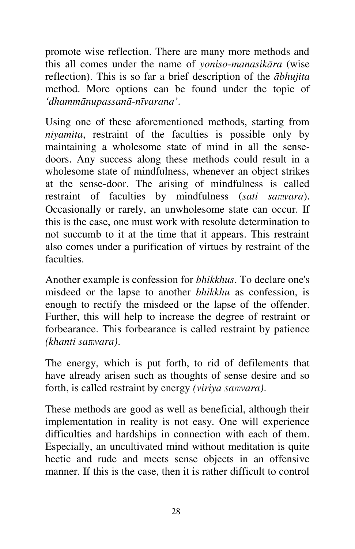promote wise reflection. There are many more methods and this all comes under the name of *yoniso-manasikāra* (wise reflection). This is so far a brief description of the *ābhujita*  method. More options can be found under the topic of *'dhammānupassanā-nīvarana'*.

Using one of these aforementioned methods, starting from *niyamita*, restraint of the faculties is possible only by maintaining a wholesome state of mind in all the sensedoors. Any success along these methods could result in a wholesome state of mindfulness, whenever an object strikes at the sense-door. The arising of mindfulness is called restraint of faculties by mindfulness (*sati samvara*). Occasionally or rarely, an unwholesome state can occur. If this is the case, one must work with resolute determination to not succumb to it at the time that it appears. This restraint also comes under a purification of virtues by restraint of the faculties.

Another example is confession for *bhikkhus*. To declare one's misdeed or the lapse to another *bhikkhu* as confession, is enough to rectify the misdeed or the lapse of the offender. Further, this will help to increase the degree of restraint or forbearance. This forbearance is called restraint by patience *(khanti samvara)*.

The energy, which is put forth, to rid of defilements that have already arisen such as thoughts of sense desire and so forth, is called restraint by energy *(viriya samvara)*.

These methods are good as well as beneficial, although their implementation in reality is not easy. One will experience difficulties and hardships in connection with each of them. Especially, an uncultivated mind without meditation is quite hectic and rude and meets sense objects in an offensive manner. If this is the case, then it is rather difficult to control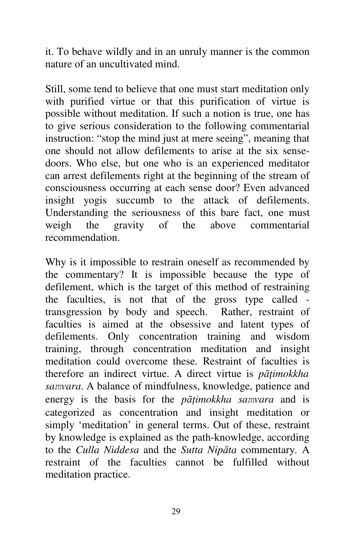it. To behave wildly and in an unruly manner is the common nature of an uncultivated mind.

Still, some tend to believe that one must start meditation only with purified virtue or that this purification of virtue is possible without meditation. If such a notion is true, one has to give serious consideration to the following commentarial instruction: "stop the mind just at mere seeing", meaning that one should not allow defilements to arise at the six sensedoors. Who else, but one who is an experienced meditator can arrest defilements right at the beginning of the stream of consciousness occurring at each sense door? Even advanced insight yogis succumb to the attack of defilements. Understanding the seriousness of this bare fact, one must weigh the gravity of the above commentarial recommendation.

Why is it impossible to restrain oneself as recommended by the commentary? It is impossible because the type of defilement, which is the target of this method of restraining the faculties, is not that of the gross type called transgression by body and speech. Rather, restraint of faculties is aimed at the obsessive and latent types of defilements. Only concentration training and wisdom training, through concentration meditation and insight meditation could overcome these. Restraint of faculties is therefore an indirect virtue. A direct virtue is *pātimokkha samvara*. A balance of mindfulness, knowledge, patience and energy is the basis for the *pāţimokkha samvara* and is categorized as concentration and insight meditation or simply 'meditation' in general terms. Out of these, restraint by knowledge is explained as the path-knowledge, according to the *Culla Niddesa* and the *Sutta Nipāta* commentary. A restraint of the faculties cannot be fulfilled without meditation practice.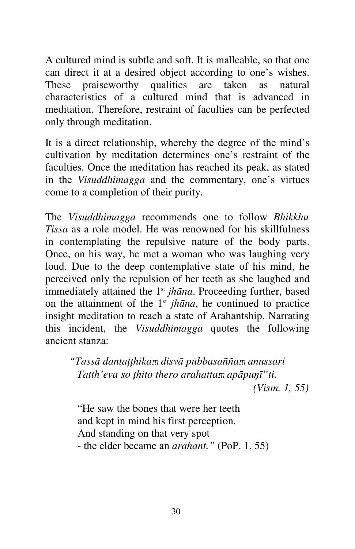A cultured mind is subtle and soft. It is malleable, so that one can direct it at a desired object according to one's wishes. These praiseworthy qualities are taken as natural characteristics of a cultured mind that is advanced in meditation. Therefore, restraint of faculties can be perfected only through meditation.

It is a direct relationship, whereby the degree of the mind's cultivation by meditation determines one's restraint of the faculties. Once the meditation has reached its peak, as stated in the *Visuddhimagga* and the commentary, one's virtues come to a completion of their purity.

The *Visuddhimagga* recommends one to follow *Bhikkhu Tissa* as a role model. He was renowned for his skillfulness in contemplating the repulsive nature of the body parts. Once, on his way, he met a woman who was laughing very loud. Due to the deep contemplative state of his mind, he perceived only the repulsion of her teeth as she laughed and immediately attained the 1<sup>st</sup> *jhāna*. Proceeding further, based on the attainment of the  $1<sup>st</sup>$  *jhāna*, he continued to practice insight meditation to reach a state of Arahantship. Narrating this incident, the *Visuddhimagga* quotes the following ancient stanza:

*"Tassā dantaţţhikam disvā pubbasaññam anussari Tatth'eva so ţhito thero arahattam apāpuņī"ti. (Vism. 1, 55)*

"He saw the bones that were her teeth and kept in mind his first perception. And standing on that very spot - the elder became an *arahant."* (PoP. 1, 55)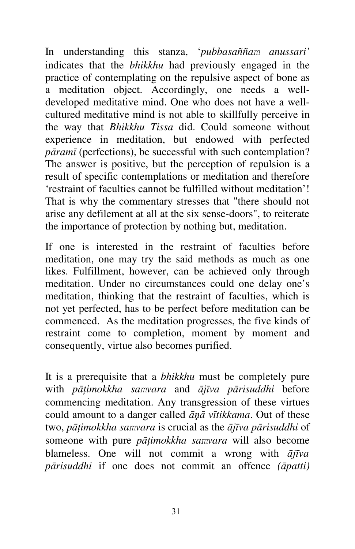In understanding this stanza, '*pubbasaññam anussari'*  indicates that the *bhikkhu* had previously engaged in the practice of contemplating on the repulsive aspect of bone as a meditation object. Accordingly, one needs a welldeveloped meditative mind. One who does not have a wellcultured meditative mind is not able to skillfully perceive in the way that *Bhikkhu Tissa* did. Could someone without experience in meditation, but endowed with perfected *pāramī* (perfections), be successful with such contemplation? The answer is positive, but the perception of repulsion is a result of specific contemplations or meditation and therefore 'restraint of faculties cannot be fulfilled without meditation'! That is why the commentary stresses that "there should not arise any defilement at all at the six sense-doors", to reiterate the importance of protection by nothing but, meditation.

If one is interested in the restraint of faculties before meditation, one may try the said methods as much as one likes. Fulfillment, however, can be achieved only through meditation. Under no circumstances could one delay one's meditation, thinking that the restraint of faculties, which is not yet perfected, has to be perfect before meditation can be commenced. As the meditation progresses, the five kinds of restraint come to completion, moment by moment and consequently, virtue also becomes purified.

It is a prerequisite that a *bhikkhu* must be completely pure with *pāţimokkha samvara* and *ājīva pārisuddhi* before commencing meditation. Any transgression of these virtues could amount to a danger called *āņā vītikkama*. Out of these two, *pāţimokkha samvara* is crucial as the *ājīva pārisuddhi* of someone with pure *pāţimokkha samvara* will also become blameless. One will not commit a wrong with *ājīva pārisuddhi* if one does not commit an offence *(āpatti)*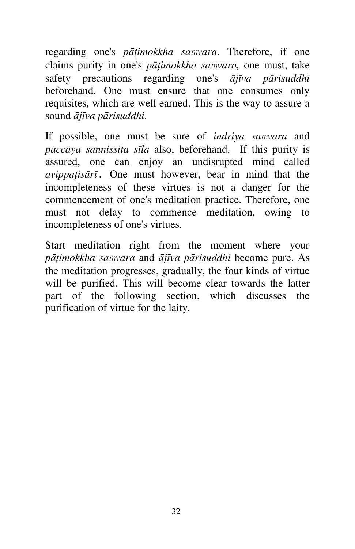regarding one's *pāţimokkha samvara*. Therefore, if one claims purity in one's *pāţimokkha samvara,* one must, take safety precautions regarding one's *ājīva pārisuddhi*  beforehand. One must ensure that one consumes only requisites, which are well earned. This is the way to assure a sound *ājīva pārisuddhi*.

If possible, one must be sure of *indriya samvara* and *paccaya sannissita sīla* also, beforehand. If this purity is assured, one can enjoy an undisrupted mind called *avippaţisārī*. One must however, bear in mind that the incompleteness of these virtues is not a danger for the commencement of one's meditation practice. Therefore, one must not delay to commence meditation, owing to incompleteness of one's virtues.

Start meditation right from the moment where your *pāţimokkha samvara* and *ājīva pārisuddhi* become pure. As the meditation progresses, gradually, the four kinds of virtue will be purified. This will become clear towards the latter part of the following section, which discusses the purification of virtue for the laity.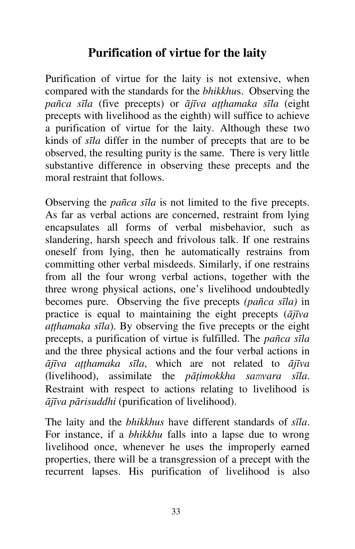## **Purification of virtue for the laity**

Purification of virtue for the laity is not extensive, when compared with the standards for the *bhikkhu*s. Observing the *pañca sīla* (five precepts) or *ājīva aţţhamaka sīla* (eight precepts with livelihood as the eighth) will suffice to achieve a purification of virtue for the laity. Although these two kinds of *sīla* differ in the number of precepts that are to be observed, the resulting purity is the same. There is very little substantive difference in observing these precepts and the moral restraint that follows.

Observing the *pañca sīla* is not limited to the five precepts. As far as verbal actions are concerned, restraint from lying encapsulates all forms of verbal misbehavior, such as slandering, harsh speech and frivolous talk. If one restrains oneself from lying, then he automatically restrains from committing other verbal misdeeds. Similarly, if one restrains from all the four wrong verbal actions, together with the three wrong physical actions, one's livelihood undoubtedly becomes pure. Observing the five precepts *(pañca sīla)* in practice is equal to maintaining the eight precepts (*ājīva aţţhamaka sīla*). By observing the five precepts or the eight precepts, a purification of virtue is fulfilled. The *pañca sīla*  and the three physical actions and the four verbal actions in *ājīva aţţhamaka sīla*, which are not related to *ājīva*  (livelihood), assimilate the *pāţimokkha samvara sīla*. Restraint with respect to actions relating to livelihood is *ājīva pārisuddhi* (purification of livelihood).

The laity and the *bhikkhus* have different standards of *sīla*. For instance, if a *bhikkhu* falls into a lapse due to wrong livelihood once, whenever he uses the improperly earned properties, there will be a transgression of a precept with the recurrent lapses. His purification of livelihood is also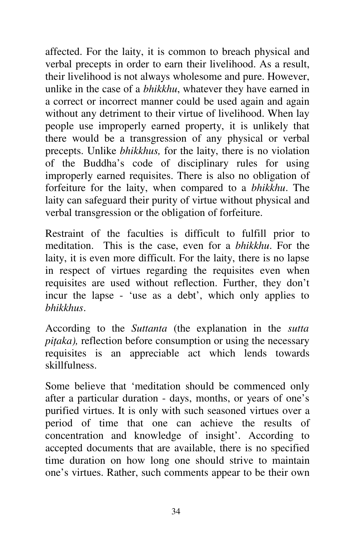affected. For the laity, it is common to breach physical and verbal precepts in order to earn their livelihood. As a result, their livelihood is not always wholesome and pure. However, unlike in the case of a *bhikkhu*, whatever they have earned in a correct or incorrect manner could be used again and again without any detriment to their virtue of livelihood. When lay people use improperly earned property, it is unlikely that there would be a transgression of any physical or verbal precepts. Unlike *bhikkhus,* for the laity, there is no violation of the Buddha's code of disciplinary rules for using improperly earned requisites. There is also no obligation of forfeiture for the laity, when compared to a *bhikkhu*. The laity can safeguard their purity of virtue without physical and verbal transgression or the obligation of forfeiture.

Restraint of the faculties is difficult to fulfill prior to meditation. This is the case, even for a *bhikkhu*. For the laity, it is even more difficult. For the laity, there is no lapse in respect of virtues regarding the requisites even when requisites are used without reflection. Further, they don't incur the lapse - 'use as a debt', which only applies to *bhikkhus*.

According to the *Suttanta* (the explanation in the *sutta piţaka),* reflection before consumption or using the necessary requisites is an appreciable act which lends towards skillfulness.

Some believe that 'meditation should be commenced only after a particular duration - days, months, or years of one's purified virtues. It is only with such seasoned virtues over a period of time that one can achieve the results of concentration and knowledge of insight'. According to accepted documents that are available, there is no specified time duration on how long one should strive to maintain one's virtues. Rather, such comments appear to be their own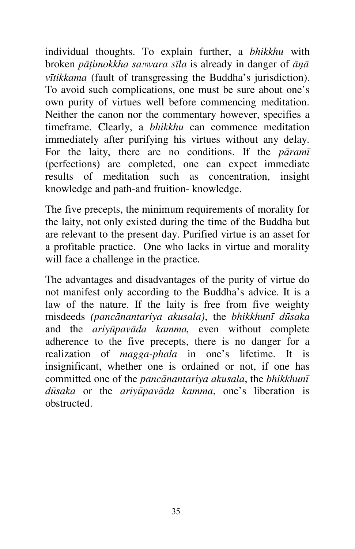individual thoughts. To explain further, a *bhikkhu* with broken *pāţimokkha samvara sīla* is already in danger of *āņā vītikkama* (fault of transgressing the Buddha's jurisdiction). To avoid such complications, one must be sure about one's own purity of virtues well before commencing meditation. Neither the canon nor the commentary however, specifies a timeframe. Clearly, a *bhikkhu* can commence meditation immediately after purifying his virtues without any delay. For the laity, there are no conditions. If the *pāramī* (perfections) are completed, one can expect immediate results of meditation such as concentration, insight knowledge and path-and fruition- knowledge.

The five precepts, the minimum requirements of morality for the laity, not only existed during the time of the Buddha but are relevant to the present day. Purified virtue is an asset for a profitable practice. One who lacks in virtue and morality will face a challenge in the practice.

The advantages and disadvantages of the purity of virtue do not manifest only according to the Buddha's advice. It is a law of the nature. If the laity is free from five weighty misdeeds *(pancānantariya akusala)*, the *bhikkhunī dūsaka*  and the *ariyūpavāda kamma,* even without complete adherence to the five precepts, there is no danger for a realization of *magga-phala* in one's lifetime. It is insignificant, whether one is ordained or not, if one has committed one of the *pancānantariya akusala*, the *bhikkhunī dūsaka* or the *ariyūpavāda kamma*, one's liberation is obstructed.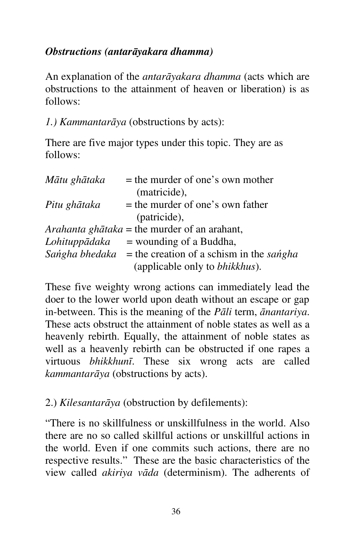#### *Obstructions (antarāyakara dhamma)*

An explanation of the *antarāyakara dhamma* (acts which are obstructions to the attainment of heaven or liberation) is as follows:

*1.) Kammantarāya* (obstructions by acts):

There are five major types under this topic. They are as follows:

| Mātu ghātaka | $=$ the murder of one's own mother                      |
|--------------|---------------------------------------------------------|
|              | (matricide),                                            |
| Pitu ghātaka | = the murder of one's own father                        |
|              | (patricide),                                            |
|              | <i>Arahanta ghātaka</i> = the murder of an arahant,     |
|              | <i>Lohituppādaka</i> = wounding of a Buddha,            |
|              | Sangha bhedaka = the creation of a schism in the sangha |
|              | (applicable only to <i>bhikkhus</i> ).                  |

These five weighty wrong actions can immediately lead the doer to the lower world upon death without an escape or gap in-between. This is the meaning of the *Pāli* term, *ānantariya*. These acts obstruct the attainment of noble states as well as a heavenly rebirth. Equally, the attainment of noble states as well as a heavenly rebirth can be obstructed if one rapes a virtuous *bhikkhunī*. These six wrong acts are called *kammantarāya* (obstructions by acts).

2.) *Kilesantarāya* (obstruction by defilements):

"There is no skillfulness or unskillfulness in the world. Also there are no so called skillful actions or unskillful actions in the world. Even if one commits such actions, there are no respective results." These are the basic characteristics of the view called *akiriya vāda* (determinism). The adherents of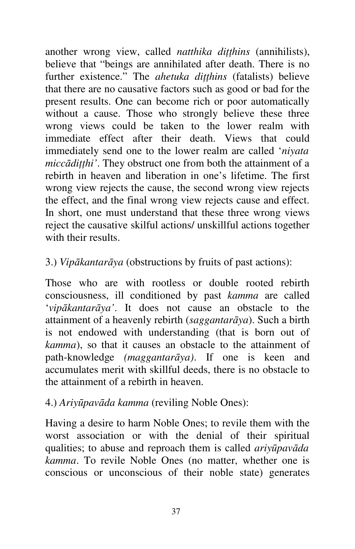another wrong view, called *natthika diţţhins* (annihilists), believe that "beings are annihilated after death. There is no further existence." The *ahetuka diţţhins* (fatalists) believe that there are no causative factors such as good or bad for the present results. One can become rich or poor automatically without a cause. Those who strongly believe these three wrong views could be taken to the lower realm with immediate effect after their death. Views that could immediately send one to the lower realm are called '*niyata miccādiţţhi'*. They obstruct one from both the attainment of a rebirth in heaven and liberation in one's lifetime. The first wrong view rejects the cause, the second wrong view rejects the effect, and the final wrong view rejects cause and effect. In short, one must understand that these three wrong views reject the causative skilful actions/ unskillful actions together with their results.

# 3.) *Vipākantarāya* (obstructions by fruits of past actions):

Those who are with rootless or double rooted rebirth consciousness, ill conditioned by past *kamma* are called '*vipākantarāya'*. It does not cause an obstacle to the attainment of a heavenly rebirth (*saggantarāya*). Such a birth is not endowed with understanding (that is born out of *kamma*), so that it causes an obstacle to the attainment of path-knowledge *(maggantarāya)*. If one is keen and accumulates merit with skillful deeds, there is no obstacle to the attainment of a rebirth in heaven.

#### 4.) *Ariyūpavāda kamma* (reviling Noble Ones):

Having a desire to harm Noble Ones; to revile them with the worst association or with the denial of their spiritual qualities; to abuse and reproach them is called *ariyūpavāda kamma*. To revile Noble Ones (no matter, whether one is conscious or unconscious of their noble state) generates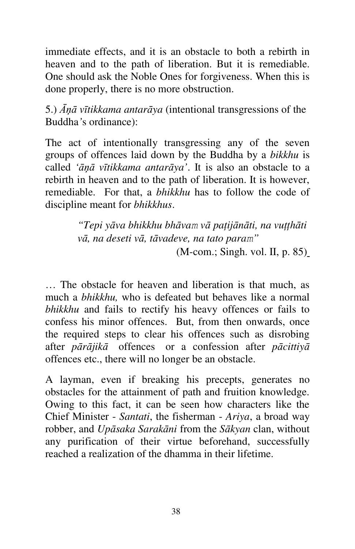immediate effects, and it is an obstacle to both a rebirth in heaven and to the path of liberation. But it is remediable. One should ask the Noble Ones for forgiveness. When this is done properly, there is no more obstruction.

5.) *Āņā vītikkama antarāya* (intentional transgressions of the Buddha*'*s ordinance):

The act of intentionally transgressing any of the seven groups of offences laid down by the Buddha by a *bikkhu* is called *'āņā vītikkama antarāya'*. It is also an obstacle to a rebirth in heaven and to the path of liberation. It is however, remediable. For that, a *bhikkhu* has to follow the code of discipline meant for *bhikkhus*.

> *"Tepi yāva bhikkhu bhāvam vā paţijānāti, na vuţţhāti vā, na deseti vā, tāvadeve, na tato param"* (M-com.; Singh. vol. II, p. 85)

… The obstacle for heaven and liberation is that much, as much a *bhikkhu,* who is defeated but behaves like a normal *bhikkhu* and fails to rectify his heavy offences or fails to confess his minor offences. But, from then onwards, once the required steps to clear his offences such as disrobing after *pārājikā* offences or a confession after *pācittiyā* offences etc., there will no longer be an obstacle.

A layman, even if breaking his precepts, generates no obstacles for the attainment of path and fruition knowledge. Owing to this fact, it can be seen how characters like the Chief Minister - *Santati*, the fisherman - *Ariya*, a broad way robber, and *Upāsaka Sarakāni* from the *Sākyan* clan, without any purification of their virtue beforehand, successfully reached a realization of the dhamma in their lifetime.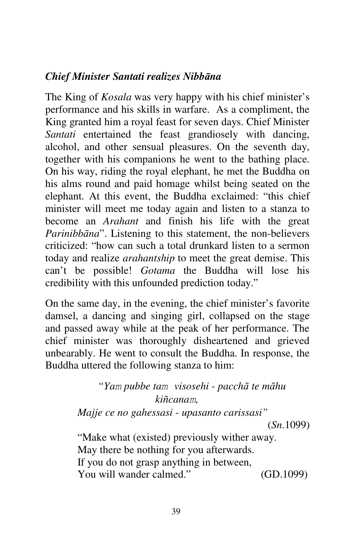# *Chief Minister Santati realizes Nibbāna*

The King of *Kosala* was very happy with his chief minister's performance and his skills in warfare. As a compliment, the King granted him a royal feast for seven days. Chief Minister *Santati* entertained the feast grandiosely with dancing, alcohol, and other sensual pleasures. On the seventh day, together with his companions he went to the bathing place. On his way, riding the royal elephant, he met the Buddha on his alms round and paid homage whilst being seated on the elephant. At this event, the Buddha exclaimed: "this chief minister will meet me today again and listen to a stanza to become an *Arahant* and finish his life with the great *Parinibbāna*". Listening to this statement, the non-believers criticized: "how can such a total drunkard listen to a sermon today and realize *arahantship* to meet the great demise. This can't be possible! *Gotama* the Buddha will lose his credibility with this unfounded prediction today."

On the same day, in the evening, the chief minister's favorite damsel, a dancing and singing girl, collapsed on the stage and passed away while at the peak of her performance. The chief minister was thoroughly disheartened and grieved unbearably. He went to consult the Buddha. In response, the Buddha uttered the following stanza to him:

> *"Yam pubbe tam visosehi - pacchā te māhu kiñcanam, Majje ce no gahessasi - upasanto carissasi"* (*Sn*.1099) "Make what (existed) previously wither away. May there be nothing for you afterwards. If you do not grasp anything in between, You will wander calmed." (GD.1099)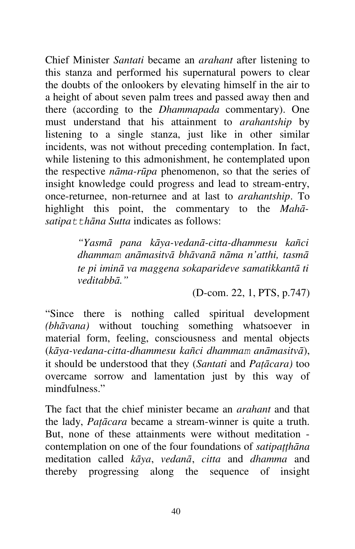Chief Minister *Santati* became an *arahant* after listening to this stanza and performed his supernatural powers to clear the doubts of the onlookers by elevating himself in the air to a height of about seven palm trees and passed away then and there (according to the *Dhammapada* commentary). One must understand that his attainment to *arahantship* by listening to a single stanza, just like in other similar incidents, was not without preceding contemplation. In fact, while listening to this admonishment, he contemplated upon the respective *nāma-rūpa* phenomenon, so that the series of insight knowledge could progress and lead to stream-entry, once-returnee, non-returnee and at last to *arahantship*. To highlight this point, the commentary to the *Mahā*satipa<sup>t</sup> thana Sutta indicates as follows:

> *"Yasmā pana kāya-vedanā-citta-dhammesu kañci dhammam anāmasitvā bhāvanā nāma n'atthi, tasmā te pi iminā va maggena sokaparideve samatikkantā ti veditabbā."*

> > (D-com. 22, 1, PTS, p.747)

"Since there is nothing called spiritual development *(bhāvana)* without touching something whatsoever in material form, feeling, consciousness and mental objects (*kāya-vedana-citta-dhammesu kañci dhammam anāmasitvā*), it should be understood that they (*Santati* and *Paţācara)* too overcame sorrow and lamentation just by this way of mindfulness."

The fact that the chief minister became an *arahant* and that the lady, *Paţācara* became a stream-winner is quite a truth. But, none of these attainments were without meditation contemplation on one of the four foundations of *satipaţţhāna*  meditation called *kāya*, *vedanā*, *citta* and *dhamma* and thereby progressing along the sequence of insight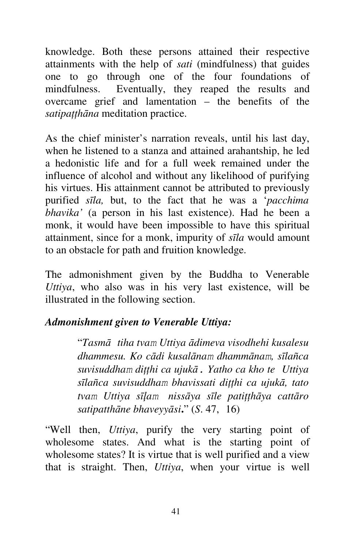knowledge. Both these persons attained their respective attainments with the help of *sati* (mindfulness) that guides one to go through one of the four foundations of mindfulness. Eventually, they reaped the results and overcame grief and lamentation – the benefits of the *satipaţţhāna* meditation practice.

As the chief minister's narration reveals, until his last day, when he listened to a stanza and attained arahantship, he led a hedonistic life and for a full week remained under the influence of alcohol and without any likelihood of purifying his virtues. His attainment cannot be attributed to previously purified *sīla,* but, to the fact that he was a '*pacchima bhavika'* (a person in his last existence). Had he been a monk, it would have been impossible to have this spiritual attainment, since for a monk, impurity of *sīla* would amount to an obstacle for path and fruition knowledge.

The admonishment given by the Buddha to Venerable *Uttiya*, who also was in his very last existence, will be illustrated in the following section.

# *Admonishment given to Venerable Uttiya:*

"*Tasmā tiha tvam Uttiya ādimeva visodhehi kusalesu dhammesu. Ko cādi kusalānam dhammānam, sīlañca suvisuddham diţţhi ca ujukā. Yatho ca kho te Uttiya sīlañca suvisuddham bhavissati diţţhi ca ujukā, tato tvam Uttiya sīļam nissāya sīle patiţţhāya cattāro satipatthāne bhaveyyāsi***.**" (*S*. 47, 16)

"Well then, *Uttiya*, purify the very starting point of wholesome states. And what is the starting point of wholesome states? It is virtue that is well purified and a view that is straight. Then, *Uttiya*, when your virtue is well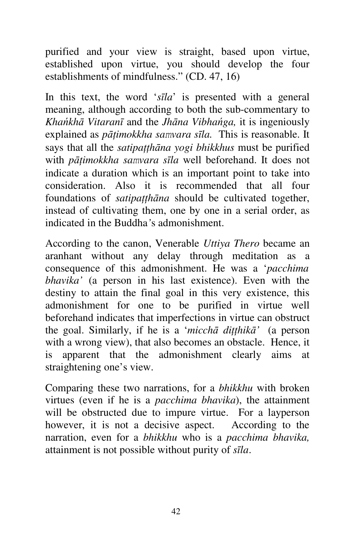purified and your view is straight, based upon virtue, established upon virtue, you should develop the four establishments of mindfulness." (CD. 47, 16)

In this text, the word '*sīla*' is presented with a general meaning, although according to both the sub-commentary to *Khańkhā Vitaranī* and the *Jhāna Vibhańga,* it is ingeniously explained as *pāţimokkha samvara sīla.* This is reasonable. It says that all the *satipaţţhāna yogi bhikkhus* must be purified with *pāţimokkha samvara sīla* well beforehand. It does not indicate a duration which is an important point to take into consideration. Also it is recommended that all four foundations of *satipatthana* should be cultivated together, instead of cultivating them, one by one in a serial order, as indicated in the Buddha*'*s admonishment.

According to the canon, Venerable *Uttiya Thero* became an aranhant without any delay through meditation as a consequence of this admonishment. He was a '*pacchima bhavika'* (a person in his last existence). Even with the destiny to attain the final goal in this very existence, this admonishment for one to be purified in virtue well beforehand indicates that imperfections in virtue can obstruct the goal. Similarly, if he is a '*micchā diţţhikā'* (a person with a wrong view), that also becomes an obstacle. Hence, it is apparent that the admonishment clearly aims at straightening one's view.

Comparing these two narrations, for a *bhikkhu* with broken virtues (even if he is a *pacchima bhavika*), the attainment will be obstructed due to impure virtue. For a layperson however, it is not a decisive aspect. According to the narration, even for a *bhikkhu* who is a *pacchima bhavika,*  attainment is not possible without purity of *sīla*.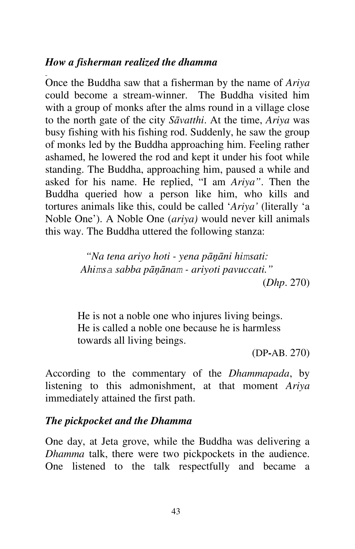#### *How a fisherman realized the dhamma*

Once the Buddha saw that a fisherman by the name of *Ariya*  could become a stream-winner. The Buddha visited him with a group of monks after the alms round in a village close to the north gate of the city *Sāvatthi*. At the time, *Ariya* was busy fishing with his fishing rod. Suddenly, he saw the group of monks led by the Buddha approaching him. Feeling rather ashamed, he lowered the rod and kept it under his foot while standing. The Buddha, approaching him, paused a while and asked for his name. He replied, "I am *Ariya"*. Then the Buddha queried how a person like him, who kills and tortures animals like this, could be called '*Ariya'* (literally 'a Noble One'). A Noble One (*ariya)* would never kill animals this way. The Buddha uttered the following stanza:

> *"Na tena ariyo hoti - yena pāņāni himsati: Ahimsa sabba pāņānam - ariyoti pavuccati."* (*Dhp*. 270)

He is not a noble one who injures living beings. He is called a noble one because he is harmless towards all living beings.

(DP**-**AB. 270)

According to the commentary of the *Dhammapada*, by listening to this admonishment, at that moment *Ariya*  immediately attained the first path.

#### *The pickpocket and the Dhamma*

One day, at Jeta grove, while the Buddha was delivering a *Dhamma* talk, there were two pickpockets in the audience. One listened to the talk respectfully and became a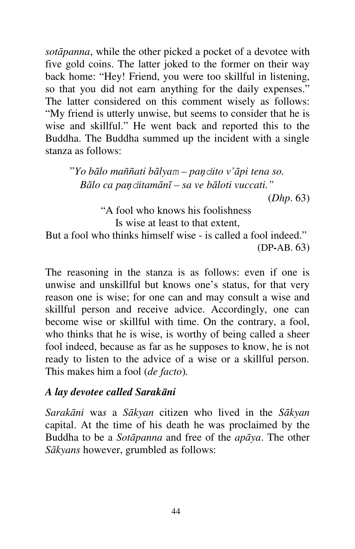*sotāpanna*, while the other picked a pocket of a devotee with five gold coins. The latter joked to the former on their way back home: "Hey! Friend, you were too skillful in listening, so that you did not earn anything for the daily expenses." The latter considered on this comment wisely as follows: "My friend is utterly unwise, but seems to consider that he is wise and skillful." He went back and reported this to the Buddha. The Buddha summed up the incident with a single stanza as follows:

"*Yo bālo maññati bālyam – paņdito v'āpi tena so. Bālo ca paņditamānī – sa ve bāloti vuccati."*

(*Dhp*. 63)

"A fool who knows his foolishness Is wise at least to that extent,

But a fool who thinks himself wise - is called a fool indeed." (DP**-**AB. 63)

The reasoning in the stanza is as follows: even if one is unwise and unskillful but knows one's status, for that very reason one is wise; for one can and may consult a wise and skillful person and receive advice. Accordingly, one can become wise or skillful with time. On the contrary, a fool, who thinks that he is wise, is worthy of being called a sheer fool indeed, because as far as he supposes to know, he is not ready to listen to the advice of a wise or a skillful person. This makes him a fool (*de facto*)*.* 

#### *A lay devotee called Sarakāni*

*Sarakāni* wa*s* a *Sākyan* citizen who lived in the *Sākyan*  capital. At the time of his death he was proclaimed by the Buddha to be a *Sotāpanna* and free of the *apāya*. The other *Sākyans* however, grumbled as follows: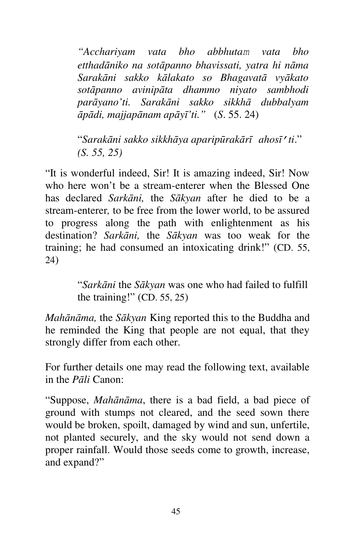*"Acchariyam vata bho abbhutam vata bho etthadāniko na sotāpanno bhavissati, yatra hi nāma Sarakāni sakko kālakato so Bhagavatā vyākato sotāpanno avinipāta dhammo niyato sambhodi parāyano'ti. Sarakāni sakko sikkhā dubbalyam āpādi, majjapānam apāyī'ti."* (*S*. 55. 24)

"*Sarakāni sakko sikkhāya aparipūrakārī ahosī'ti*." *(S. 55, 25)* 

"It is wonderful indeed, Sir! It is amazing indeed, Sir! Now who here won't be a stream-enterer when the Blessed One has declared *Sarkāni,* the *Sākyan* after he died to be a stream-enterer*,* to be free from the lower world, to be assured to progress along the path with enlightenment as his destination? *Sarkāni,* the *Sākyan* was too weak for the training; he had consumed an intoxicating drink!" (CD. 55, 24)

> "*Sarkāni* the *Sākyan* was one who had failed to fulfill the training!" (CD. 55, 25)

*Mahānāma,* the *Sākyan* King reported this to the Buddha and he reminded the King that people are not equal, that they strongly differ from each other.

For further details one may read the following text, available in the *Pāli* Canon:

"Suppose, *Mahānāma*, there is a bad field, a bad piece of ground with stumps not cleared, and the seed sown there would be broken, spoilt, damaged by wind and sun, unfertile, not planted securely, and the sky would not send down a proper rainfall. Would those seeds come to growth, increase, and expand?"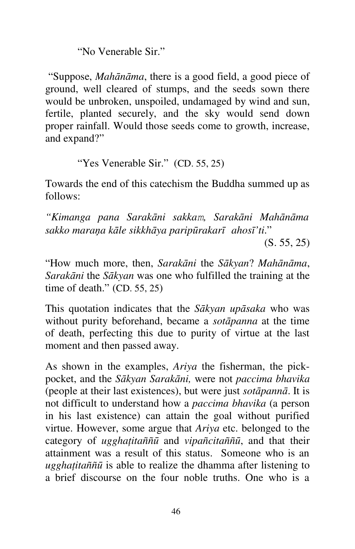"No Venerable Sir."

 "Suppose, *Mahānāma*, there is a good field, a good piece of ground, well cleared of stumps, and the seeds sown there would be unbroken, unspoiled, undamaged by wind and sun, fertile, planted securely, and the sky would send down proper rainfall. Would those seeds come to growth, increase, and expand?"

"Yes Venerable Sir." (CD. 55, 25)

Towards the end of this catechism the Buddha summed up as follows:

*"Kimanga pana Sarakāni sakkam, Sarakāni Mahānāma sakko maraņa kāle sikkhāya paripūrakarī ahosī'ti*."

 $(S. 55, 25)$ 

"How much more, then, *Sarakāni* the *Sākyan*? *Mahānāma*, *Sarakāni* the *Sākyan* was one who fulfilled the training at the time of death." (CD. 55, 25)

This quotation indicates that the *Sākyan upāsaka* who was without purity beforehand, became a *sotāpanna* at the time of death, perfecting this due to purity of virtue at the last moment and then passed away.

As shown in the examples, *Ariya* the fisherman, the pickpocket, and the *Sākyan Sarakāni,* were not *paccima bhavika*  (people at their last existences), but were just *sotāpannā*. It is not difficult to understand how a *paccima bhavika* (a person in his last existence) can attain the goal without purified virtue. However, some argue that *Ariya* etc. belonged to the category of *ugghaţitaññū* and *vipañcitaññū*, and that their attainment was a result of this status. Someone who is an *ugghaţitaññū* is able to realize the dhamma after listening to a brief discourse on the four noble truths. One who is a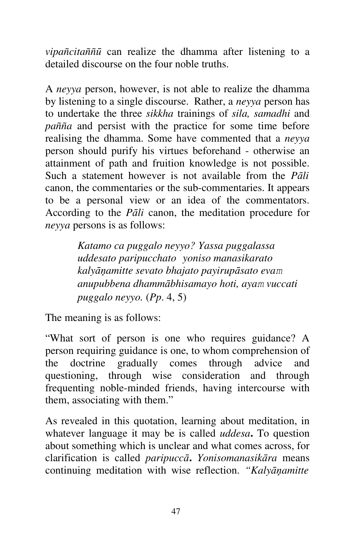*vipañcitaññū* can realize the dhamma after listening to a detailed discourse on the four noble truths.

A *neyya* person, however, is not able to realize the dhamma by listening to a single discourse. Rather, a *neyya* person has to undertake the three *sikkha* trainings of *sila, samadhi* and *pañña* and persist with the practice for some time before realising the dhamma. Some have commented that a *neyya*  person should purify his virtues beforehand - otherwise an attainment of path and fruition knowledge is not possible. Such a statement however is not available from the *Pāli*  canon, the commentaries or the sub-commentaries. It appears to be a personal view or an idea of the commentators. According to the *Pāli* canon, the meditation procedure for *neyya* persons is as follows:

> *Katamo ca puggalo neyyo? Yassa puggalassa uddesato paripucchato yoniso manasikarato kalyāņamitte sevato bhajato payirupāsato evam anupubbena dhammābhisamayo hoti, ayam vuccati puggalo neyyo.* (*Pp*. 4, 5)

The meaning is as follows:

"What sort of person is one who requires guidance? A person requiring guidance is one, to whom comprehension of the doctrine gradually comes through advice and questioning, through wise consideration and through frequenting noble-minded friends, having intercourse with them, associating with them."

As revealed in this quotation, learning about meditation, in whatever language it may be is called *uddesa***.** To question about something which is unclear and what comes across, for clarification is called *paripuccā***.** *Yonisomanasikāra* means continuing meditation with wise reflection. *"Kalyāņamitte*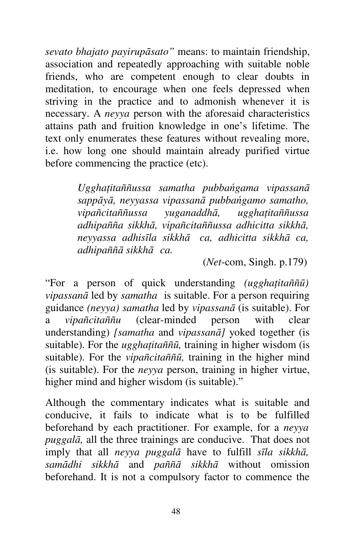*sevato bhajato payirupāsato"* means: to maintain friendship, association and repeatedly approaching with suitable noble friends, who are competent enough to clear doubts in meditation, to encourage when one feels depressed when striving in the practice and to admonish whenever it is necessary. A *neyya* person with the aforesaid characteristics attains path and fruition knowledge in one's lifetime. The text only enumerates these features without revealing more, i.e. how long one should maintain already purified virtue before commencing the practice (etc).

> *Ugghaţitaññussa samatha pubbańgama vipassanā sappāyā, neyyassa vipassanā pubbańgamo samatho, vipañcitaññussa yuganaddhā, ugghaţitaññussa adhipañña sikkhā, vipañcitaññussa adhicitta sikkhā, neyyassa adhisīla sikkhā ca, adhicitta sikkhā ca, adhipaññā sikkhā ca.*

> > (*Net*-com, Singh. p.179)

"For a person of quick understanding *(ugghaţitaññū) vipassanā* led by *samatha* is suitable. For a person requiring guidance *(neyya) samatha* led by *vipassanā* (is suitable). For a *vipañcitaññu* (clear-minded person with clear understanding) *[samatha* and *vipassanā]* yoked together (is suitable). For the *ugghaţitaññū,* training in higher wisdom (is suitable). For the *vipañcitaññū,* training in the higher mind (is suitable). For the *neyya* person, training in higher virtue, higher mind and higher wisdom (is suitable)."

Although the commentary indicates what is suitable and conducive, it fails to indicate what is to be fulfilled beforehand by each practitioner. For example, for a *neyya puggalā,* all the three trainings are conducive. That does not imply that all *neyya puggalā* have to fulfill *sīla sikkhā, samādhi sikkhā* and *paññā sikkhā* without omission beforehand. It is not a compulsory factor to commence the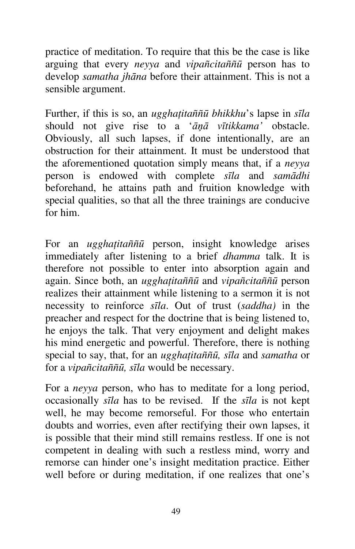practice of meditation. To require that this be the case is like arguing that every *neyya* and *vipañcitaññū* person has to develop *samatha jhāna* before their attainment. This is not a sensible argument.

Further, if this is so, an *ugghaţitaññū bhikkhu*'s lapse in *sīla*  should not give rise to a '*āņā vītikkama'* obstacle. Obviously, all such lapses, if done intentionally, are an obstruction for their attainment. It must be understood that the aforementioned quotation simply means that, if a *neyya*  person is endowed with complete *sīla* and *samādhi*  beforehand, he attains path and fruition knowledge with special qualities, so that all the three trainings are conducive for him.

For an *ugghaţitaññū* person, insight knowledge arises immediately after listening to a brief *dhamma* talk. It is therefore not possible to enter into absorption again and again. Since both, an *ugghaţitaññū* and *vipañcitaññū* person realizes their attainment while listening to a sermon it is not necessity to reinforce *sīla*. Out of trust (*saddha)* in the preacher and respect for the doctrine that is being listened to, he enjoys the talk. That very enjoyment and delight makes his mind energetic and powerful. Therefore, there is nothing special to say, that, for an *ugghaţitaññū, sīla* and *samatha* or for a *vipañcitaññū, sīla* would be necessary.

For a *neyya* person, who has to meditate for a long period, occasionally *sīla* has to be revised. If the *sīla* is not kept well, he may become remorseful. For those who entertain doubts and worries, even after rectifying their own lapses, it is possible that their mind still remains restless. If one is not competent in dealing with such a restless mind, worry and remorse can hinder one's insight meditation practice. Either well before or during meditation, if one realizes that one's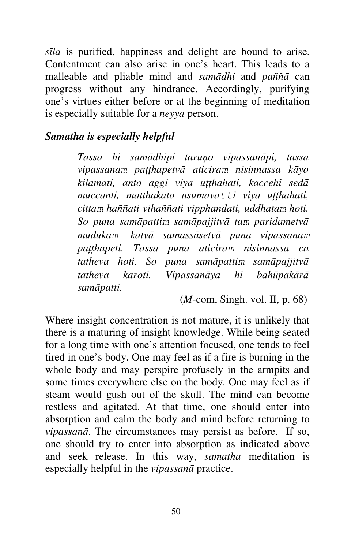*sīla* is purified, happiness and delight are bound to arise. Contentment can also arise in one's heart. This leads to a malleable and pliable mind and *samādhi* and *paññā* can progress without any hindrance. Accordingly, purifying one's virtues either before or at the beginning of meditation is especially suitable for a *neyya* person.

### *Samatha is especially helpful*

*Tassa hi samādhipi taruņo vipassanāpi, tassa vipassanam paţţhapetvā aticiram nisinnassa kāyo kilamati, anto aggi viya uţţhahati, kaccehi sedā muccanti, matthakato usumava*<sup>tti</sup> viya utthahati, *cittam haññati vihaññati vipphandati, uddhatam hoti. So puna samāpattim samāpajjitvā tam paridametvā mudukam katvā samassāsetvā puna vipassanam paţţhapeti. Tassa puna aticiram nisinnassa ca tatheva hoti. So puna samāpattim samāpajjitvā tatheva karoti. Vipassanāya hi bahūpakārā samāpatti.* 

(*M*-com, Singh. vol. II, p. 68)

Where insight concentration is not mature, it is unlikely that there is a maturing of insight knowledge. While being seated for a long time with one's attention focused, one tends to feel tired in one's body. One may feel as if a fire is burning in the whole body and may perspire profusely in the armpits and some times everywhere else on the body. One may feel as if steam would gush out of the skull. The mind can become restless and agitated. At that time, one should enter into absorption and calm the body and mind before returning to *vipassanā*. The circumstances may persist as before. If so, one should try to enter into absorption as indicated above and seek release. In this way, *samatha* meditation is especially helpful in the *vipassanā* practice.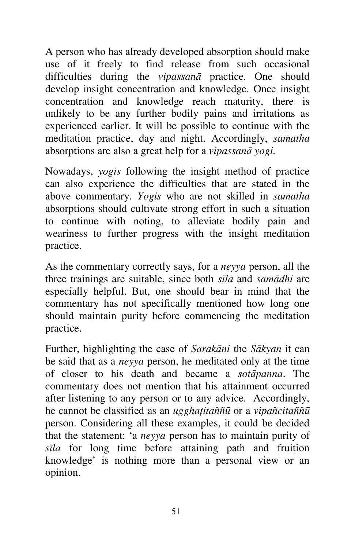A person who has already developed absorption should make use of it freely to find release from such occasional difficulties during the *vipassanā* practice*.* One should develop insight concentration and knowledge. Once insight concentration and knowledge reach maturity, there is unlikely to be any further bodily pains and irritations as experienced earlier. It will be possible to continue with the meditation practice, day and night. Accordingly, *samatha*  absorptions are also a great help for a *vipassanā yogi.*

Nowadays, *yogis* following the insight method of practice can also experience the difficulties that are stated in the above commentary. *Yogis* who are not skilled in *samatha*  absorptions should cultivate strong effort in such a situation to continue with noting, to alleviate bodily pain and weariness to further progress with the insight meditation practice.

As the commentary correctly says, for a *neyya* person, all the three trainings are suitable, since both *sīla* and *samādhi* are especially helpful. But, one should bear in mind that the commentary has not specifically mentioned how long one should maintain purity before commencing the meditation practice.

Further, highlighting the case of *Sarakāni* the *Sākyan* it can be said that as a *neyya* person, he meditated only at the time of closer to his death and became a *sotāpanna*. The commentary does not mention that his attainment occurred after listening to any person or to any advice. Accordingly, he cannot be classified as an *ugghaţitaññū* or a *vipañcitaññū* person. Considering all these examples, it could be decided that the statement: 'a *neyya* person has to maintain purity of *sīla* for long time before attaining path and fruition knowledge' is nothing more than a personal view or an opinion.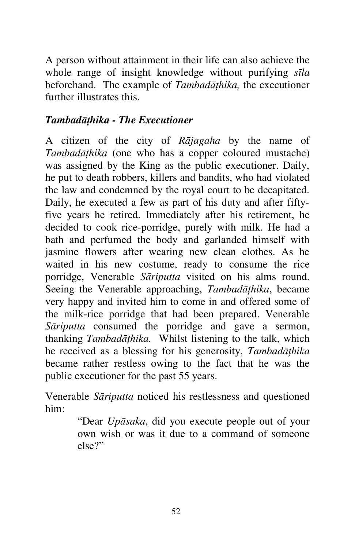A person without attainment in their life can also achieve the whole range of insight knowledge without purifying *sīla*  beforehand. The example of *Tambadāţhika,* the executioner further illustrates this.

# *Tambadāţhika - The Executioner*

A citizen of the city of *Rājagaha* by the name of *Tambadāţhika* (one who has a copper coloured mustache) was assigned by the King as the public executioner. Daily, he put to death robbers, killers and bandits, who had violated the law and condemned by the royal court to be decapitated. Daily, he executed a few as part of his duty and after fiftyfive years he retired. Immediately after his retirement, he decided to cook rice-porridge, purely with milk. He had a bath and perfumed the body and garlanded himself with jasmine flowers after wearing new clean clothes. As he waited in his new costume, ready to consume the rice porridge, Venerable *Sāriputta* visited on his alms round. Seeing the Venerable approaching, *Tambadāţhika*, became very happy and invited him to come in and offered some of the milk-rice porridge that had been prepared. Venerable *Sāriputta* consumed the porridge and gave a sermon, thanking *Tambadāţhika.* Whilst listening to the talk, which he received as a blessing for his generosity, *Tambadāţhika*  became rather restless owing to the fact that he was the public executioner for the past 55 years.

Venerable *Sāriputta* noticed his restlessness and questioned him:

> "Dear *Upāsaka*, did you execute people out of your own wish or was it due to a command of someone else?"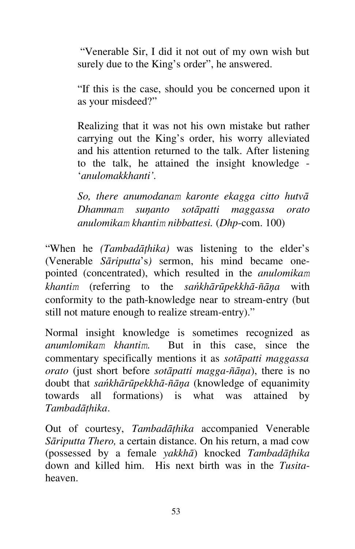"Venerable Sir, I did it not out of my own wish but surely due to the King's order", he answered.

"If this is the case, should you be concerned upon it as your misdeed?"

Realizing that it was not his own mistake but rather carrying out the King's order, his worry alleviated and his attention returned to the talk. After listening to the talk, he attained the insight knowledge - '*anulomakkhanti'.*

*So, there anumodanam karonte ekagga citto hutvā Dhammam suņanto sotāpatti maggassa orato anulomikam khantim nibbattesi.* (*Dhp*-com. 100)

"When he *(Tambadāţhika)* was listening to the elder's (Venerable *Sāriputta*'s*)* sermon, his mind became onepointed (concentrated), which resulted in the *anulomikam khantim* (referring to the *sańkhārūpekkhā-ñāņa* with conformity to the path-knowledge near to stream-entry (but still not mature enough to realize stream-entry)."

Normal insight knowledge is sometimes recognized as *anumlomikam khantim*. But in this case, since the commentary specifically mentions it as *sotāpatti maggassa orato* (just short before *sotāpatti magga-ñāņa*), there is no doubt that *sańkhārūpekkhā-ñāņa* (knowledge of equanimity towards all formations) is what was attained by *Tambadāţhika*.

Out of courtesy, *Tambadāţhika* accompanied Venerable *Sāriputta Thero,* a certain distance. On his return, a mad cow (possessed by a female *yakkhā*) knocked *Tambadāţhika*  down and killed him. His next birth was in the *Tusita*heaven.

53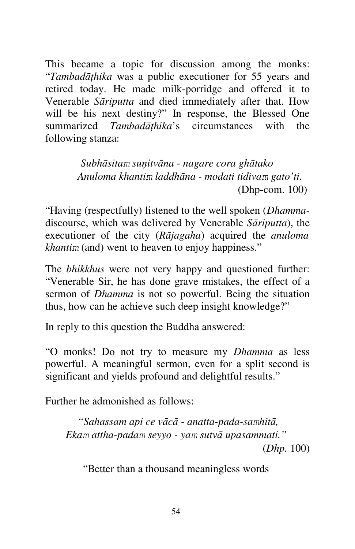This became a topic for discussion among the monks: "*Tambadāţhika* was a public executioner for 55 years and retired today. He made milk-porridge and offered it to Venerable *Sāriputta* and died immediately after that. How will be his next destiny?" In response, the Blessed One summarized *Tambadāţhika*'s circumstances with the following stanza:

> *Subhāsitam suņitvāna - nagare cora ghātako Anuloma khantim laddhāna - modati tidivam gato'ti.* (Dhp-com. 100)

"Having (respectfully) listened to the well spoken (*Dhamma*discourse, which was delivered by Venerable *Sāriputta*), the executioner of the city (*Rājagaha*) acquired the *anuloma khantim* (and) went to heaven to enjoy happiness."

The *bhikkhus* were not very happy and questioned further: "Venerable Sir, he has done grave mistakes, the effect of a sermon of *Dhamma* is not so powerful. Being the situation thus, how can he achieve such deep insight knowledge?"

In reply to this question the Buddha answered:

"O monks! Do not try to measure my *Dhamma* as less powerful. A meaningful sermon, even for a split second is significant and yields profound and delightful results."

Further he admonished as follows:

*"Sahassam api ce vācā - anatta-pada-samhitā, Ekam attha-padam seyyo - yam sutvā upasammati."* (*Dhp.* 100)

"Better than a thousand meaningless words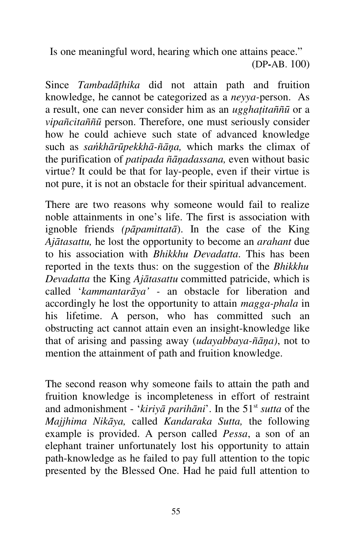Is one meaningful word, hearing which one attains peace." (DP**-**AB. 100)

Since *Tambadāţhika* did not attain path and fruition knowledge, he cannot be categorized as a *neyya-*person. As a result, one can never consider him as an *ugghaţitaññū* or a *vipañcitaññū* person. Therefore, one must seriously consider how he could achieve such state of advanced knowledge such as *sańkhārūpekkhā-ñāņa,* which marks the climax of the purification of *patipada ñāņadassana,* even without basic virtue? It could be that for lay-people, even if their virtue is not pure, it is not an obstacle for their spiritual advancement.

There are two reasons why someone would fail to realize noble attainments in one's life. The first is association with ignoble friends *(pāpamittatā*). In the case of the King *Ajātasattu,* he lost the opportunity to become an *arahant* due to his association with *Bhikkhu Devadatta*. This has been reported in the texts thus: on the suggestion of the *Bhikkhu Devadatta* the King *Ajātasattu* committed patricide, which is called '*kammantarāya' -* an obstacle for liberation and accordingly he lost the opportunity to attain *magga-phala* in his lifetime. A person, who has committed such an obstructing act cannot attain even an insight-knowledge like that of arising and passing away (*udayabbaya-ñāņa)*, not to mention the attainment of path and fruition knowledge.

The second reason why someone fails to attain the path and fruition knowledge is incompleteness in effort of restraint and admonishment - '*kiriyā parihāni*'. In the 51st *sutta* of the *Majjhima Nikāya,* called *Kandaraka Sutta,* the following example is provided. A person called *Pessa*, a son of an elephant trainer unfortunately lost his opportunity to attain path-knowledge as he failed to pay full attention to the topic presented by the Blessed One. Had he paid full attention to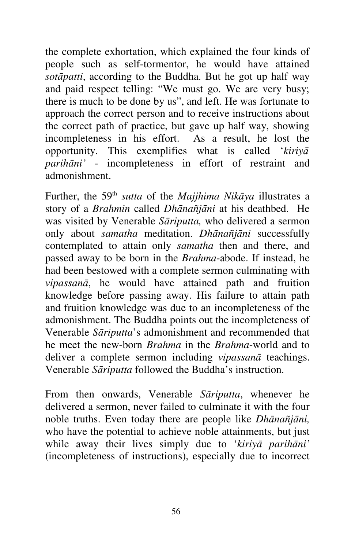the complete exhortation, which explained the four kinds of people such as self-tormentor, he would have attained *sotāpatti*, according to the Buddha. But he got up half way and paid respect telling: "We must go. We are very busy; there is much to be done by us", and left. He was fortunate to approach the correct person and to receive instructions about the correct path of practice, but gave up half way, showing incompleteness in his effort. As a result, he lost the opportunity. This exemplifies what is called '*kiriyā parihāni'* - incompleteness in effort of restraint and admonishment.

Further, the 59th *sutta* of the *Majjhima Nikāya* illustrates a story of a *Brahmin* called *Dhānañjāni* at his deathbed. He was visited by Venerable *Sāriputta,* who delivered a sermon only about *samatha* meditation. *Dhānañjāni* successfully contemplated to attain only *samatha* then and there, and passed away to be born in the *Brahma*-abode. If instead, he had been bestowed with a complete sermon culminating with *vipassanā*, he would have attained path and fruition knowledge before passing away. His failure to attain path and fruition knowledge was due to an incompleteness of the admonishment. The Buddha points out the incompleteness of Venerable *Sāriputta*'s admonishment and recommended that he meet the new-born *Brahma* in the *Brahma*-world and to deliver a complete sermon including *vipassanā* teachings. Venerable *Sāriputta* followed the Buddha's instruction.

From then onwards, Venerable *Sāriputta*, whenever he delivered a sermon, never failed to culminate it with the four noble truths. Even today there are people like *Dhānañjāni,*  who have the potential to achieve noble attainments, but just while away their lives simply due to '*kiriyā parihāni'*  (incompleteness of instructions), especially due to incorrect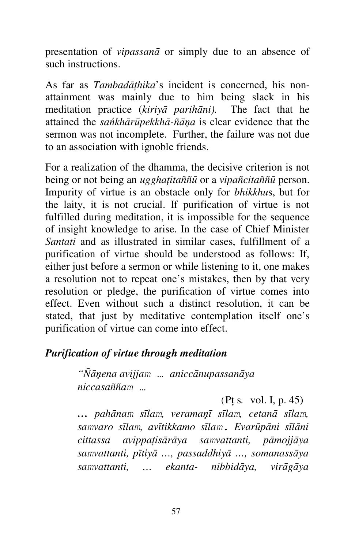presentation of *vipassanā* or simply due to an absence of such instructions.

As far as *Tambadāţhika*'s incident is concerned, his nonattainment was mainly due to him being slack in his meditation practice (*kiriyā parihāni).* The fact that he attained the *sańkhārūpekkhā-ñāņa* is clear evidence that the sermon was not incomplete. Further, the failure was not due to an association with ignoble friends.

For a realization of the dhamma, the decisive criterion is not being or not being an *ugghaţitaññū* or a *vipañcitaññū* person. Impurity of virtue is an obstacle only for *bhikkhu*s, but for the laity, it is not crucial. If purification of virtue is not fulfilled during meditation, it is impossible for the sequence of insight knowledge to arise. In the case of Chief Minister *Santati* and as illustrated in similar cases, fulfillment of a purification of virtue should be understood as follows: If, either just before a sermon or while listening to it, one makes a resolution not to repeat one's mistakes, then by that very resolution or pledge, the purification of virtue comes into effect. Even without such a distinct resolution, it can be stated, that just by meditative contemplation itself one's purification of virtue can come into effect.

#### *Purification of virtue through meditation*

*"Ñāņena avijjam … aniccānupassanāya niccasaññam …*

(Pţ s*.* vol. I, p. 45)

*… pahānam sīlam, veramaņī sīlam, cetanā sīlam, samvaro sīlam, avītikkamo sīlam. Evarūpāni sīlāni cittassa avippaţisārāya samvattanti, pāmojjāya samvattanti, pītiyā …, passaddhiyā …, somanassāya samvattanti, … ekanta- nibbidāya, virāgāya*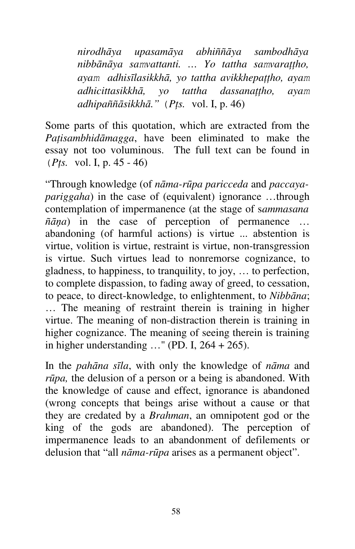*nirodhāya upasamāya abhiññāya sambodhāya nibbānāya samvattanti. … Yo tattha samvaraţţho, ayam adhisīlasikkhā, yo tattha avikkhepaţţho, ayam adhicittasikkhā*, yo tattha dassanattho, ayam *adhipaññāsikkhā."* (*Pţs.* vol. I, p. 46)

Some parts of this quotation, which are extracted from the *Paţisambhidāmagga*, have been eliminated to make the essay not too voluminous. The full text can be found in (*Pţs.* vol. I, p. 45 - 46)

"Through knowledge (of *nāma-rūpa paricceda* and *paccayapariggaha*) in the case of (equivalent) ignorance …through contemplation of impermanence (at the stage of s*ammasana ñāņa*) in the case of perception of permanence … abandoning (of harmful actions) is virtue ... abstention is virtue, volition is virtue, restraint is virtue, non-transgression is virtue. Such virtues lead to nonremorse cognizance, to gladness, to happiness, to tranquility, to joy, … to perfection, to complete dispassion, to fading away of greed, to cessation, to peace, to direct-knowledge, to enlightenment, to *Nibbāna*; … The meaning of restraint therein is training in higher virtue. The meaning of non-distraction therein is training in higher cognizance. The meaning of seeing therein is training in higher understanding  $\ldots$ " (PD. I, 264 + 265).

In the *pahāna sīla*, with only the knowledge of *nāma* and *rūpa,* the delusion of a person or a being is abandoned. With the knowledge of cause and effect, ignorance is abandoned (wrong concepts that beings arise without a cause or that they are credated by a *Brahman*, an omnipotent god or the king of the gods are abandoned). The perception of impermanence leads to an abandonment of defilements or delusion that "all *nāma-rūpa* arises as a permanent object".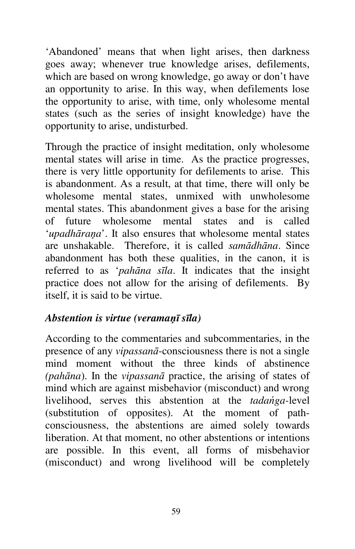'Abandoned' means that when light arises, then darkness goes away; whenever true knowledge arises, defilements, which are based on wrong knowledge, go away or don't have an opportunity to arise. In this way, when defilements lose the opportunity to arise, with time, only wholesome mental states (such as the series of insight knowledge) have the opportunity to arise, undisturbed.

Through the practice of insight meditation, only wholesome mental states will arise in time. As the practice progresses, there is very little opportunity for defilements to arise. This is abandonment. As a result, at that time, there will only be wholesome mental states, unmixed with unwholesome mental states. This abandonment gives a base for the arising of future wholesome mental states and is called '*upadhāraņa*'. It also ensures that wholesome mental states are unshakable. Therefore, it is called *samādhāna*. Since abandonment has both these qualities, in the canon, it is referred to as '*pahāna sīla*. It indicates that the insight practice does not allow for the arising of defilements. By itself, it is said to be virtue.

# *Abstention is virtue (veramaņī sīla)*

According to the commentaries and subcommentaries, in the presence of any *vipassanā*-consciousness there is not a single mind moment without the three kinds of abstinence *(pahāna*). In the *vipassanā* practice, the arising of states of mind which are against misbehavior (misconduct) and wrong livelihood, serves this abstention at the *tadańga-*level (substitution of opposites). At the moment of pathconsciousness, the abstentions are aimed solely towards liberation. At that moment, no other abstentions or intentions are possible. In this event, all forms of misbehavior (misconduct) and wrong livelihood will be completely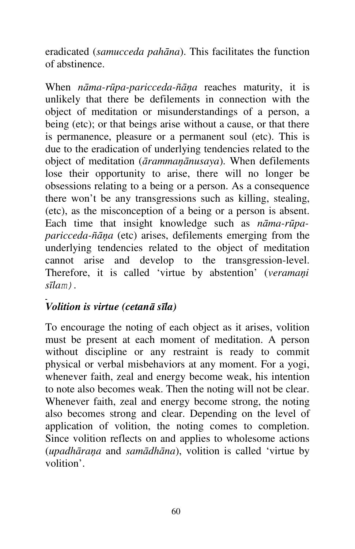eradicated (*samucceda pahāna*). This facilitates the function of abstinence.

When *nāma-rūpa-paricceda-ñāņa* reaches maturity, it is unlikely that there be defilements in connection with the object of meditation or misunderstandings of a person, a being (etc); or that beings arise without a cause, or that there is permanence, pleasure or a permanent soul (etc). This is due to the eradication of underlying tendencies related to the object of meditation (*ārammaņānusaya*). When defilements lose their opportunity to arise, there will no longer be obsessions relating to a being or a person. As a consequence there won't be any transgressions such as killing, stealing, (etc), as the misconception of a being or a person is absent. Each time that insight knowledge such as *nāma-rūpaparicceda-ñāņa* (etc) arises, defilements emerging from the underlying tendencies related to the object of meditation cannot arise and develop to the transgression-level. Therefore, it is called 'virtue by abstention' (*veramaņi sīlam)*.

# *Volition is virtue (cetanā sīla)*

To encourage the noting of each object as it arises, volition must be present at each moment of meditation. A person without discipline or any restraint is ready to commit physical or verbal misbehaviors at any moment. For a yogi, whenever faith, zeal and energy become weak, his intention to note also becomes weak. Then the noting will not be clear. Whenever faith, zeal and energy become strong, the noting also becomes strong and clear. Depending on the level of application of volition, the noting comes to completion. Since volition reflects on and applies to wholesome actions (*upadhāraņa* and *samādhāna*), volition is called 'virtue by volition'.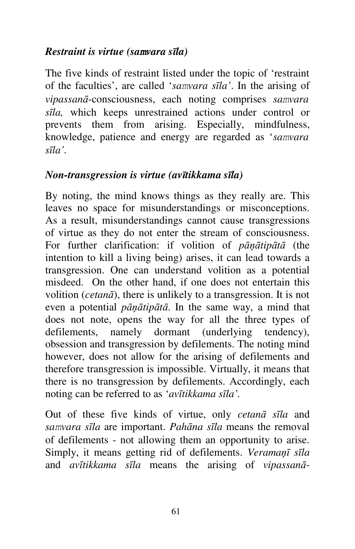# *Restraint is virtue (sa***m***vara sīla)*

The five kinds of restraint listed under the topic of 'restraint of the faculties', are called '*samvara sīla'*. In the arising of *vipassanā*-consciousness, each noting comprises *samvara sīla,* which keeps unrestrained actions under control or prevents them from arising. Especially, mindfulness, knowledge, patience and energy are regarded as '*samvara sīla'.*

### *Non-transgression is virtue (avītikkama sīla)*

By noting, the mind knows things as they really are. This leaves no space for misunderstandings or misconceptions. As a result, misunderstandings cannot cause transgressions of virtue as they do not enter the stream of consciousness. For further clarification: if volition of *pāņātipātā* (the intention to kill a living being) arises, it can lead towards a transgression. One can understand volition as a potential misdeed. On the other hand, if one does not entertain this volition (*cetanā*), there is unlikely to a transgression. It is not even a potential *pāņātipātā*. In the same way, a mind that does not note, opens the way for all the three types of defilements, namely dormant (underlying tendency), obsession and transgression by defilements. The noting mind however, does not allow for the arising of defilements and therefore transgression is impossible. Virtually, it means that there is no transgression by defilements. Accordingly, each noting can be referred to as '*avītikkama sīla'.*

Out of these five kinds of virtue, only *cetanā sīla* and *samvara sīla* are important. *Pahāna sīla* means the removal of defilements - not allowing them an opportunity to arise. Simply, it means getting rid of defilements. *Veramaņī sīla*  and *avītikkama sīla* means the arising of *vipassanā*-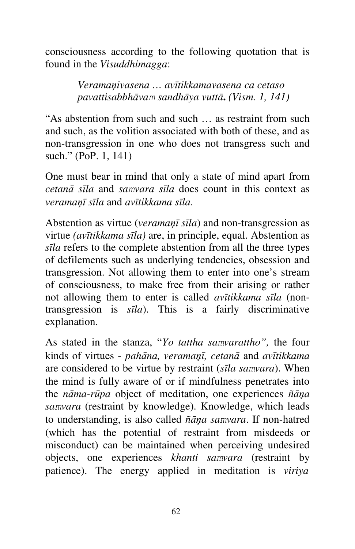consciousness according to the following quotation that is found in the *Visuddhimagga*:

> *Veramaņivasena … avītikkamavasena ca cetaso pavattisabbhāvam sandhāya vuttā***.** *(Vism. 1, 141)*

"As abstention from such and such … as restraint from such and such, as the volition associated with both of these, and as non-transgression in one who does not transgress such and such." (PoP. 1, 141)

One must bear in mind that only a state of mind apart from *cetanā sīla* and *samvara sīla* does count in this context as *veramaņī sīla* and *avītikkama sīla*.

Abstention as virtue (*veramaņī sīla*) and non-transgression as virtue *(avītikkama sīla)* are, in principle, equal. Abstention as *sīla* refers to the complete abstention from all the three types of defilements such as underlying tendencies, obsession and transgression. Not allowing them to enter into one's stream of consciousness, to make free from their arising or rather not allowing them to enter is called *avītikkama sīla* (nontransgression is *sīla*). This is a fairly discriminative explanation.

As stated in the stanza, "*Yo tattha samvarattho",* the four kinds of virtues - *pahāna, veramaņī, cetanā* and *avītikkama*  are considered to be virtue by restraint (*sīla samvara*). When the mind is fully aware of or if mindfulness penetrates into the *nāma-rūpa* object of meditation, one experiences *ñāņa samvara* (restraint by knowledge). Knowledge, which leads to understanding, is also called *ñāņa samvara*. If non-hatred (which has the potential of restraint from misdeeds or misconduct) can be maintained when perceiving undesired objects, one experiences *khanti samvara* (restraint by patience). The energy applied in meditation is *viriya*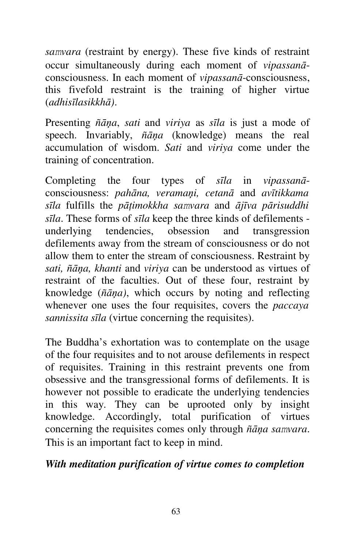*samvara* (restraint by energy). These five kinds of restraint occur simultaneously during each moment of *vipassanā*consciousness. In each moment of *vipassanā*-consciousness, this fivefold restraint is the training of higher virtue (*adhisīlasikkhā)*.

Presenting *ñāņa*, *sati* and *viriya* as *sīla* is just a mode of speech. Invariably, *ñāņa* (knowledge) means the real accumulation of wisdom. *Sati* and *viriya* come under the training of concentration.

Completing the four types of *sīla* in *vipassanā*consciousness: *pahāna, veramaņi, cetanā* and *avītikkama sīla* fulfills the *pāţimokkha samvara* and *ājīva pārisuddhi sīla*. These forms of *sīla* keep the three kinds of defilements underlying tendencies, obsession and transgression defilements away from the stream of consciousness or do not allow them to enter the stream of consciousness. Restraint by *sati, ñāņa, khanti* and *viriya* can be understood as virtues of restraint of the faculties. Out of these four, restraint by knowledge (*ñāņa)*, which occurs by noting and reflecting whenever one uses the four requisites, covers the *paccaya sannissita sīla* (virtue concerning the requisites).

The Buddha's exhortation was to contemplate on the usage of the four requisites and to not arouse defilements in respect of requisites. Training in this restraint prevents one from obsessive and the transgressional forms of defilements. It is however not possible to eradicate the underlying tendencies in this way. They can be uprooted only by insight knowledge. Accordingly, total purification of virtues concerning the requisites comes only through *ñāņa samvara*. This is an important fact to keep in mind.

#### *With meditation purification of virtue comes to completion*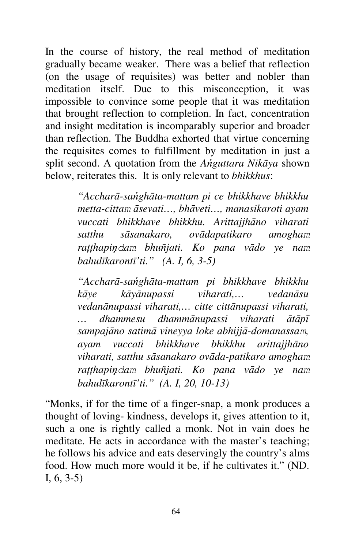In the course of history, the real method of meditation gradually became weaker. There was a belief that reflection (on the usage of requisites) was better and nobler than meditation itself. Due to this misconception, it was impossible to convince some people that it was meditation that brought reflection to completion. In fact, concentration and insight meditation is incomparably superior and broader than reflection. The Buddha exhorted that virtue concerning the requisites comes to fulfillment by meditation in just a split second. A quotation from the *Ańguttara Nikāya* shown below, reiterates this. It is only relevant to *bhikkhus*:

> *"Accharā-sańghāta-mattam pi ce bhikkhave bhikkhu metta-cittam āsevati…, bhāveti…, manasikaroti ayam vuccati bhikkhave bhikkhu. Arittajjhāno viharati satthu sāsanakaro, ovādapatikaro amogham raţţhapiņdam bhuñjati. Ko pana vādo ye nam bahulīkarontī'ti." (A. I, 6, 3-5)*

> *"Accharā-sańghāta-mattam pi bhikkhave bhikkhu kāye kāyānupassi viharati,… vedanāsu vedanānupassi viharati,… citte cittānupassi viharati, … dhammesu dhammānupassi viharati ātāpī sampajāno satimā vineyya loke abhijjā-domanassam, ayam vuccati bhikkhave bhikkhu arittajjhāno viharati, satthu sāsanakaro ovāda-patikaro amogham raţţhapiņdam bhuñjati. Ko pana vādo ye nam bahulīkarontī'ti." (A. I, 20, 10-13)*

"Monks, if for the time of a finger-snap, a monk produces a thought of loving- kindness, develops it, gives attention to it, such a one is rightly called a monk. Not in vain does he meditate. He acts in accordance with the master's teaching; he follows his advice and eats deservingly the country's alms food. How much more would it be, if he cultivates it." (ND. I, 6, 3-5)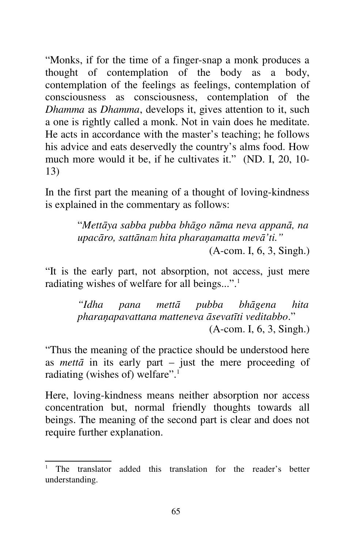"Monks, if for the time of a finger-snap a monk produces a thought of contemplation of the body as a body, contemplation of the feelings as feelings, contemplation of consciousness as consciousness, contemplation of the *Dhamma* as *Dhamma*, develops it, gives attention to it, such a one is rightly called a monk. Not in vain does he meditate. He acts in accordance with the master's teaching; he follows his advice and eats deservedly the country's alms food. How much more would it be, if he cultivates it." (ND. I, 20, 10- 13)

In the first part the meaning of a thought of loving-kindness is explained in the commentary as follows:

> "*Mettāya sabba pubba bhāgo nāma neva appanā, na upacāro, sattānam hita pharaņamatta mevā'ti."* (A-com. I, 6, 3, Singh.)

"It is the early part, not absorption, not access, just mere radiating wishes of welfare for all beings...".<sup>1</sup>

> *"Idha pana mettā pubba bhāgena hita pharaņapavattana matteneva āsevatīti veditabbo*." (A-com. I, 6, 3, Singh.)

"Thus the meaning of the practice should be understood here as *metta* in its early part – just the mere proceeding of radiating (wishes of) welfare".<sup>1</sup>

Here, loving-kindness means neither absorption nor access concentration but, normal friendly thoughts towards all beings. The meaning of the second part is clear and does not require further explanation.

<sup>1</sup> The translator added this translation for the reader's better understanding.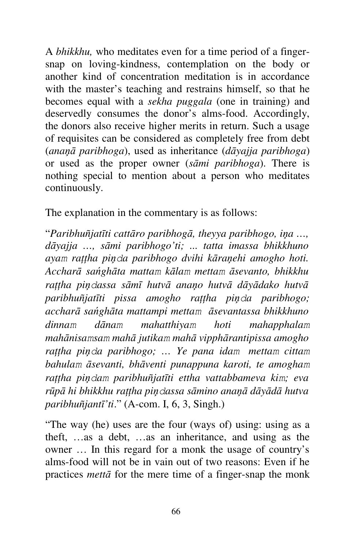A *bhikkhu,* who meditates even for a time period of a fingersnap on loving-kindness, contemplation on the body or another kind of concentration meditation is in accordance with the master's teaching and restrains himself, so that he becomes equal with a *sekha puggala* (one in training) and deservedly consumes the donor's alms-food. Accordingly, the donors also receive higher merits in return. Such a usage of requisites can be considered as completely free from debt (*anaņā paribhoga*), used as inheritance (*dāyajja paribhoga*) or used as the proper owner (*sāmi paribhoga*). There is nothing special to mention about a person who meditates continuously.

The explanation in the commentary is as follows:

"*Paribhuñjatīti cattāro paribhogā, theyya paribhogo, iņa …, dāyajja …, sāmi paribhogo'ti; ... tatta imassa bhikkhuno ayam raţţha piņda paribhogo dvihi kāraņehi amogho hoti. Accharā sańghāta mattam kālam mettam āsevanto, bhikkhu raţţha piņdassa sāmī hutvā anaņo hutvā dāyādako hutvā paribhuñjatīti pissa amogho raţţha piņda paribhogo; accharā sańghāta mattampi mettam āsevantassa bhikkhuno dinnam dānam mahatthiyam hoti mahapphalam mahānisamsam mahā jutikam mahā vipphārantipissa amogho raţţha piņda paribhogo; … Ye pana idam mettam cittam bahulam āsevanti, bhāventi punappuna karoti, te amogham rattha pinclam paribhuñjatīti ettha vattabbameva kim; eva rūpā hi bhikkhu raţţha piņdassa sāmino anaņā dāyādā hutva paribhuñjantī'ti*." (A-com. I, 6, 3, Singh.)

"The way (he) uses are the four (ways of) using: using as a theft, …as a debt, …as an inheritance, and using as the owner … In this regard for a monk the usage of country's alms-food will not be in vain out of two reasons: Even if he practices *mettā* for the mere time of a finger-snap the monk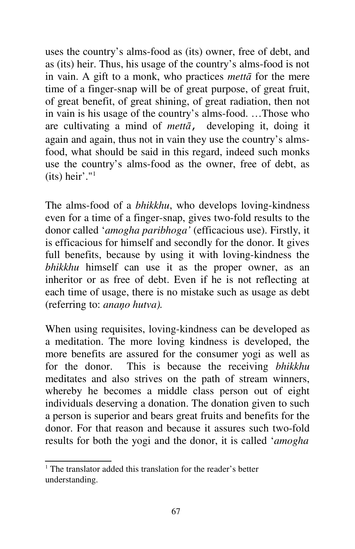uses the country's alms-food as (its) owner, free of debt, and as (its) heir. Thus, his usage of the country's alms-food is not in vain. A gift to a monk, who practices *mettā* for the mere time of a finger-snap will be of great purpose, of great fruit, of great benefit, of great shining, of great radiation, then not in vain is his usage of the country's alms-food. …Those who are cultivating a mind of *mettā*, developing it, doing it again and again, thus not in vain they use the country's almsfood, what should be said in this regard, indeed such monks use the country's alms-food as the owner, free of debt, as (its) heir'."<sup>1</sup>

The alms-food of a *bhikkhu*, who develops loving-kindness even for a time of a finger-snap, gives two-fold results to the donor called '*amogha paribhoga'* (efficacious use). Firstly, it is efficacious for himself and secondly for the donor. It gives full benefits, because by using it with loving-kindness the *bhikkhu* himself can use it as the proper owner, as an inheritor or as free of debt. Even if he is not reflecting at each time of usage, there is no mistake such as usage as debt (referring to: *anaņo hutva).*

When using requisites, loving-kindness can be developed as a meditation. The more loving kindness is developed, the more benefits are assured for the consumer yogi as well as for the donor. This is because the receiving *bhikkhu*  meditates and also strives on the path of stream winners, whereby he becomes a middle class person out of eight individuals deserving a donation. The donation given to such a person is superior and bears great fruits and benefits for the donor. For that reason and because it assures such two-fold results for both the yogi and the donor, it is called '*amogha* 

<sup>&</sup>lt;sup>1</sup> The translator added this translation for the reader's better understanding.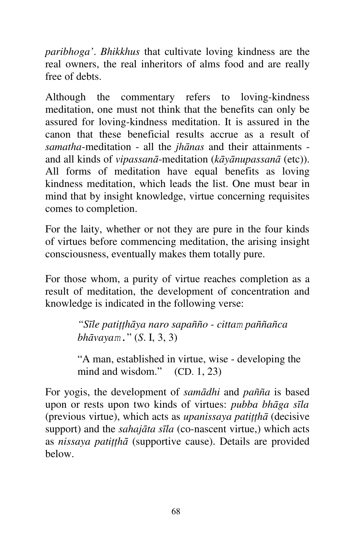*paribhoga'*. *Bhikkhus* that cultivate loving kindness are the real owners, the real inheritors of alms food and are really free of debts.

Although the commentary refers to loving-kindness meditation, one must not think that the benefits can only be assured for loving-kindness meditation. It is assured in the canon that these beneficial results accrue as a result of *samatha*-meditation - all the *jhānas* and their attainments and all kinds of *vipassanā*-meditation (*kāyānupassanā* (etc)). All forms of meditation have equal benefits as loving kindness meditation, which leads the list. One must bear in mind that by insight knowledge, virtue concerning requisites comes to completion.

For the laity, whether or not they are pure in the four kinds of virtues before commencing meditation, the arising insight consciousness, eventually makes them totally pure.

For those whom, a purity of virtue reaches completion as a result of meditation, the development of concentration and knowledge is indicated in the following verse:

> *"Sīle patiţţhāya naro sapañño - cittam paññañca bhāvayam.*" (*S*. I, 3, 3)

"A man, established in virtue, wise - developing the mind and wisdom." (CD. 1, 23)

For yogis, the development of *samādhi* and *pañña* is based upon or rests upon two kinds of virtues: *pubba bhāga sīla*  (previous virtue), which acts as *upanissaya patiţţhā* (decisive support) and the *sahajāta sīla* (co-nascent virtue,) which acts as *nissaya patiţţhā* (supportive cause). Details are provided below.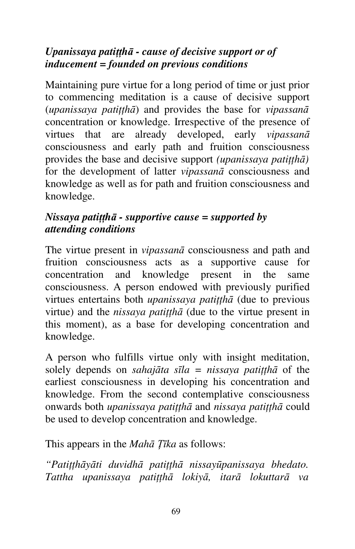# *Upanissaya patiţţhā - cause of decisive support or of inducement = founded on previous conditions*

Maintaining pure virtue for a long period of time or just prior to commencing meditation is a cause of decisive support (*upanissaya patiţţhā*) and provides the base for *vipassanā* concentration or knowledge. Irrespective of the presence of virtues that are already developed, early *vipassanā* consciousness and early path and fruition consciousness provides the base and decisive support *(upanissaya patiţţhā)*  for the development of latter *vipassanā* consciousness and knowledge as well as for path and fruition consciousness and knowledge.

# *Nissaya patiţţhā - supportive cause = supported by attending conditions*

The virtue present in *vipassanā* consciousness and path and fruition consciousness acts as a supportive cause for concentration and knowledge present in the same consciousness. A person endowed with previously purified virtues entertains both *upanissaya patiţţhā* (due to previous virtue) and the *nissaya patitha* (due to the virtue present in this moment), as a base for developing concentration and knowledge.

A person who fulfills virtue only with insight meditation, solely depends on *sahajāta sīla = nissaya patiţţhā* of the earliest consciousness in developing his concentration and knowledge. From the second contemplative consciousness onwards both *upanissaya patiţţhā* and *nissaya patiţţhā* could be used to develop concentration and knowledge.

This appears in the *Mahā Ţīka* as follows:

*"Patiţţhāyāti duvidhā patiţţhā nissayūpanissaya bhedato. Tattha upanissaya patiţţhā lokiyā, itarā lokuttarā va*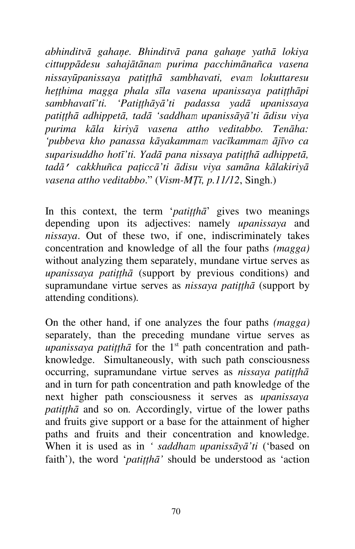*abhinditvā gahaņe. Bhinditvā pana gahaņe yathā lokiya cittuppādesu sahajātānam purima pacchimānañca vasena nissayūpanissaya patiţţhā sambhavati, evam lokuttaresu heţţhima magga phala sīla vasena upanissaya patiţţhāpi sambhavatī'ti. 'Patiţţhāyā'ti padassa yadā upanissaya patiţţhā adhippetā, tadā 'saddham upanissāyā'ti ādisu viya purima kāla kiriyā vasena attho veditabbo. Tenāha: 'pubbeva kho panassa kāyakammam vacīkammam ājīvo ca suparisuddho hotī'ti. Yadā pana nissaya patiţţhā adhippetā, tadā' cakkhuñca paţiccā'ti ādisu viya samāna kālakiriyā vasena attho veditabbo*." (*Vism-MŢī, p.11/12*, Singh.)

In this context, the term '*patiţţhā*' gives two meanings depending upon its adjectives: namely *upanissaya* and *nissaya*. Out of these two, if one, indiscriminately takes concentration and knowledge of all the four paths *(magga)*  without analyzing them separately, mundane virtue serves as *upanissaya patiţţhā* (support by previous conditions) and supramundane virtue serves as *nissaya patiţţhā* (support by attending conditions)*.*

On the other hand, if one analyzes the four paths *(magga)*  separately, than the preceding mundane virtue serves as *upanissaya patitha* for the 1<sup>st</sup> path concentration and pathknowledge. Simultaneously, with such path consciousness occurring, supramundane virtue serves as *nissaya patiţţhā* and in turn for path concentration and path knowledge of the next higher path consciousness it serves as *upanissaya patiţţhā* and so on*.* Accordingly, virtue of the lower paths and fruits give support or a base for the attainment of higher paths and fruits and their concentration and knowledge. When it is used as in *' saddham upanissāyā'ti* ('based on faith'), the word '*patiţţhā'* should be understood as 'action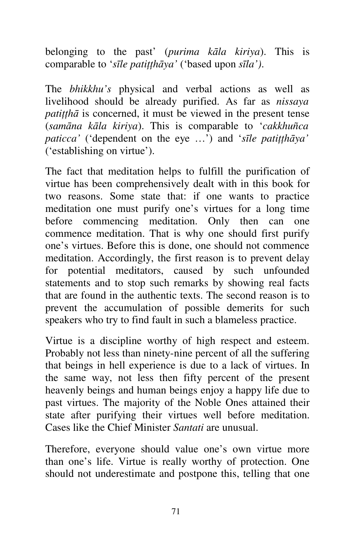belonging to the past' (*purima kāla kiriya*). This is comparable to '*sīle patiţţhāya'* ('based upon *sīla')*.

The *bhikkhu's* physical and verbal actions as well as livelihood should be already purified. As far as *nissaya patiţţhā* is concerned, it must be viewed in the present tense (*samāna kāla kiriya*). This is comparable to '*cakkhuñca paticca'* ('dependent on the eye ...') and '*sīle patitthāva'* ('establishing on virtue').

The fact that meditation helps to fulfill the purification of virtue has been comprehensively dealt with in this book for two reasons. Some state that: if one wants to practice meditation one must purify one's virtues for a long time before commencing meditation. Only then can one commence meditation. That is why one should first purify one's virtues. Before this is done, one should not commence meditation. Accordingly, the first reason is to prevent delay for potential meditators, caused by such unfounded statements and to stop such remarks by showing real facts that are found in the authentic texts. The second reason is to prevent the accumulation of possible demerits for such speakers who try to find fault in such a blameless practice.

Virtue is a discipline worthy of high respect and esteem. Probably not less than ninety-nine percent of all the suffering that beings in hell experience is due to a lack of virtues. In the same way, not less then fifty percent of the present heavenly beings and human beings enjoy a happy life due to past virtues. The majority of the Noble Ones attained their state after purifying their virtues well before meditation. Cases like the Chief Minister *Santati* are unusual.

Therefore, everyone should value one's own virtue more than one's life. Virtue is really worthy of protection. One should not underestimate and postpone this, telling that one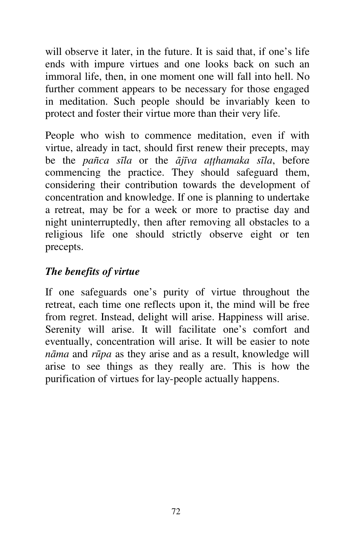will observe it later, in the future. It is said that, if one's life ends with impure virtues and one looks back on such an immoral life, then, in one moment one will fall into hell. No further comment appears to be necessary for those engaged in meditation. Such people should be invariably keen to protect and foster their virtue more than their very life.

People who wish to commence meditation, even if with virtue, already in tact, should first renew their precepts, may be the *pañca sīla* or the *ājīva aţţhamaka sīla*, before commencing the practice. They should safeguard them, considering their contribution towards the development of concentration and knowledge. If one is planning to undertake a retreat, may be for a week or more to practise day and night uninterruptedly, then after removing all obstacles to a religious life one should strictly observe eight or ten precepts.

# *The benefits of virtue*

If one safeguards one's purity of virtue throughout the retreat, each time one reflects upon it, the mind will be free from regret. Instead, delight will arise. Happiness will arise. Serenity will arise. It will facilitate one's comfort and eventually, concentration will arise. It will be easier to note *nāma* and *rūpa* as they arise and as a result, knowledge will arise to see things as they really are. This is how the purification of virtues for lay-people actually happens.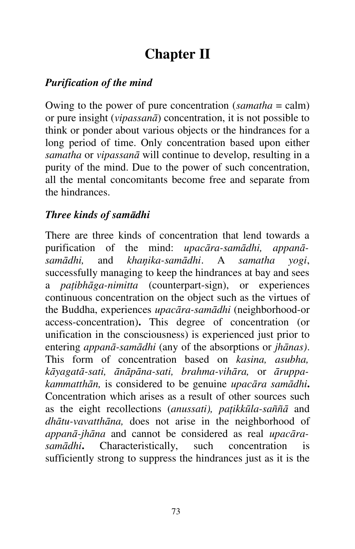# **Chapter II**

# *Purification of the mind*

Owing to the power of pure concentration (*samatha* = calm) or pure insight (*vipassanā*) concentration, it is not possible to think or ponder about various objects or the hindrances for a long period of time. Only concentration based upon either *samatha* or *vipassanā* will continue to develop, resulting in a purity of the mind. Due to the power of such concentration, all the mental concomitants become free and separate from the hindrances.

## *Three kinds of samādhi*

There are three kinds of concentration that lend towards a purification of the mind: *upacāra-samādhi, appanāsamādhi,* and *khaņika-samādhi*. A *samatha yogi*, successfully managing to keep the hindrances at bay and sees a *paţibhāga-nimitta* (counterpart-sign), or experiences continuous concentration on the object such as the virtues of the Buddha, experiences *upacāra-samādhi* (neighborhood-or access-concentration)**.** This degree of concentration (or unification in the consciousness) is experienced just prior to entering *appanā-samādhi* (any of the absorptions or *jhānas)*. This form of concentration based on *kasina, asubha, kāyagatā-sati, ānāpāna-sati, brahma-vihāra,* or *āruppakammatthān,* is considered to be genuine *upacāra samādhi***.**  Concentration which arises as a result of other sources such as the eight recollections (*anussati), paţikkūla-saññā* and *dhātu-vavatthāna,* does not arise in the neighborhood of *appanā-jhāna* and cannot be considered as real *upacārasamādhi***.** Characteristically, such concentration is sufficiently strong to suppress the hindrances just as it is the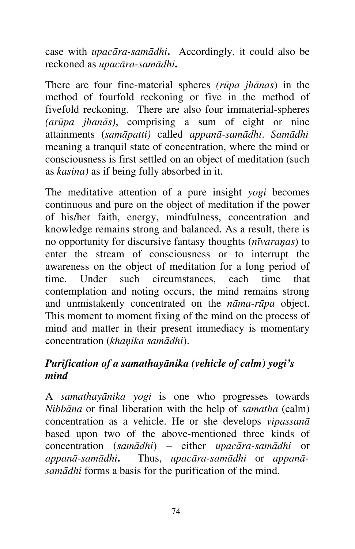case with *upacāra-samādhi***.** Accordingly, it could also be reckoned as *upacāra-samādhi***.**

There are four fine-material spheres *(rūpa jhānas*) in the method of fourfold reckoning or five in the method of fivefold reckoning. There are also four immaterial-spheres *(arūpa jhanās)*, comprising a sum of eight or nine attainments (*samāpatti)* called *appanā-samādhi*. *Samādhi*  meaning a tranquil state of concentration, where the mind or consciousness is first settled on an object of meditation (such as *kasina)* as if being fully absorbed in it.

The meditative attention of a pure insight *yogi* becomes continuous and pure on the object of meditation if the power of his/her faith, energy, mindfulness, concentration and knowledge remains strong and balanced. As a result, there is no opportunity for discursive fantasy thoughts (*nīvaraņas*) to enter the stream of consciousness or to interrupt the awareness on the object of meditation for a long period of time. Under such circumstances, each time that contemplation and noting occurs, the mind remains strong and unmistakenly concentrated on the *nāma-rūpa* object. This moment to moment fixing of the mind on the process of mind and matter in their present immediacy is momentary concentration (*khaņika samādhi*).

## *Purification of a samathayānika (vehicle of calm) yogi's mind*

A *samathayānika yogi* is one who progresses towards *Nibbāna* or final liberation with the help of *samatha* (calm) concentration as a vehicle. He or she develops *vipassanā* based upon two of the above-mentioned three kinds of concentration (*samādhi*) *–* either *upacāra-samādhi* or *appanā-samādhi***.** Thus, *upacāra-samādhi* or *appanāsamādhi* forms a basis for the purification of the mind.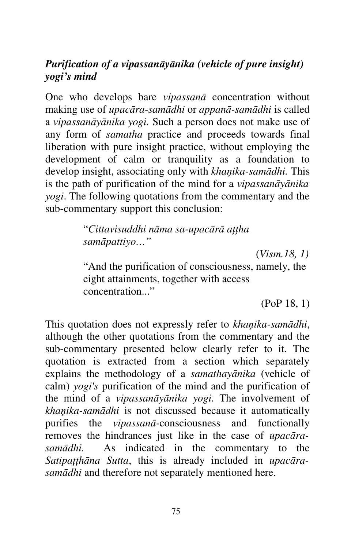# *Purification of a vipassanāyānika (vehicle of pure insight) yogi's mind*

One who develops bare *vipassanā* concentration without making use of *upacāra-samādhi* or *appanā-samādhi* is called a *vipassanāyānika yogi.* Such a person does not make use of any form of *samatha* practice and proceeds towards final liberation with pure insight practice, without employing the development of calm or tranquility as a foundation to develop insight, associating only with *khaņika-samādhi.* This is the path of purification of the mind for a *vipassanāyānika yogi*. The following quotations from the commentary and the sub-commentary support this conclusion:

> "*Cittavisuddhi nāma sa-upacārā aţţha samāpattiyo…"*

 (*Vism.18, 1)* "And the purification of consciousness, namely, the eight attainments, together with access concentration..."

(PoP 18, 1)

This quotation does not expressly refer to *khaņika-samādhi*, although the other quotations from the commentary and the sub-commentary presented below clearly refer to it. The quotation is extracted from a section which separately explains the methodology of a *samathayānika* (vehicle of calm) *yogi's* purification of the mind and the purification of the mind of a *vipassanāyānika yogi*. The involvement of *khaņika-samādhi* is not discussed because it automatically purifies the *vipassanā-*consciousness and functionally removes the hindrances just like in the case of *upacārasamādhi.* As indicated in the commentary to the Satipatthana Sutta, this is already included in *upacarasamādhi* and therefore not separately mentioned here.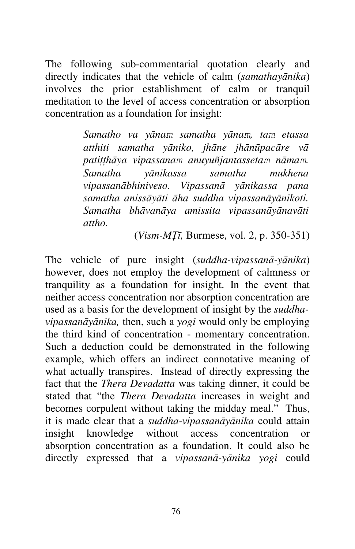The following sub-commentarial quotation clearly and directly indicates that the vehicle of calm (*samathayānika*) involves the prior establishment of calm or tranquil meditation to the level of access concentration or absorption concentration as a foundation for insight:

> *Samatho va yānam samatha yānam, tam etassa atthiti samatha yāniko, jhāne jhānūpacāre vā patiţţhāya vipassanam anuyuñjantassetam nāmam. Samatha yānikassa samatha mukhena vipassanābhiniveso. Vipassanā yānikassa pana samatha anissāyāti āha suddha vipassanāyānikoti. Samatha bhāvanāya amissita vipassanāyānavāti attho.*

> > (*Vism-MŢī,* Burmese, vol. 2, p. 350-351)

The vehicle of pure insight (*suddha-vipassanā-yānika*) however, does not employ the development of calmness or tranquility as a foundation for insight. In the event that neither access concentration nor absorption concentration are used as a basis for the development of insight by the *suddhavipassanāyānika,* then, such a *yogi* would only be employing the third kind of concentration - momentary concentration. Such a deduction could be demonstrated in the following example, which offers an indirect connotative meaning of what actually transpires. Instead of directly expressing the fact that the *Thera Devadatta* was taking dinner, it could be stated that "the *Thera Devadatta* increases in weight and becomes corpulent without taking the midday meal." Thus, it is made clear that a *suddha-vipassanāyānika* could attain insight knowledge without access concentration or absorption concentration as a foundation. It could also be directly expressed that a *vipassanā-yānika yogi* could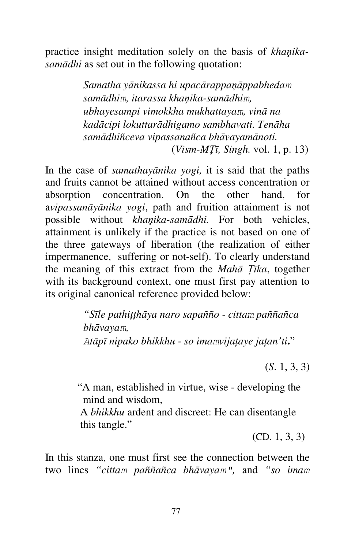practice insight meditation solely on the basis of *khaņikasamādhi* as set out in the following quotation:

> *Samatha yānikassa hi upacārappaņāppabhedam samādhim, itarassa khaņika-samādhim, ubhayesampi vimokkha mukhattayam, vinā na kadācipi lokuttarādhigamo sambhavati. Tenāha samādhiñceva vipassanañca bhāvayamānoti.* (*Vism-MŢī, Singh.* vol. 1, p. 13)

In the case of *samathayānika yogi,* it is said that the paths and fruits cannot be attained without access concentration or absorption concentration. On the other hand, for a*vipassanāyānika yogi*, path and fruition attainment is not possible without *khaņika-samādhi.* For both vehicles, attainment is unlikely if the practice is not based on one of the three gateways of liberation (the realization of either impermanence, suffering or not-self). To clearly understand the meaning of this extract from the *Mahā Ţīka*, together with its background context, one must first pay attention to its original canonical reference provided below:

> *"Sīle pathiţţhāya naro sapañño - cittam paññañca bhāvayam, Atāpī nipako bhikkhu - so imamvijaţaye jaţan'ti***.**"

> > (*S*. 1, 3, 3)

"A man, established in virtue, wise - developing the mind and wisdom,

 A *bhikkhu* ardent and discreet: He can disentangle this tangle."

(CD. 1, 3, 3)

In this stanza, one must first see the connection between the two lines *"cittam paññañca bhāvayam",* and *"so imam*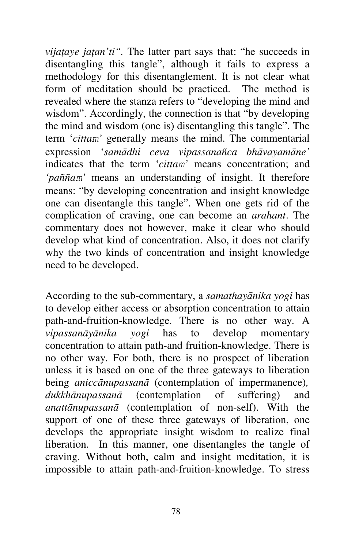*vijaţaye jaţan'ti".* The latter part says that: "he succeeds in disentangling this tangle", although it fails to express a methodology for this disentanglement. It is not clear what form of meditation should be practiced. The method is revealed where the stanza refers to "developing the mind and wisdom". Accordingly, the connection is that "by developing the mind and wisdom (one is) disentangling this tangle". The term '*cittam'* generally means the mind. The commentarial expression '*samādhi ceva vipassanañca bhāvayamāne'*  indicates that the term '*cittam'* means concentration; and *'paññam'* means an understanding of insight. It therefore means: "by developing concentration and insight knowledge one can disentangle this tangle". When one gets rid of the complication of craving, one can become an *arahant*. The commentary does not however, make it clear who should develop what kind of concentration. Also, it does not clarify why the two kinds of concentration and insight knowledge need to be developed.

According to the sub-commentary, a *samathayānika yogi* has to develop either access or absorption concentration to attain path-and-fruition-knowledge. There is no other way. A *vipassanāyānika yogi* has to develop momentary concentration to attain path-and fruition-knowledge. There is no other way. For both, there is no prospect of liberation unless it is based on one of the three gateways to liberation being *aniccānupassanā* (contemplation of impermanence)*, dukkhānupassanā* (contemplation of suffering) and *anattānupassanā* (contemplation of non-self). With the support of one of these three gateways of liberation, one develops the appropriate insight wisdom to realize final liberation. In this manner, one disentangles the tangle of craving. Without both, calm and insight meditation, it is impossible to attain path-and-fruition-knowledge. To stress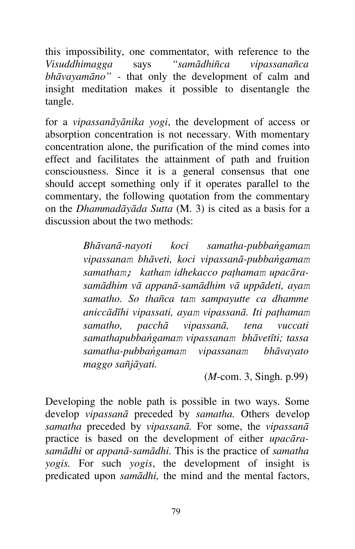this impossibility, one commentator, with reference to the *Visuddhimagga* says *"samādhiñca vipassanañca bhāvayamāno"* - that only the development of calm and insight meditation makes it possible to disentangle the tangle.

for a *vipassanāyānika yogi*, the development of access or absorption concentration is not necessary. With momentary concentration alone, the purification of the mind comes into effect and facilitates the attainment of path and fruition consciousness. Since it is a general consensus that one should accept something only if it operates parallel to the commentary, the following quotation from the commentary on the *Dhammadāyāda Sutta* (M. 3) is cited as a basis for a discussion about the two methods:

> *Bhāvanā-nayoti koci samatha-pubbańgamam vipassanam bhāveti, koci vipassanā-pubbańgamam samatham; katham idhekacco paţhamam upacārasamādhim vā appanā-samādhim vā uppādeti, ayam samatho. So thañca tam sampayutte ca dhamme aniccādīhi vipassati, ayam vipassanā. Iti paţhamam samatho, pacchā vipassanā, tena vuccati samathapubbańgamam vipassanam bhāvetīti; tassa samatha-pubbańgamam vipassanam bhāvayato maggo sañjāyati.*

> > (*M*-com. 3, Singh. p.99)

Developing the noble path is possible in two ways. Some develop *vipassanā* preceded by *samatha.* Others develop *samatha* preceded by *vipassanā.* For some, the *vipassanā* practice is based on the development of either *upacārasamādhi* or *appanā-samādhi.* This is the practice of *samatha yogis.* For such *yogis*, the development of insight is predicated upon *samādhi,* the mind and the mental factors,

79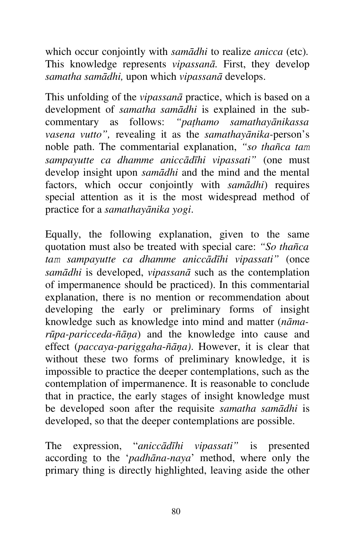which occur conjointly with *samādhi* to realize *anicca* (etc)*.*  This knowledge represents *vipassanā.* First, they develop *samatha samādhi,* upon which *vipassanā* develops.

This unfolding of the *vipassanā* practice, which is based on a development of *samatha samādhi* is explained in the subcommentary as follows: *"paţhamo samathayānikassa vasena vutto",* revealing it as the *samathayānika-*person's noble path. The commentarial explanation, *"so thañca tam sampayutte ca dhamme aniccādīhi vipassati"* (one must develop insight upon *samādhi* and the mind and the mental factors, which occur conjointly with *samādhi*) requires special attention as it is the most widespread method of practice for a *samathayānika yogi*.

Equally, the following explanation, given to the same quotation must also be treated with special care: *"So thañca tam sampayutte ca dhamme aniccādīhi vipassati"* (once *samādhi* is developed, *vipassanā* such as the contemplation of impermanence should be practiced). In this commentarial explanation, there is no mention or recommendation about developing the early or preliminary forms of insight knowledge such as knowledge into mind and matter (*nāmarūpa-paricceda*-*ñāņa*) and the knowledge into cause and effect (*paccaya-pariggaha*-*ñāņa)*. However, it is clear that without these two forms of preliminary knowledge, it is impossible to practice the deeper contemplations, such as the contemplation of impermanence. It is reasonable to conclude that in practice, the early stages of insight knowledge must be developed soon after the requisite *samatha samādhi* is developed, so that the deeper contemplations are possible.

The expression, "*aniccādīhi vipassati"* is presented according to the '*padhāna-naya*' method, where only the primary thing is directly highlighted, leaving aside the other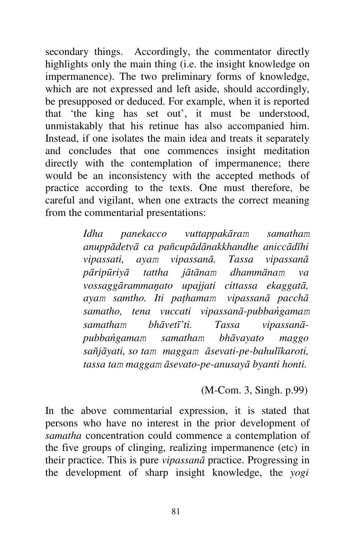secondary things. Accordingly, the commentator directly highlights only the main thing (i.e. the insight knowledge on impermanence). The two preliminary forms of knowledge, which are not expressed and left aside, should accordingly, be presupposed or deduced. For example, when it is reported that 'the king has set out', it must be understood, unmistakably that his retinue has also accompanied him. Instead, if one isolates the main idea and treats it separately and concludes that one commences insight meditation directly with the contemplation of impermanence; there would be an inconsistency with the accepted methods of practice according to the texts. One must therefore, be careful and vigilant, when one extracts the correct meaning from the commentarial presentations:

> *Idha panekacco vuttappakāram samatham anuppādetvā ca pañcupādānakkhandhe aniccādīhi vipassati, ayam vipassanā. Tassa vipassanā pāripūriyā tattha jātānam dhammānam va vossaggārammaņato upajjati cittassa ekaggatā, ayam samtho. Iti paţhamam vipassanā pacchā samatho, tena vuccati vipassanā-pubbańgamam samatham bhāvetī'ti. Tassa vipassanāpubbańgamam samatham bhāvayato maggo sañjāyati, so tam maggam āsevati-pe-bahulīkaroti, tassa tam maggam āsevato-pe-anusayā byanti honti.*

#### (M-Com. 3, Singh. p.99)

In the above commentarial expression, it is stated that persons who have no interest in the prior development of *samatha* concentration could commence a contemplation of the five groups of clinging, realizing impermanence (etc) in their practice. This is pure *vipassanā* practice. Progressing in the development of sharp insight knowledge, the *yogi*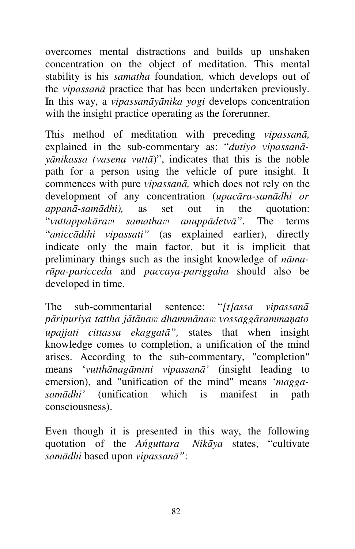overcomes mental distractions and builds up unshaken concentration on the object of meditation. This mental stability is his *samatha* foundation*,* which develops out of the *vipassanā* practice that has been undertaken previously. In this way, a *vipassanāyānika yogi* develops concentration with the insight practice operating as the forerunner.

This method of meditation with preceding *vipassanā,*  explained in the sub-commentary as: "*dutiyo vipassanāyānikassa (vasena vuttā*)", indicates that this is the noble path for a person using the vehicle of pure insight. It commences with pure *vipassanā,* which does not rely on the development of any concentration (*upacāra-samādhi or appanā-samādhi),* as set out in the quotation: "*vuttappakāram samatham anuppādetvā"*. The terms "*aniccādihi vipassati"* (as explained earlier), directly indicate only the main factor, but it is implicit that preliminary things such as the insight knowledge of *nāmarūpa-paricceda* and *paccaya-pariggaha* should also be developed in time.

The sub-commentarial sentence: "*[t]assa vipassanā pāripuriya tattha jātānam dhammānam vossaggārammaņato upajjati cittassa ekaggatā",* states that when insight knowledge comes to completion, a unification of the mind arises. According to the sub-commentary, "completion" means '*vutthānagāmini vipassanā'* (insight leading to emersion), and "unification of the mind" means '*maggasamādhi'* (unification which is manifest in path consciousness).

Even though it is presented in this way, the following quotation of the *Ańguttara Nikāya* states, "cultivate *samādhi* based upon *vipassanā"*:

82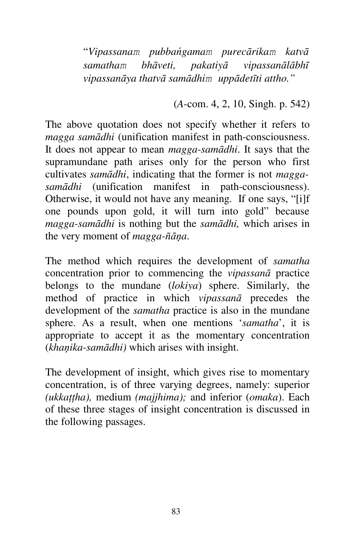"*Vipassanam pubbańgamam purecārikam katvā samatham bhāveti, pakatiyā vipassanālābhī vipassanāya thatvā samādhim uppādetīti attho."*

(*A*-com. 4, 2, 10, Singh. p. 542)

The above quotation does not specify whether it refers to *magga samādhi* (unification manifest in path-consciousness. It does not appear to mean *magga-samādhi*. It says that the supramundane path arises only for the person who first cultivates *samādhi*, indicating that the former is not *maggasamādhi* (unification manifest in path-consciousness). Otherwise, it would not have any meaning. If one says, "[i]f one pounds upon gold, it will turn into gold" because *magga-samādhi* is nothing but the *samādhi,* which arises in the very moment of *magga-ñāņa*.

The method which requires the development of *samatha*  concentration prior to commencing the *vipassanā* practice belongs to the mundane (*lokiya*) sphere. Similarly, the method of practice in which *vipassanā* precedes the development of the *samatha* practice is also in the mundane sphere. As a result, when one mentions '*samatha*', it is appropriate to accept it as the momentary concentration (*khaņika-samādhi)* which arises with insight.

The development of insight, which gives rise to momentary concentration, is of three varying degrees, namely: superior *(ukkaţţha),* medium *(majjhima);* and inferior (*omaka*). Each of these three stages of insight concentration is discussed in the following passages.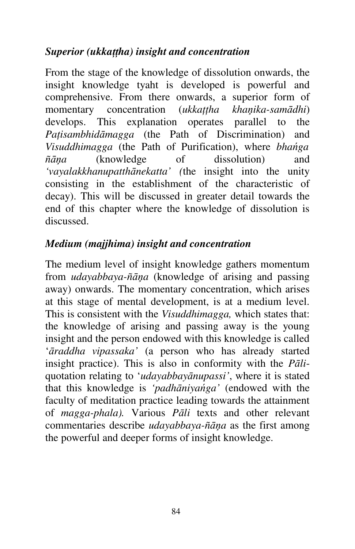## *Superior (ukkaţţha) insight and concentration*

From the stage of the knowledge of dissolution onwards, the insight knowledge tyaht is developed is powerful and comprehensive. From there onwards, a superior form of momentary concentration (*ukkaţţha khaņika-samādhi*) develops. This explanation operates parallel to the *Paţisambhidāmagga* (the Path of Discrimination) and *Visuddhimagga* (the Path of Purification), where *bhańga ñāņa* (knowledge of dissolution) and *'vayalakkhanupatthānekatta' (*the insight into the unity consisting in the establishment of the characteristic of decay). This will be discussed in greater detail towards the end of this chapter where the knowledge of dissolution is discussed.

## *Medium (majjhima) insight and concentration*

The medium level of insight knowledge gathers momentum from *udayabbaya-ñāņa* (knowledge of arising and passing away) onwards. The momentary concentration, which arises at this stage of mental development, is at a medium level. This is consistent with the *Visuddhimagga,* which states that: the knowledge of arising and passing away is the young insight and the person endowed with this knowledge is called '*āraddha vipassaka'* (a person who has already started insight practice). This is also in conformity with the *Pāli*quotation relating to '*udayabbayānupassi'*, where it is stated that this knowledge is *'padhāniyańga'* (endowed with the faculty of meditation practice leading towards the attainment of *magga-phala).* Various *Pāli* texts and other relevant commentaries describe *udayabbaya-ñāņa* as the first among the powerful and deeper forms of insight knowledge.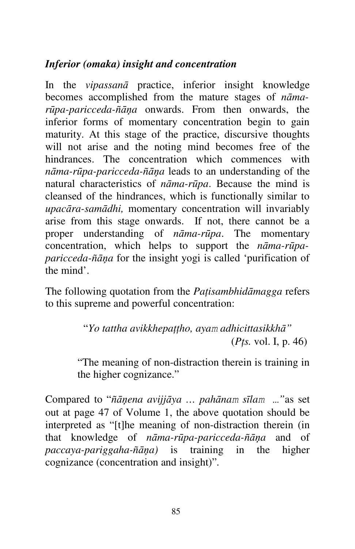# *Inferior (omaka) insight and concentration*

In the *vipassanā* practice, inferior insight knowledge becomes accomplished from the mature stages of *nāmarūpa-paricceda-ñāņa* onwards. From then onwards, the inferior forms of momentary concentration begin to gain maturity. At this stage of the practice, discursive thoughts will not arise and the noting mind becomes free of the hindrances. The concentration which commences with *nāma-rūpa-paricceda-ñāņa* leads to an understanding of the natural characteristics of *nāma-rūpa*. Because the mind is cleansed of the hindrances, which is functionally similar to *upacāra-samādhi,* momentary concentration will invariably arise from this stage onwards. If not, there cannot be a proper understanding of *nāma-rūpa*. The momentary concentration, which helps to support the *nāma-rūpaparicceda-ñāņa* for the insight yogi is called 'purification of the mind'.

The following quotation from the *Paţisambhidāmagga* refers to this supreme and powerful concentration:

> "*Yo tattha avikkhepaţţho, ayam adhicittasikkhā"* (*Pţs.* vol. I, p. 46)

"The meaning of non-distraction therein is training in the higher cognizance."

Compared to "*ñāņena avijjāya … pahānam sīlam …"*as set out at page 47 of Volume 1, the above quotation should be interpreted as "[t]he meaning of non-distraction therein (in that knowledge of *nāma-rūpa-paricceda-ñāņa* and of *paccaya-pariggaha-ñāņa)* is training in the higher cognizance (concentration and insight)"*.*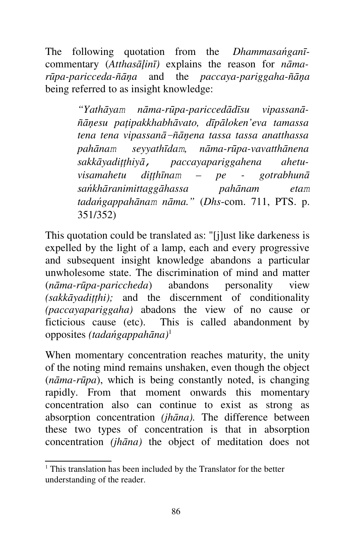The following quotation from the *Dhammasańganī*commentary (*Atthasāļinī)* explains the reason for *nāmarūpa-paricceda-ñāņa* and the *paccaya-pariggaha-ñāņa*  being referred to as insight knowledge:

> *"Yathāyam nāma-rūpa-pariccedādīsu vipassanāñāņesu paţipakkhabhāvato, dīpāloken'eva tamassa tena tena vipassanā-ñāņena tassa tassa anatthassa pahānam seyyathīdam, nāma-rūpa-vavatthānena sakkāyadiţţhiyā, paccayapariggahena ahetuvisamahetu diţţhīnam – pe - gotrabhunā sańkhāranimittaggāhassa pahānam etam tadańgappahānam nāma."* (*Dhs*-com. 711, PTS. p. 351/352)

This quotation could be translated as: "[j]ust like darkeness is expelled by the light of a lamp, each and every progressive and subsequent insight knowledge abandons a particular unwholesome state. The discrimination of mind and matter (*nāma-rūpa-pariccheda*) abandons personality view *(sakkāyadiţţhi);* and the discernment of conditionality *(paccayapariggaha)* abadons the view of no cause or ficticious cause (etc). This is called abandonment by opposites *(tadańgappahāna)*<sup>1</sup>

When momentary concentration reaches maturity, the unity of the noting mind remains unshaken, even though the object (*nāma-rūpa*), which is being constantly noted, is changing rapidly. From that moment onwards this momentary concentration also can continue to exist as strong as absorption concentration *(jhāna).* The difference between these two types of concentration is that in absorption concentration *(jhāna)* the object of meditation does not

<sup>&</sup>lt;sup>1</sup> This translation has been included by the Translator for the better understanding of the reader.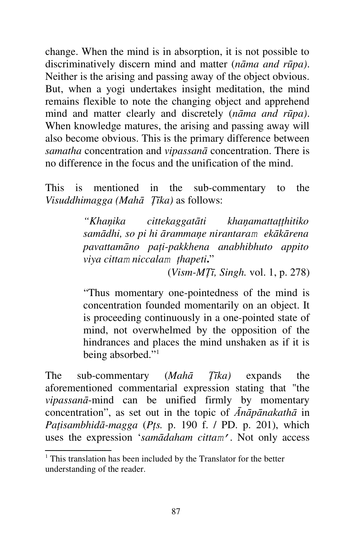change. When the mind is in absorption, it is not possible to discriminatively discern mind and matter (*nāma and rūpa)*. Neither is the arising and passing away of the object obvious. But, when a yogi undertakes insight meditation, the mind remains flexible to note the changing object and apprehend mind and matter clearly and discretely (*nāma and rūpa)*. When knowledge matures, the arising and passing away will also become obvious. This is the primary difference between *samatha* concentration and *vipassanā* concentration. There is no difference in the focus and the unification of the mind.

This is mentioned in the sub-commentary to the *Visuddhimagga (Mahā Ţīka)* as follows:

> *"Khaņika cittekaggatāti khaņamattaţţhitiko samādhi, so pi hi ārammaņe nirantaram ekākārena pavattamāno paţi-pakkhena anabhibhuto appito viya cittam niccalam ţhapeti***.**"

> > (*Vism-MŢī, Singh.* vol. 1, p. 278)

"Thus momentary one-pointedness of the mind is concentration founded momentarily on an object. It is proceeding continuously in a one-pointed state of mind, not overwhelmed by the opposition of the hindrances and places the mind unshaken as if it is being absorbed."<sup>1</sup>

The sub-commentary (*Mahā Ţīka)* expands the aforementioned commentarial expression stating that "the *vipassanā*-mind can be unified firmly by momentary concentration", as set out in the topic of *Ānāpānakathā* in *Paţisambhidā-magga* (*Pţs.* p. 190 f. / PD. p. 201), which uses the expression '*samādaham cittam'*. Not only access

<sup>&</sup>lt;sup>1</sup> This translation has been included by the Translator for the better understanding of the reader.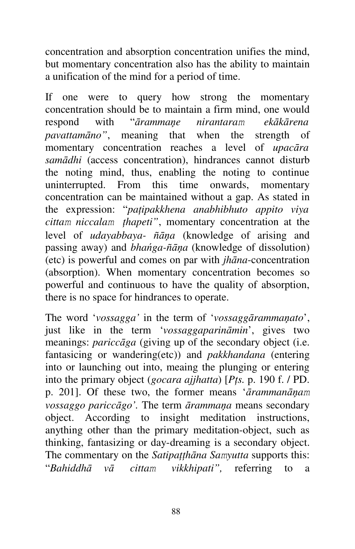concentration and absorption concentration unifies the mind, but momentary concentration also has the ability to maintain a unification of the mind for a period of time.

If one were to query how strong the momentary concentration should be to maintain a firm mind, one would respond with "*ārammaņe nirantaram ekākārena pavattamāno"*, meaning that when the strength of momentary concentration reaches a level of *upacāra samādhi* (access concentration), hindrances cannot disturb the noting mind, thus, enabling the noting to continue uninterrupted. From this time onwards, momentary concentration can be maintained without a gap. As stated in the expression: "*paţipakkhena anabhibhuto appito viya cittam niccalam ţhapeti"*, momentary concentration at the level of *udayabbaya- ñāņa* (knowledge of arising and passing away) and *bhańga-ñāņa* (knowledge of dissolution) (etc) is powerful and comes on par with *jhāna*-concentration (absorption). When momentary concentration becomes so powerful and continuous to have the quality of absorption, there is no space for hindrances to operate.

The word '*vossagga'* in the term of '*vossaggārammaņato*', just like in the term '*vossaggaparināmin*', gives two meanings: *pariccāga* (giving up of the secondary object (i.e. fantasicing or wandering(etc)) and *pakkhandana* (entering into or launching out into, meaing the plunging or entering into the primary object (*gocara ajjhatta*) [*Pţs.* p. 190 f. / PD. p. 201]. Of these two, the former means '*ārammanāņam vossaggo pariccāgo'.* The term *ārammaņa* means secondary object. According to insight meditation instructions, anything other than the primary meditation-object, such as thinking, fantasizing or day-dreaming is a secondary object. The commentary on the *Satipaţţhāna Samyutta* supports this: "*Bahiddhā vā cittam vikkhipati",* referring to a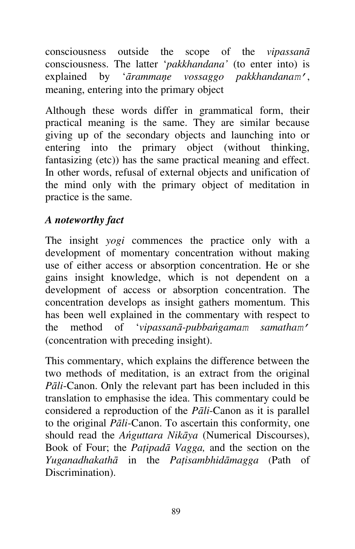consciousness outside the scope of the *vipassanā* consciousness. The latter '*pakkhandana'* (to enter into) is explained by '*ārammaņe vossaggo pakkhandanam'*, meaning, entering into the primary object

Although these words differ in grammatical form, their practical meaning is the same. They are similar because giving up of the secondary objects and launching into or entering into the primary object (without thinking, fantasizing (etc)) has the same practical meaning and effect. In other words, refusal of external objects and unification of the mind only with the primary object of meditation in practice is the same.

## *A noteworthy fact*

The insight *yogi* commences the practice only with a development of momentary concentration without making use of either access or absorption concentration. He or she gains insight knowledge, which is not dependent on a development of access or absorption concentration. The concentration develops as insight gathers momentum. This has been well explained in the commentary with respect to the method of '*vipassanā-pubbańgamam samatham'*  (concentration with preceding insight).

This commentary, which explains the difference between the two methods of meditation, is an extract from the original *Pāli*-Canon. Only the relevant part has been included in this translation to emphasise the idea. This commentary could be considered a reproduction of the *Pāli*-Canon as it is parallel to the original *Pāli*-Canon. To ascertain this conformity, one should read the *Ańguttara Nikāya* (Numerical Discourses), Book of Four; the *Paţipadā Vagga,* and the section on the *Yuganadhakathā* in the *Paţisambhidāmagga* (Path of Discrimination).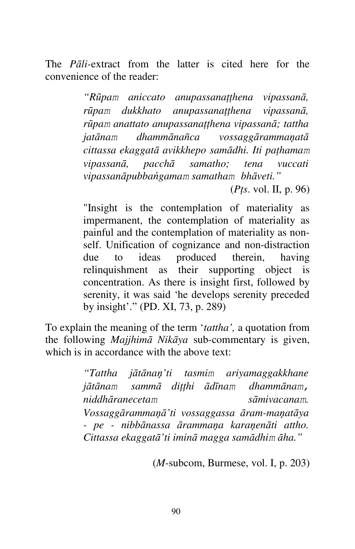The *Pāli-*extract from the latter is cited here for the convenience of the reader:

> *"Rūpam aniccato anupassanaţţhena vipassanā, rūpam dukkhato anupassanatthena vipassanā*, *rūpam anattato anupassanaţţhena vipassanā; tattha jatānam dhammānañca vossaggārammaņatā cittassa ekaggatā avikkhepo samādhi. Iti paţhamam vipassanā, pacchā samatho; tena vuccati vipassanāpubbańgamam samatham bhāveti."*

> > (*Pţs*. vol. II, p. 96)

"Insight is the contemplation of materiality as impermanent, the contemplation of materiality as painful and the contemplation of materiality as nonself. Unification of cognizance and non-distraction due to ideas produced therein, having relinquishment as their supporting object is concentration. As there is insight first, followed by serenity, it was said 'he develops serenity preceded by insight'." (PD. XI, 73, p. 289)

To explain the meaning of the term '*tattha',* a quotation from the following *Majjhimā Nikāya* sub-commentary is given, which is in accordance with the above text:

> *"Tattha jātānaņ'ti tasmim ariyamaggakkhane jātānam sammā diţţhi ādīnam dhammānam, niddhāranecetam sāmivacanam. Vossaggārammaņā'ti vossaggassa āram-maņatāya - pe - nibbānassa ārammaņa karaņenāti attho. Cittassa ekaggatā'ti iminā magga samādhim āha."*

> > (*M*-subcom, Burmese, vol. I, p. 203)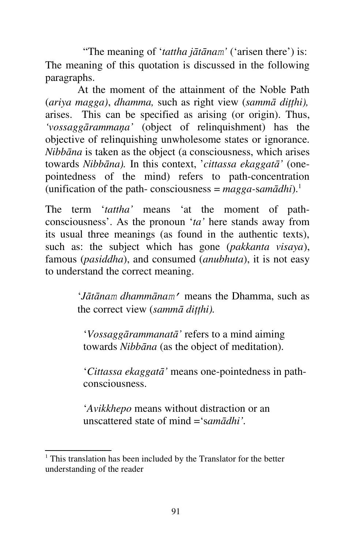"The meaning of '*tattha jātānam'* ('arisen there') is: The meaning of this quotation is discussed in the following paragraphs.

At the moment of the attainment of the Noble Path (*ariya magga)*, *dhamma,* such as right view (*sammā diţţhi),*  arises. This can be specified as arising (or origin). Thus, *'vossaggārammaņa'* (object of relinquishment) has the objective of relinquishing unwholesome states or ignorance. *Nibbāna* is taken as the object (a consciousness, which arises towards *Nibbāna).* In this context, '*cittassa ekaggatā'* (onepointedness of the mind) refers to path-concentration (unification of the path- consciousness =  $magga$ -sam $\bar{a}dhi$ ).<sup>1</sup>

The term '*tattha'* means 'at the moment of pathconsciousness'. As the pronoun '*ta'* here stands away from its usual three meanings (as found in the authentic texts), such as: the subject which has gone (*pakkanta visaya*), famous (*pasiddha*), and consumed (*anubhuta*), it is not easy to understand the correct meaning.

> '*Jātānam dhammānam'* means the Dhamma, such as the correct view (*sammā diţţhi).*

'*Vossaggārammanatā'* refers to a mind aiming towards *Nibbāna* (as the object of meditation).

'*Cittassa ekaggatā'* means one-pointedness in pathconsciousness.

'*Avikkhepo* means without distraction or an unscattered state of mind ='s*amādhi'.* 

<sup>&</sup>lt;sup>1</sup> This translation has been included by the Translator for the better understanding of the reader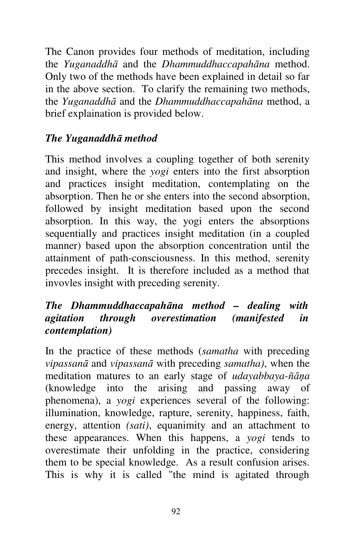The Canon provides four methods of meditation, including the *Yuganaddhā* and the *Dhammuddhaccapahāna* method. Only two of the methods have been explained in detail so far in the above section. To clarify the remaining two methods, the *Yuganaddhā* and the *Dhammuddhaccapahāna* method, a brief explaination is provided below.

# *The Yuganaddhā method*

This method involves a coupling together of both serenity and insight, where the *yogi* enters into the first absorption and practices insight meditation, contemplating on the absorption. Then he or she enters into the second absorption, followed by insight meditation based upon the second absorption. In this way, the yogi enters the absorptions sequentially and practices insight meditation (in a coupled manner) based upon the absorption concentration until the attainment of path-consciousness. In this method, serenity precedes insight. It is therefore included as a method that invovles insight with preceding serenity.

#### *The Dhammuddhaccapahāna method – dealing with agitation through overestimation (manifested in contemplation)*

In the practice of these methods (*samatha* with preceding *vipassanā* and *vipassanā* with preceding *samatha)*, when the meditation matures to an early stage of *udayabbaya-ñāņa*  (knowledge into the arising and passing away of phenomena), a *yogi* experiences several of the following: illumination, knowledge, rapture, serenity, happiness, faith, energy, attention *(sati)*, equanimity and an attachment to these appearances. When this happens, a *yogi* tends to overestimate their unfolding in the practice, considering them to be special knowledge. As a result confusion arises. This is why it is called "the mind is agitated through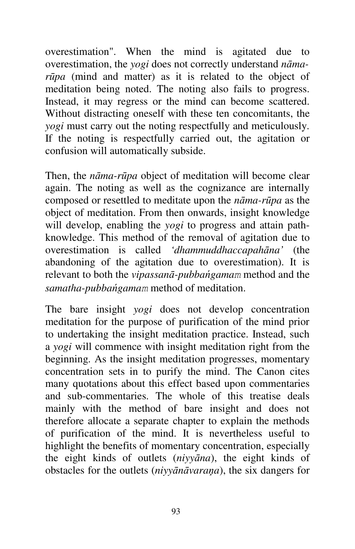overestimation". When the mind is agitated due to overestimation, the *yogi* does not correctly understand *nāmarūpa* (mind and matter) as it is related to the object of meditation being noted. The noting also fails to progress. Instead, it may regress or the mind can become scattered. Without distracting oneself with these ten concomitants, the *yogi* must carry out the noting respectfully and meticulously. If the noting is respectfully carried out, the agitation or confusion will automatically subside.

Then, the *nāma-rūpa* object of meditation will become clear again. The noting as well as the cognizance are internally composed or resettled to meditate upon the *nāma-rūpa* as the object of meditation. From then onwards, insight knowledge will develop, enabling the *yogi* to progress and attain pathknowledge. This method of the removal of agitation due to overestimation is called *'dhammuddhaccapahāna'* (the abandoning of the agitation due to overestimation). It is relevant to both the *vipassanā-pubbańgamam* method and the *samatha-pubbańgamam* method of meditation.

The bare insight *yogi* does not develop concentration meditation for the purpose of purification of the mind prior to undertaking the insight meditation practice. Instead, such a *yogi* will commence with insight meditation right from the beginning. As the insight meditation progresses, momentary concentration sets in to purify the mind. The Canon cites many quotations about this effect based upon commentaries and sub-commentaries. The whole of this treatise deals mainly with the method of bare insight and does not therefore allocate a separate chapter to explain the methods of purification of the mind. It is nevertheless useful to highlight the benefits of momentary concentration, especially the eight kinds of outlets (*niyyāna*), the eight kinds of obstacles for the outlets (*niyyānāvaraņa*), the six dangers for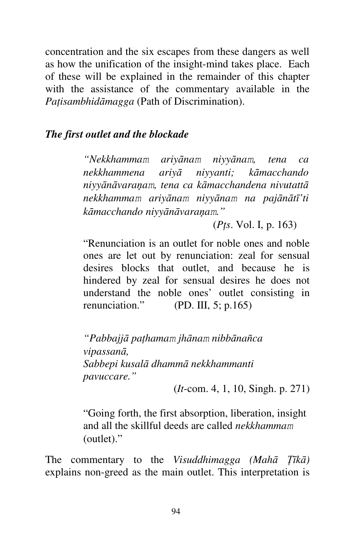concentration and the six escapes from these dangers as well as how the unification of the insight-mind takes place. Each of these will be explained in the remainder of this chapter with the assistance of the commentary available in the *Paţisambhidāmagga* (Path of Discrimination).

#### *The first outlet and the blockade*

*"Nekkhammam ariyānam niyyānam, tena ca nekkhammena ariyā niyyanti; kāmacchando niyyānāvaraņam, tena ca kāmacchandena nivutattā nekkhammam ariyānam niyyānam na pajānātī'ti kāmacchando niyyānāvaraņam."*

(*Pţs*. Vol. I, p. 163)

"Renunciation is an outlet for noble ones and noble ones are let out by renunciation: zeal for sensual desires blocks that outlet, and because he is hindered by zeal for sensual desires he does not understand the noble ones' outlet consisting in renunciation." (PD. III, 5; p.165)

*"Pabbajjā paţhamam jhānam nibbānañca vipassanā, Sabbepi kusalā dhammā nekkhammanti pavuccare."*

(*It*-com. 4, 1, 10, Singh. p. 271)

"Going forth, the first absorption, liberation, insight and all the skillful deeds are called *nekkhammam*  (outlet)."

The commentary to the *Visuddhimagga (Mahā Ţīkā)*  explains non-greed as the main outlet. This interpretation is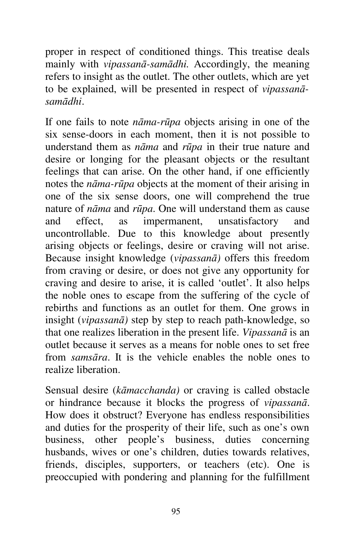proper in respect of conditioned things. This treatise deals mainly with *vipassanā-samādhi.* Accordingly, the meaning refers to insight as the outlet. The other outlets, which are yet to be explained, will be presented in respect of *vipassanāsamādhi*.

If one fails to note *nāma-rūpa* objects arising in one of the six sense-doors in each moment, then it is not possible to understand them as *nāma* and *rūpa* in their true nature and desire or longing for the pleasant objects or the resultant feelings that can arise. On the other hand, if one efficiently notes the *nāma-rūpa* objects at the moment of their arising in one of the six sense doors, one will comprehend the true nature of *nāma* and *rūpa*. One will understand them as cause and effect, as impermanent, unsatisfactory and uncontrollable. Due to this knowledge about presently arising objects or feelings, desire or craving will not arise. Because insight knowledge (*vipassanā)* offers this freedom from craving or desire, or does not give any opportunity for craving and desire to arise, it is called 'outlet'. It also helps the noble ones to escape from the suffering of the cycle of rebirths and functions as an outlet for them. One grows in insight (*vipassanā)* step by step to reach path-knowledge, so that one realizes liberation in the present life. *Vipassanā* is an outlet because it serves as a means for noble ones to set free from *samsāra*. It is the vehicle enables the noble ones to realize liberation.

Sensual desire (*kāmacchanda)* or craving is called obstacle or hindrance because it blocks the progress of *vipassanā*. How does it obstruct? Everyone has endless responsibilities and duties for the prosperity of their life, such as one's own business, other people's business, duties concerning husbands, wives or one's children, duties towards relatives, friends, disciples, supporters, or teachers (etc). One is preoccupied with pondering and planning for the fulfillment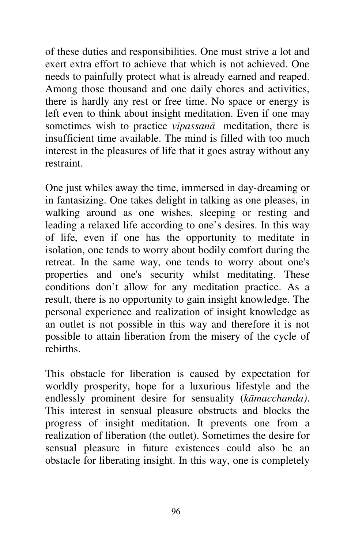of these duties and responsibilities. One must strive a lot and exert extra effort to achieve that which is not achieved. One needs to painfully protect what is already earned and reaped. Among those thousand and one daily chores and activities, there is hardly any rest or free time. No space or energy is left even to think about insight meditation. Even if one may sometimes wish to practice *vipassanā* meditation, there is insufficient time available. The mind is filled with too much interest in the pleasures of life that it goes astray without any restraint.

One just whiles away the time, immersed in day-dreaming or in fantasizing. One takes delight in talking as one pleases, in walking around as one wishes, sleeping or resting and leading a relaxed life according to one's desires. In this way of life, even if one has the opportunity to meditate in isolation, one tends to worry about bodily comfort during the retreat. In the same way, one tends to worry about one's properties and one's security whilst meditating. These conditions don't allow for any meditation practice. As a result, there is no opportunity to gain insight knowledge. The personal experience and realization of insight knowledge as an outlet is not possible in this way and therefore it is not possible to attain liberation from the misery of the cycle of rebirths.

This obstacle for liberation is caused by expectation for worldly prosperity, hope for a luxurious lifestyle and the endlessly prominent desire for sensuality (*kāmacchanda)*. This interest in sensual pleasure obstructs and blocks the progress of insight meditation. It prevents one from a realization of liberation (the outlet). Sometimes the desire for sensual pleasure in future existences could also be an obstacle for liberating insight. In this way, one is completely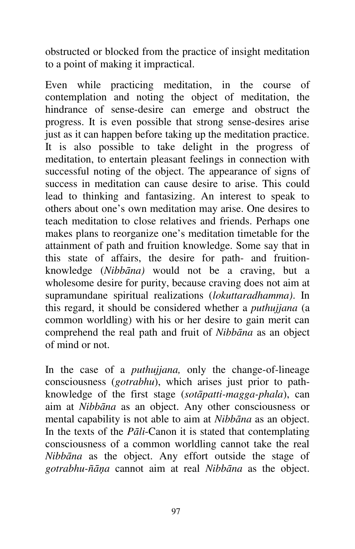obstructed or blocked from the practice of insight meditation to a point of making it impractical.

Even while practicing meditation, in the course of contemplation and noting the object of meditation, the hindrance of sense-desire can emerge and obstruct the progress. It is even possible that strong sense-desires arise just as it can happen before taking up the meditation practice. It is also possible to take delight in the progress of meditation, to entertain pleasant feelings in connection with successful noting of the object. The appearance of signs of success in meditation can cause desire to arise. This could lead to thinking and fantasizing. An interest to speak to others about one's own meditation may arise. One desires to teach meditation to close relatives and friends. Perhaps one makes plans to reorganize one's meditation timetable for the attainment of path and fruition knowledge. Some say that in this state of affairs, the desire for path- and fruitionknowledge (*Nibbāna)* would not be a craving, but a wholesome desire for purity, because craving does not aim at supramundane spiritual realizations (*lokuttaradhamma)*. In this regard, it should be considered whether a *puthujjana* (a common worldling) with his or her desire to gain merit can comprehend the real path and fruit of *Nibbāna* as an object of mind or not.

In the case of a *puthujjana,* only the change-of-lineage consciousness (*gotrabhu*), which arises just prior to pathknowledge of the first stage (*sotāpatti-magga-phala*), can aim at *Nibbāna* as an object. Any other consciousness or mental capability is not able to aim at *Nibbāna* as an object. In the texts of the *Pāli*-Canon it is stated that contemplating consciousness of a common worldling cannot take the real *Nibbāna* as the object. Any effort outside the stage of *gotrabhu-ñāņa* cannot aim at real *Nibbāna* as the object.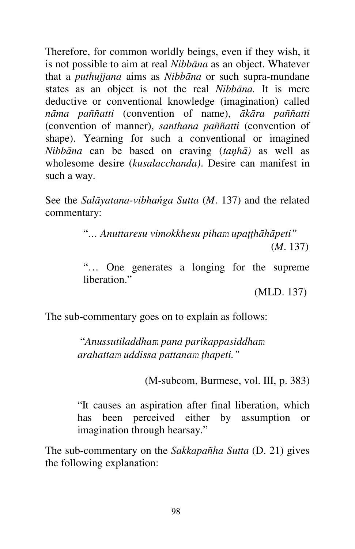Therefore, for common worldly beings, even if they wish, it is not possible to aim at real *Nibbāna* as an object. Whatever that a *puthujjana* aims as *Nibbāna* or such supra-mundane states as an object is not the real *Nibbāna.* It is mere deductive or conventional knowledge (imagination) called *nāma paññatti* (convention of name), *ākāra paññatti*  (convention of manner), *santhana paññatti* (convention of shape). Yearning for such a conventional or imagined *Nibbāna* can be based on craving (*taņhā)* as well as wholesome desire (*kusalacchanda)*. Desire can manifest in such a way.

See the *Salāyatana-vibhańga Sutta* (*M*. 137) and the related commentary:

> "*… Anuttaresu vimokkhesu piham upaţţhāhāpeti"*(*M*. 137)

> "… One generates a longing for the supreme liberation"

> > (MLD. 137)

The sub-commentary goes on to explain as follows:

"*Anussutiladdham pana parikappasiddham arahattam uddissa pattanam ţhapeti."*

(M-subcom, Burmese, vol. III, p. 383)

"It causes an aspiration after final liberation, which has been perceived either by assumption or imagination through hearsay."

The sub-commentary on the *Sakkapañha Sutta* (D. 21) gives the following explanation: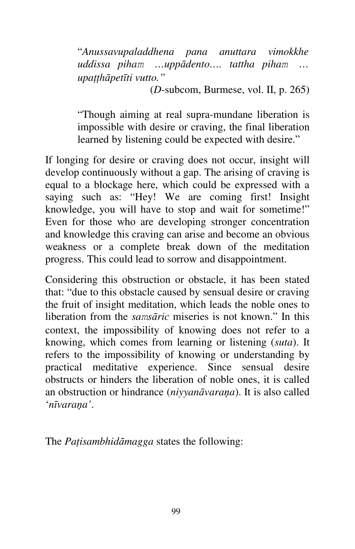"*Anussavupaladdhena pana anuttara vimokkhe uddissa piham …uppādento…. tattha piham … upaţţhāpetīti vutto."* 

(*D*-subcom, Burmese, vol. II, p. 265)

"Though aiming at real supra-mundane liberation is impossible with desire or craving, the final liberation learned by listening could be expected with desire."

If longing for desire or craving does not occur, insight will develop continuously without a gap. The arising of craving is equal to a blockage here, which could be expressed with a saying such as: "Hey! We are coming first! Insight knowledge, you will have to stop and wait for sometime!" Even for those who are developing stronger concentration and knowledge this craving can arise and become an obvious weakness or a complete break down of the meditation progress. This could lead to sorrow and disappointment.

Considering this obstruction or obstacle, it has been stated that: "due to this obstacle caused by sensual desire or craving the fruit of insight meditation, which leads the noble ones to liberation from the *samsāric* miseries is not known." In this context, the impossibility of knowing does not refer to a knowing, which comes from learning or listening (*suta*). It refers to the impossibility of knowing or understanding by practical meditative experience. Since sensual desire obstructs or hinders the liberation of noble ones, it is called an obstruction or hindrance (*niyyanāvaraņa*). It is also called '*nīvaraņa'*.

The *Paţisambhidāmagga* states the following: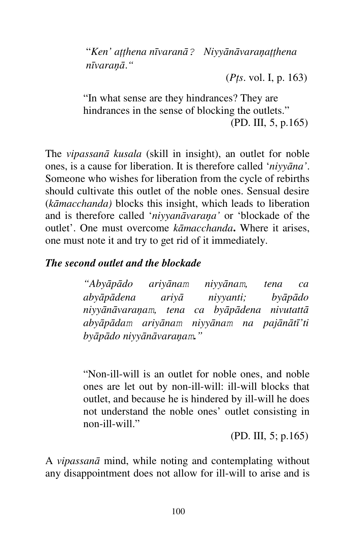"*Ken' aţţhena nīvaranā? Niyyānāvaraņaţţhena nīvaraņā*.*"*

(*Pţs*. vol. I, p. 163)

"In what sense are they hindrances? They are hindrances in the sense of blocking the outlets." (PD. III, 5, p.165)

The *vipassanā kusala* (skill in insight), an outlet for noble ones, is a cause for liberation. It is therefore called '*niyyāna'*. Someone who wishes for liberation from the cycle of rebirths should cultivate this outlet of the noble ones. Sensual desire (*kāmacchanda)* blocks this insight, which leads to liberation and is therefore called '*niyyanāvaraņa'* or 'blockade of the outlet'. One must overcome *kāmacchanda***.** Where it arises, one must note it and try to get rid of it immediately.

## *The second outlet and the blockade*

*"Abyāpādo ariyānam niyyānam, tena ca abyāpādena ariyā niyyanti; byāpādo niyyānāvaraņam, tena ca byāpādena nivutattā abyāpādam ariyānam niyyānam na pajānātī'ti byāpādo niyyānāvaraņam."*

"Non-ill-will is an outlet for noble ones, and noble ones are let out by non-ill-will: ill-will blocks that outlet, and because he is hindered by ill-will he does not understand the noble ones' outlet consisting in non-ill-will."

(PD. III, 5; p.165)

A *vipassanā* mind, while noting and contemplating without any disappointment does not allow for ill-will to arise and is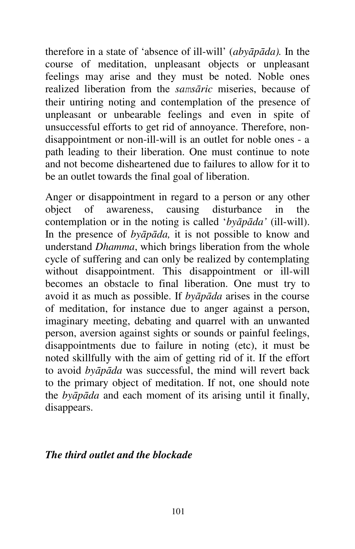therefore in a state of 'absence of ill-will' (*abyāpāda).* In the course of meditation, unpleasant objects or unpleasant feelings may arise and they must be noted. Noble ones realized liberation from the *samsāric* miseries, because of their untiring noting and contemplation of the presence of unpleasant or unbearable feelings and even in spite of unsuccessful efforts to get rid of annoyance. Therefore, nondisappointment or non-ill-will is an outlet for noble ones - a path leading to their liberation. One must continue to note and not become disheartened due to failures to allow for it to be an outlet towards the final goal of liberation.

Anger or disappointment in regard to a person or any other object of awareness, causing disturbance in the contemplation or in the noting is called '*byāpāda'* (ill-will). In the presence of *byāpāda,* it is not possible to know and understand *Dhamma*, which brings liberation from the whole cycle of suffering and can only be realized by contemplating without disappointment. This disappointment or ill-will becomes an obstacle to final liberation. One must try to avoid it as much as possible. If *byāpāda* arises in the course of meditation, for instance due to anger against a person, imaginary meeting, debating and quarrel with an unwanted person, aversion against sights or sounds or painful feelings, disappointments due to failure in noting (etc), it must be noted skillfully with the aim of getting rid of it. If the effort to avoid *byāpāda* was successful, the mind will revert back to the primary object of meditation. If not, one should note the *byāpāda* and each moment of its arising until it finally, disappears.

#### *The third outlet and the blockade*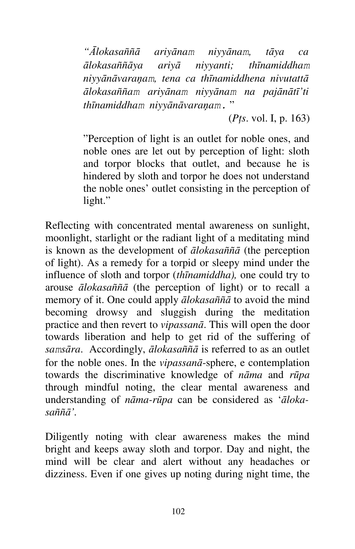*"Ālokasaññā ariyānam niyyānam, tāya ca ālokasaññāya ariyā niyyanti; thīnamiddham niyyānāvaraņam, tena ca thīnamiddhena nivutattā ālokasaññam ariyānam niyyānam na pajānātī'ti thīnamiddham niyyānāvaraņam.* "

(*Pţs*. vol. I, p. 163)

"Perception of light is an outlet for noble ones, and noble ones are let out by perception of light: sloth and torpor blocks that outlet, and because he is hindered by sloth and torpor he does not understand the noble ones' outlet consisting in the perception of light."

Reflecting with concentrated mental awareness on sunlight, moonlight, starlight or the radiant light of a meditating mind is known as the development of *ālokasaññā* (the perception of light). As a remedy for a torpid or sleepy mind under the influence of sloth and torpor (*thīnamiddha),* one could try to arouse *ālokasaññā* (the perception of light) or to recall a memory of it. One could apply *ālokasaññā* to avoid the mind becoming drowsy and sluggish during the meditation practice and then revert to *vipassanā*. This will open the door towards liberation and help to get rid of the suffering of *samsāra*. Accordingly, *ālokasaññā* is referred to as an outlet for the noble ones. In the *vipassanā*-sphere, e contemplation towards the discriminative knowledge of *nāma* and *rūpa*  through mindful noting, the clear mental awareness and understanding of *nāma-rūpa* can be considered as '*ālokasaññā'.*

Diligently noting with clear awareness makes the mind bright and keeps away sloth and torpor. Day and night, the mind will be clear and alert without any headaches or dizziness. Even if one gives up noting during night time, the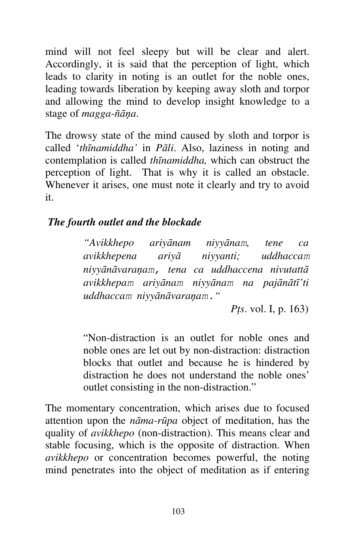mind will not feel sleepy but will be clear and alert. Accordingly, it is said that the perception of light, which leads to clarity in noting is an outlet for the noble ones, leading towards liberation by keeping away sloth and torpor and allowing the mind to develop insight knowledge to a stage of *magga-ñāņa*.

The drowsy state of the mind caused by sloth and torpor is called '*thīnamiddha'* in *Pāli*. Also, laziness in noting and contemplation is called *thīnamiddha,* which can obstruct the perception of light. That is why it is called an obstacle. Whenever it arises, one must note it clearly and try to avoid it.

## *The fourth outlet and the blockade*

*"Avikkhepo ariyānam niyyānam, tene ca avikkhepena ariyā niyyanti; uddhaccam niyyānāvaraņam, tena ca uddhaccena nivutattā avikkhepam ariyānam niyyānam na pajānātī'ti uddhaccam niyyānāvaraņam."*

 *Pţs*. vol. I, p. 163)

"Non-distraction is an outlet for noble ones and noble ones are let out by non-distraction: distraction blocks that outlet and because he is hindered by distraction he does not understand the noble ones' outlet consisting in the non-distraction."

The momentary concentration, which arises due to focused attention upon the *nāma-rūpa* object of meditation, has the quality of *avikkhepo* (non-distraction). This means clear and stable focusing, which is the opposite of distraction. When *avikkhepo* or concentration becomes powerful, the noting mind penetrates into the object of meditation as if entering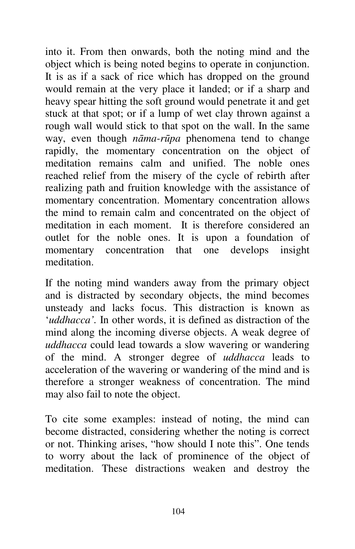into it. From then onwards, both the noting mind and the object which is being noted begins to operate in conjunction. It is as if a sack of rice which has dropped on the ground would remain at the very place it landed; or if a sharp and heavy spear hitting the soft ground would penetrate it and get stuck at that spot; or if a lump of wet clay thrown against a rough wall would stick to that spot on the wall. In the same way, even though *nāma-rūpa* phenomena tend to change rapidly, the momentary concentration on the object of meditation remains calm and unified. The noble ones reached relief from the misery of the cycle of rebirth after realizing path and fruition knowledge with the assistance of momentary concentration. Momentary concentration allows the mind to remain calm and concentrated on the object of meditation in each moment. It is therefore considered an outlet for the noble ones. It is upon a foundation of momentary concentration that one develops insight meditation.

If the noting mind wanders away from the primary object and is distracted by secondary objects, the mind becomes unsteady and lacks focus. This distraction is known as '*uddhacca'.* In other words, it is defined as distraction of the mind along the incoming diverse objects. A weak degree of *uddhacca* could lead towards a slow wavering or wandering of the mind. A stronger degree of *uddhacca* leads to acceleration of the wavering or wandering of the mind and is therefore a stronger weakness of concentration. The mind may also fail to note the object.

To cite some examples: instead of noting, the mind can become distracted, considering whether the noting is correct or not. Thinking arises, "how should I note this". One tends to worry about the lack of prominence of the object of meditation. These distractions weaken and destroy the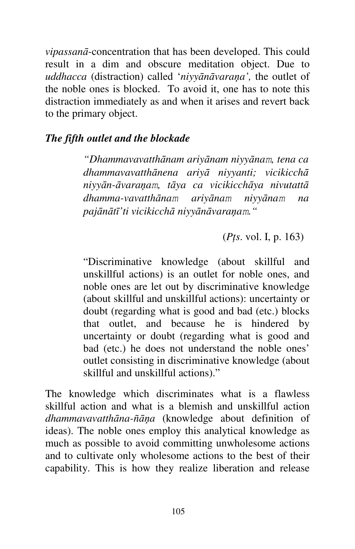*vipassanā*-concentration that has been developed. This could result in a dim and obscure meditation object. Due to *uddhacca* (distraction) called '*niyyānāvaraņa',* the outlet of the noble ones is blocked. To avoid it, one has to note this distraction immediately as and when it arises and revert back to the primary object.

## *The fifth outlet and the blockade*

*"Dhammavavatthānam ariyānam niyyānam, tena ca dhammavavatthānena ariyā niyyanti; vicikicchā niyyān-āvaraņam, tāya ca vicikicchāya nivutattā dhamma-vavatthānam ariyānam niyyānam na pajānātī'ti vicikicchā niyyānāvaraņam."*

(*Pţs*. vol. I, p. 163)

"Discriminative knowledge (about skillful and unskillful actions) is an outlet for noble ones, and noble ones are let out by discriminative knowledge (about skillful and unskillful actions): uncertainty or doubt (regarding what is good and bad (etc.) blocks that outlet, and because he is hindered by uncertainty or doubt (regarding what is good and bad (etc.) he does not understand the noble ones' outlet consisting in discriminative knowledge (about skillful and unskillful actions)."

The knowledge which discriminates what is a flawless skillful action and what is a blemish and unskillful action *dhammavavatthāna-ñāņa* (knowledge about definition of ideas). The noble ones employ this analytical knowledge as much as possible to avoid committing unwholesome actions and to cultivate only wholesome actions to the best of their capability. This is how they realize liberation and release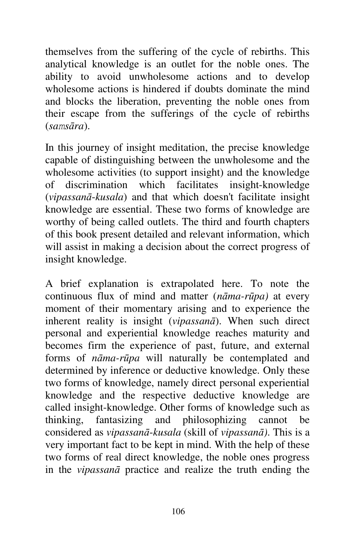themselves from the suffering of the cycle of rebirths. This analytical knowledge is an outlet for the noble ones. The ability to avoid unwholesome actions and to develop wholesome actions is hindered if doubts dominate the mind and blocks the liberation, preventing the noble ones from their escape from the sufferings of the cycle of rebirths (*samsāra*).

In this journey of insight meditation, the precise knowledge capable of distinguishing between the unwholesome and the wholesome activities (to support insight) and the knowledge of discrimination which facilitates insight-knowledge (*vipassanā*-*kusala*) and that which doesn't facilitate insight knowledge are essential. These two forms of knowledge are worthy of being called outlets. The third and fourth chapters of this book present detailed and relevant information, which will assist in making a decision about the correct progress of insight knowledge.

A brief explanation is extrapolated here. To note the continuous flux of mind and matter (*nāma-rūpa)* at every moment of their momentary arising and to experience the inherent reality is insight (*vipassanā*). When such direct personal and experiential knowledge reaches maturity and becomes firm the experience of past, future, and external forms of *nāma-rūpa* will naturally be contemplated and determined by inference or deductive knowledge. Only these two forms of knowledge, namely direct personal experiential knowledge and the respective deductive knowledge are called insight-knowledge. Other forms of knowledge such as thinking, fantasizing and philosophizing cannot be considered as *vipassanā*-*kusala* (skill of *vipassanā)*. This is a very important fact to be kept in mind. With the help of these two forms of real direct knowledge, the noble ones progress in the *vipassanā* practice and realize the truth ending the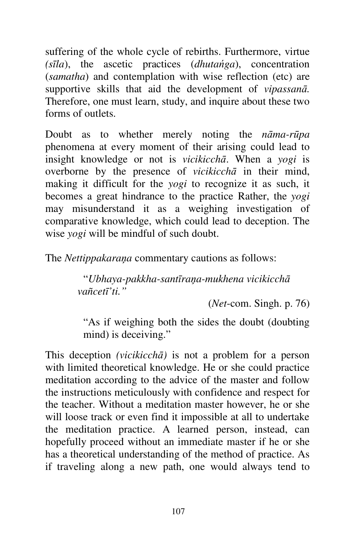suffering of the whole cycle of rebirths. Furthermore, virtue *(sīla*), the ascetic practices (*dhutańga*), concentration (*samatha*) and contemplation with wise reflection (etc) are supportive skills that aid the development of *vipassanā.*  Therefore, one must learn, study, and inquire about these two forms of outlets.

Doubt as to whether merely noting the *nāma-rūpa*  phenomena at every moment of their arising could lead to insight knowledge or not is *vicikicchā*. When a *yogi* is overborne by the presence of *vicikicchā* in their mind, making it difficult for the *yogi* to recognize it as such, it becomes a great hindrance to the practice Rather, the *yogi*  may misunderstand it as a weighing investigation of comparative knowledge, which could lead to deception. The wise *yogi* will be mindful of such doubt.

The *Nettippakaraņa* commentary cautions as follows:

"*Ubhaya-pakkha-santīraņa-mukhena vicikicchā vañcetī'ti."*

(*Net*-com. Singh. p. 76)

"As if weighing both the sides the doubt (doubting mind) is deceiving."

This deception *(vicikicchā)* is not a problem for a person with limited theoretical knowledge. He or she could practice meditation according to the advice of the master and follow the instructions meticulously with confidence and respect for the teacher. Without a meditation master however, he or she will loose track or even find it impossible at all to undertake the meditation practice. A learned person, instead, can hopefully proceed without an immediate master if he or she has a theoretical understanding of the method of practice. As if traveling along a new path, one would always tend to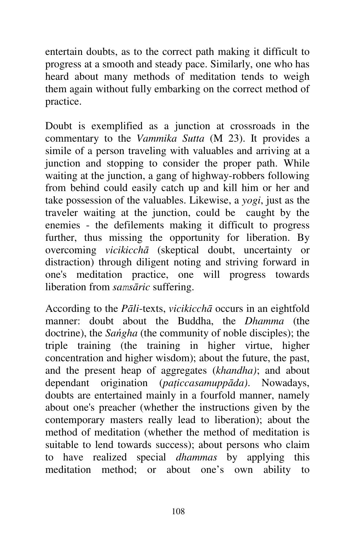entertain doubts, as to the correct path making it difficult to progress at a smooth and steady pace. Similarly, one who has heard about many methods of meditation tends to weigh them again without fully embarking on the correct method of practice.

Doubt is exemplified as a junction at crossroads in the commentary to the *Vammika Sutta* (M 23). It provides a simile of a person traveling with valuables and arriving at a junction and stopping to consider the proper path. While waiting at the junction, a gang of highway-robbers following from behind could easily catch up and kill him or her and take possession of the valuables. Likewise, a *yogi*, just as the traveler waiting at the junction, could be caught by the enemies - the defilements making it difficult to progress further, thus missing the opportunity for liberation. By overcoming *vicikicchā* (skeptical doubt, uncertainty or distraction) through diligent noting and striving forward in one's meditation practice, one will progress towards liberation from *samsāric* suffering.

According to the *Pāli*-texts, *vicikicchā* occurs in an eightfold manner: doubt about the Buddha, the *Dhamma* (the doctrine), the *Sańgha* (the community of noble disciples); the triple training (the training in higher virtue, higher concentration and higher wisdom); about the future, the past, and the present heap of aggregates (*khandha)*; and about dependant origination (*paţiccasamuppāda)*. Nowadays, doubts are entertained mainly in a fourfold manner, namely about one's preacher (whether the instructions given by the contemporary masters really lead to liberation); about the method of meditation (whether the method of meditation is suitable to lend towards success); about persons who claim to have realized special *dhammas* by applying this meditation method; or about one's own ability to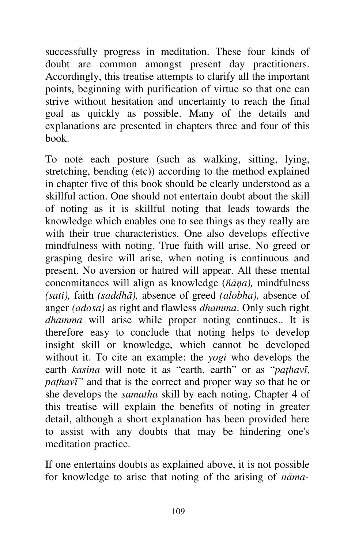successfully progress in meditation. These four kinds of doubt are common amongst present day practitioners. Accordingly, this treatise attempts to clarify all the important points, beginning with purification of virtue so that one can strive without hesitation and uncertainty to reach the final goal as quickly as possible. Many of the details and explanations are presented in chapters three and four of this book.

To note each posture (such as walking, sitting, lying, stretching, bending (etc)) according to the method explained in chapter five of this book should be clearly understood as a skillful action. One should not entertain doubt about the skill of noting as it is skillful noting that leads towards the knowledge which enables one to see things as they really are with their true characteristics. One also develops effective mindfulness with noting. True faith will arise. No greed or grasping desire will arise, when noting is continuous and present. No aversion or hatred will appear. All these mental concomitances will align as knowledge (*ñāņa),* mindfulness *(sati),* faith *(saddhā),* absence of greed *(alobha),* absence of anger *(adosa)* as right and flawless *dhamma*. Only such right *dhamma* will arise while proper noting continues.. It is therefore easy to conclude that noting helps to develop insight skill or knowledge, which cannot be developed without it. To cite an example: the *yogi* who develops the earth *kasina* will note it as "earth, earth" or as "*paţhavī*, *paţhavī"* and that is the correct and proper way so that he or she develops the *samatha* skill by each noting. Chapter 4 of this treatise will explain the benefits of noting in greater detail, although a short explanation has been provided here to assist with any doubts that may be hindering one's meditation practice.

If one entertains doubts as explained above, it is not possible for knowledge to arise that noting of the arising of *nāma-*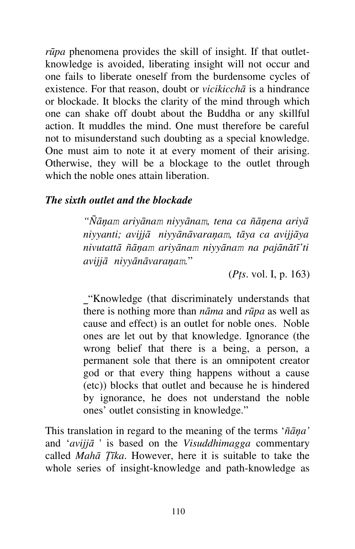*rūpa* phenomena provides the skill of insight. If that outletknowledge is avoided, liberating insight will not occur and one fails to liberate oneself from the burdensome cycles of existence. For that reason, doubt or *vicikicchā* is a hindrance or blockade. It blocks the clarity of the mind through which one can shake off doubt about the Buddha or any skillful action. It muddles the mind. One must therefore be careful not to misunderstand such doubting as a special knowledge. One must aim to note it at every moment of their arising. Otherwise, they will be a blockage to the outlet through which the noble ones attain liberation.

### *The sixth outlet and the blockade*

*"Ñāņam ariyānam niyyānam, tena ca ñāņena ariyā niyyanti; avijjā niyyānāvaraņam, tāya ca avijjāya nivutattā ñāņam ariyānam niyyānam na pajānātī'ti avijjā niyyānāvaraņam.*"

(*Pţs*. vol. I, p. 163)

"Knowledge (that discriminately understands that there is nothing more than *nāma* and *rūpa* as well as cause and effect) is an outlet for noble ones. Noble ones are let out by that knowledge. Ignorance (the wrong belief that there is a being, a person, a permanent sole that there is an omnipotent creator god or that every thing happens without a cause (etc)) blocks that outlet and because he is hindered by ignorance, he does not understand the noble ones' outlet consisting in knowledge."

This translation in regard to the meaning of the terms '*ñāņa'*  and '*avijjā* ' is based on the *Visuddhimagga* commentary called *Mahā Ţīka*. However, here it is suitable to take the whole series of insight-knowledge and path-knowledge as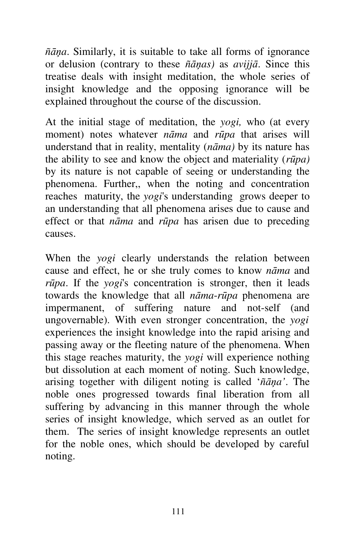*ñāņa*. Similarly, it is suitable to take all forms of ignorance or delusion (contrary to these *ñāņas)* as *avijjā*. Since this treatise deals with insight meditation, the whole series of insight knowledge and the opposing ignorance will be explained throughout the course of the discussion.

At the initial stage of meditation, the *yogi,* who (at every moment) notes whatever *nāma* and *rūpa* that arises will understand that in reality, mentality (*nāma)* by its nature has the ability to see and know the object and materiality (*rūpa)*  by its nature is not capable of seeing or understanding the phenomena. Further,, when the noting and concentration reaches maturity, the *yogi*'s understanding grows deeper to an understanding that all phenomena arises due to cause and effect or that *nāma* and *rūpa* has arisen due to preceding causes.

When the *yogi* clearly understands the relation between cause and effect, he or she truly comes to know *nāma* and *rūpa*. If the *yogi*'s concentration is stronger, then it leads towards the knowledge that all *nāma*-*rūpa* phenomena are impermanent, of suffering nature and not-self (and ungovernable). With even stronger concentration, the *yogi*  experiences the insight knowledge into the rapid arising and passing away or the fleeting nature of the phenomena. When this stage reaches maturity, the *yogi* will experience nothing but dissolution at each moment of noting. Such knowledge, arising together with diligent noting is called '*ñāņa'*. The noble ones progressed towards final liberation from all suffering by advancing in this manner through the whole series of insight knowledge, which served as an outlet for them. The series of insight knowledge represents an outlet for the noble ones, which should be developed by careful noting.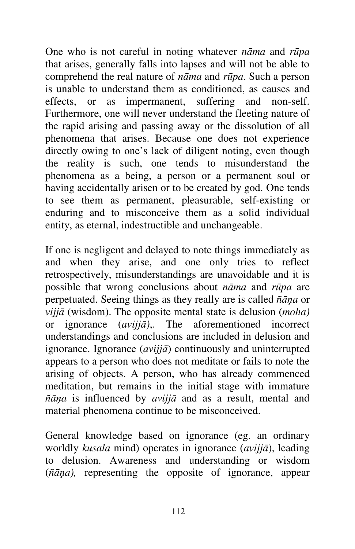One who is not careful in noting whatever *nāma* and *rūpa*  that arises, generally falls into lapses and will not be able to comprehend the real nature of *nāma* and *rūpa*. Such a person is unable to understand them as conditioned, as causes and effects, or as impermanent, suffering and non-self. Furthermore, one will never understand the fleeting nature of the rapid arising and passing away or the dissolution of all phenomena that arises. Because one does not experience directly owing to one's lack of diligent noting, even though the reality is such, one tends to misunderstand the phenomena as a being, a person or a permanent soul or having accidentally arisen or to be created by god. One tends to see them as permanent, pleasurable, self-existing or enduring and to misconceive them as a solid individual entity, as eternal, indestructible and unchangeable.

If one is negligent and delayed to note things immediately as and when they arise, and one only tries to reflect retrospectively, misunderstandings are unavoidable and it is possible that wrong conclusions about *nāma* and *rūpa* are perpetuated. Seeing things as they really are is called *ñāņa* or *vijjā* (wisdom). The opposite mental state is delusion (*moha)*  or ignorance (*avijjā)*,. The aforementioned incorrect understandings and conclusions are included in delusion and ignorance. Ignorance (*avijjā*) continuously and uninterrupted appears to a person who does not meditate or fails to note the arising of objects. A person, who has already commenced meditation, but remains in the initial stage with immature *ñāņa* is influenced by *avijjā* and as a result, mental and material phenomena continue to be misconceived.

General knowledge based on ignorance (eg. an ordinary worldly *kusala* mind) operates in ignorance (*avijjā*), leading to delusion. Awareness and understanding or wisdom (*ñāņa),* representing the opposite of ignorance, appear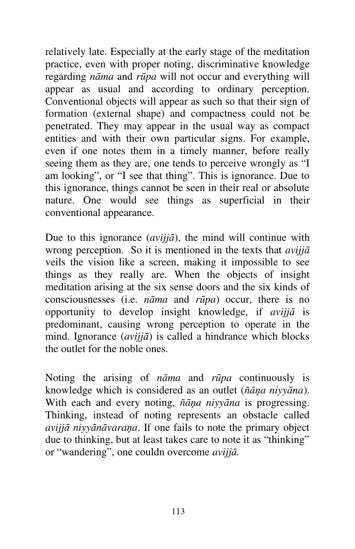relatively late. Especially at the early stage of the meditation practice, even with proper noting, discriminative knowledge regarding *nāma* and *rūpa* will not occur and everything will appear as usual and according to ordinary perception. Conventional objects will appear as such so that their sign of formation (external shape) and compactness could not be penetrated. They may appear in the usual way as compact entities and with their own particular signs. For example, even if one notes them in a timely manner, before really seeing them as they are, one tends to perceive wrongly as "I am looking", or "I see that thing". This is ignorance. Due to this ignorance, things cannot be seen in their real or absolute nature. One would see things as superficial in their conventional appearance.

Due to this ignorance (*avijjā*), the mind will continue with wrong perception. So it is mentioned in the texts that *avijjā* veils the vision like a screen, making it impossible to see things as they really are. When the objects of insight meditation arising at the six sense doors and the six kinds of consciousnesses (i.e. *nāma* and *rūpa*) occur, there is no opportunity to develop insight knowledge, if *avijjā* is predominant, causing wrong perception to operate in the mind. Ignorance (*avijjā*) is called a hindrance which blocks the outlet for the noble ones.

Noting the arising of *nāma* and *rūpa* continuously is knowledge which is considered as an outlet (*ñāņa niyyāna*). With each and every noting, *ñāņa niyyāna* is progressing. Thinking, instead of noting represents an obstacle called *avijjā niyyānāvaraņa*. If one fails to note the primary object due to thinking, but at least takes care to note it as "thinking" or "wandering", one couldn overcome *avijjā.*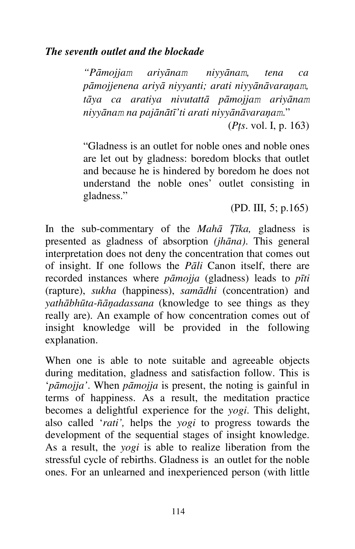*"Pāmojjam ariyānam niyyānam, tena ca pāmojjenena ariyā niyyanti; arati niyyānāvaraņam, tāya ca aratiya nivutattā pāmojjam ariyānam niyyānam na pajānātī'ti arati niyyānāvaraņam*."

(*Pţs*. vol. I, p. 163)

"Gladness is an outlet for noble ones and noble ones are let out by gladness: boredom blocks that outlet and because he is hindered by boredom he does not understand the noble ones' outlet consisting in gladness."

(PD. III, 5; p.165)

In the sub-commentary of the *Mahā Ţīka,* gladness is presented as gladness of absorption *(jhāna)*. This general interpretation does not deny the concentration that comes out of insight. If one follows the *Pāli* Canon itself, there are recorded instances where *pāmojja* (gladness) leads to *pīti*  (rapture), *sukha* (happiness), *samādhi* (concentration) and *yathābhūta-ñāņadassana* (knowledge to see things as they really are). An example of how concentration comes out of insight knowledge will be provided in the following explanation.

When one is able to note suitable and agreeable objects during meditation, gladness and satisfaction follow. This is '*pāmojja'*. When *pāmojja* is present, the noting is gainful in terms of happiness. As a result, the meditation practice becomes a delightful experience for the *yogi*. This delight, also called '*rati',* helps the *yogi* to progress towards the development of the sequential stages of insight knowledge. As a result, the *yogi* is able to realize liberation from the stressful cycle of rebirths. Gladness is an outlet for the noble ones. For an unlearned and inexperienced person (with little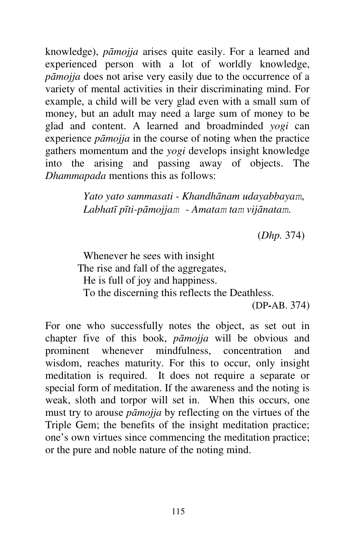knowledge), *pāmojja* arises quite easily. For a learned and experienced person with a lot of worldly knowledge, *pāmojja* does not arise very easily due to the occurrence of a variety of mental activities in their discriminating mind. For example, a child will be very glad even with a small sum of money, but an adult may need a large sum of money to be glad and content. A learned and broadminded *yogi* can experience *pāmojja* in the course of noting when the practice gathers momentum and the *yogi* develops insight knowledge into the arising and passing away of objects. The *Dhammapada* mentions this as follows:

> *Yato yato sammasati - Khandhānam udayabbayam*, *Labhatī pīti-pāmojjam - Amatam tam vijānatam*.

> > (*Dhp.* 374)

Whenever he sees with insight The rise and fall of the aggregates, He is full of joy and happiness. To the discerning this reflects the Deathless. (DP**-**AB. 374)

For one who successfully notes the object, as set out in chapter five of this book, *pāmojja* will be obvious and prominent whenever mindfulness, concentration and wisdom, reaches maturity. For this to occur, only insight meditation is required. It does not require a separate or special form of meditation. If the awareness and the noting is weak, sloth and torpor will set in. When this occurs, one must try to arouse *pāmojja* by reflecting on the virtues of the Triple Gem; the benefits of the insight meditation practice; one's own virtues since commencing the meditation practice; or the pure and noble nature of the noting mind.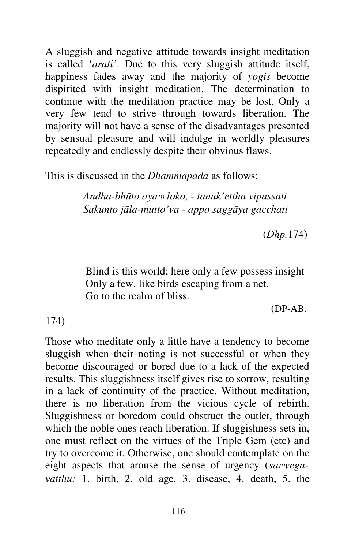A sluggish and negative attitude towards insight meditation is called '*arati'*. Due to this very sluggish attitude itself, happiness fades away and the majority of *yogis* become dispirited with insight meditation. The determination to continue with the meditation practice may be lost. Only a very few tend to strive through towards liberation. The majority will not have a sense of the disadvantages presented by sensual pleasure and will indulge in worldly pleasures repeatedly and endlessly despite their obvious flaws.

This is discussed in the *Dhammapada* as follows:

*Andha-bhūto ayam loko, - tanuk'ettha vipassati Sakunto jāla-mutto'va - appo saggāya gacchati*

(*Dhp.*174)

Blind is this world; here only a few possess insight Only a few, like birds escaping from a net, Go to the realm of bliss.

(DP**-**AB.

### 174)

Those who meditate only a little have a tendency to become sluggish when their noting is not successful or when they become discouraged or bored due to a lack of the expected results. This sluggishness itself gives rise to sorrow, resulting in a lack of continuity of the practice. Without meditation, there is no liberation from the vicious cycle of rebirth. Sluggishness or boredom could obstruct the outlet, through which the noble ones reach liberation. If sluggishness sets in, one must reflect on the virtues of the Triple Gem (etc) and try to overcome it. Otherwise, one should contemplate on the eight aspects that arouse the sense of urgency (*samvegavatthu:* 1. birth, 2. old age, 3. disease, 4. death, 5. the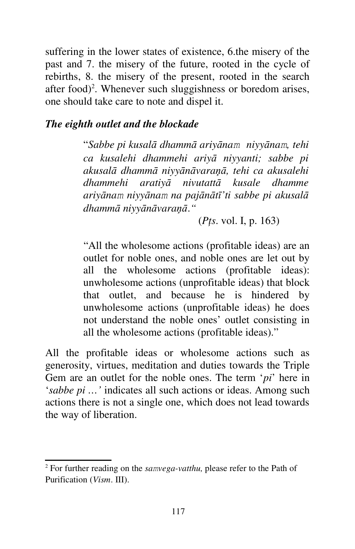suffering in the lower states of existence, 6.the misery of the past and 7. the misery of the future, rooted in the cycle of rebirths, 8. the misery of the present, rooted in the search after food)<sup>2</sup>. Whenever such sluggishness or boredom arises, one should take care to note and dispel it.

#### *The eighth outlet and the blockade*

"*Sabbe pi kusalā dhammā ariyānam niyyānam, tehi ca kusalehi dhammehi ariyā niyyanti; sabbe pi akusalā dhammā niyyānāvaraņā, tehi ca akusalehi dhammehi aratiyā nivutattā kusale dhamme ariyānam niyyānam na pajānātī'ti sabbe pi akusalā dhammā niyyānāvaraņā*.*"*

(*Pţs*. vol. I, p. 163)

"All the wholesome actions (profitable ideas) are an outlet for noble ones, and noble ones are let out by all the wholesome actions (profitable ideas): unwholesome actions (unprofitable ideas) that block that outlet, and because he is hindered by unwholesome actions (unprofitable ideas) he does not understand the noble ones' outlet consisting in all the wholesome actions (profitable ideas)."

All the profitable ideas or wholesome actions such as generosity, virtues, meditation and duties towards the Triple Gem are an outlet for the noble ones. The term '*pi*' here in '*sabbe pi …'* indicates all such actions or ideas. Among such actions there is not a single one, which does not lead towards the way of liberation.

<sup>2</sup> For further reading on the *samvega-vatthu,* please refer to the Path of Purification (*Vism*. III).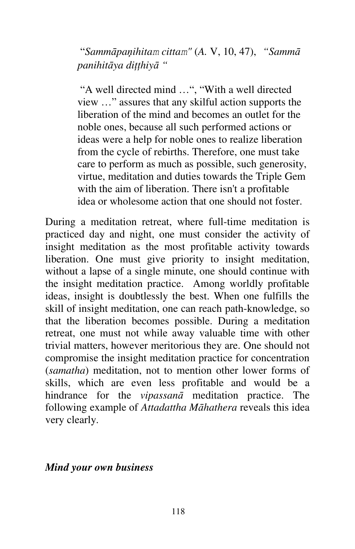"*Sammāpaņihitam cittam"* (*A.* V, 10, 47), *"Sammā panihitāya diţţhiyā "*

"A well directed mind …", "With a well directed view …" assures that any skilful action supports the liberation of the mind and becomes an outlet for the noble ones, because all such performed actions or ideas were a help for noble ones to realize liberation from the cycle of rebirths. Therefore, one must take care to perform as much as possible, such generosity, virtue, meditation and duties towards the Triple Gem with the aim of liberation. There isn't a profitable idea or wholesome action that one should not foster.

During a meditation retreat, where full-time meditation is practiced day and night, one must consider the activity of insight meditation as the most profitable activity towards liberation. One must give priority to insight meditation, without a lapse of a single minute, one should continue with the insight meditation practice. Among worldly profitable ideas, insight is doubtlessly the best. When one fulfills the skill of insight meditation, one can reach path-knowledge, so that the liberation becomes possible. During a meditation retreat, one must not while away valuable time with other trivial matters, however meritorious they are. One should not compromise the insight meditation practice for concentration (*samatha*) meditation, not to mention other lower forms of skills, which are even less profitable and would be a hindrance for the *vipassanā* meditation practice. The following example of *Attadattha Māhathera* reveals this idea very clearly.

#### *Mind your own business*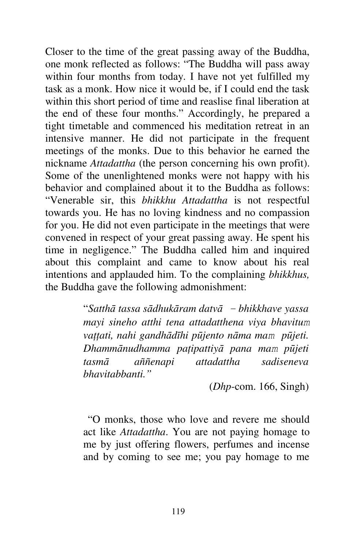Closer to the time of the great passing away of the Buddha, one monk reflected as follows: "The Buddha will pass away within four months from today. I have not yet fulfilled my task as a monk. How nice it would be, if I could end the task within this short period of time and reaslise final liberation at the end of these four months." Accordingly, he prepared a tight timetable and commenced his meditation retreat in an intensive manner. He did not participate in the frequent meetings of the monks. Due to this behavior he earned the nickname *Attadattha* (the person concerning his own profit). Some of the unenlightened monks were not happy with his behavior and complained about it to the Buddha as follows: "Venerable sir, this *bhikkhu Attadattha* is not respectful towards you. He has no loving kindness and no compassion for you. He did not even participate in the meetings that were convened in respect of your great passing away. He spent his time in negligence." The Buddha called him and inquired about this complaint and came to know about his real intentions and applauded him. To the complaining *bhikkhus,*  the Buddha gave the following admonishment:

> "*Satthā tassa sādhukāram datvā - bhikkhave yassa mayi sineho atthi tena attadatthena viya bhavitum vaţţati, nahi gandhādīhi pūjento nāma mam pūjeti. Dhammānudhamma paţipattiyā pana mam pūjeti tasmā aññenapi attadattha sadiseneva bhavitabbanti."*

> > (*Dhp*-com. 166, Singh)

 "O monks, those who love and revere me should act like *Attadattha*. You are not paying homage to me by just offering flowers, perfumes and incense and by coming to see me; you pay homage to me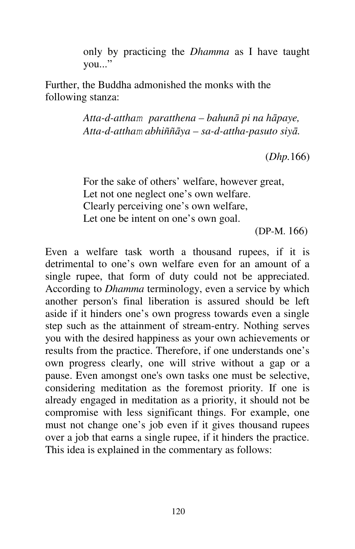only by practicing the *Dhamma* as I have taught you..."

Further, the Buddha admonished the monks with the following stanza:

> *Atta-d-attham paratthena – bahunā pi na hāpaye, Atta-d-attham abhiññāya – sa-d-attha-pasuto siyā.*

> > (*Dhp.*166)

For the sake of others' welfare, however great, Let not one neglect one's own welfare. Clearly perceiving one's own welfare, Let one be intent on one's own goal.

(DP-M. 166)

Even a welfare task worth a thousand rupees, if it is detrimental to one's own welfare even for an amount of a single rupee, that form of duty could not be appreciated. According to *Dhamma* terminology, even a service by which another person's final liberation is assured should be left aside if it hinders one's own progress towards even a single step such as the attainment of stream-entry. Nothing serves you with the desired happiness as your own achievements or results from the practice. Therefore, if one understands one's own progress clearly, one will strive without a gap or a pause. Even amongst one's own tasks one must be selective, considering meditation as the foremost priority. If one is already engaged in meditation as a priority, it should not be compromise with less significant things. For example, one must not change one's job even if it gives thousand rupees over a job that earns a single rupee, if it hinders the practice. This idea is explained in the commentary as follows: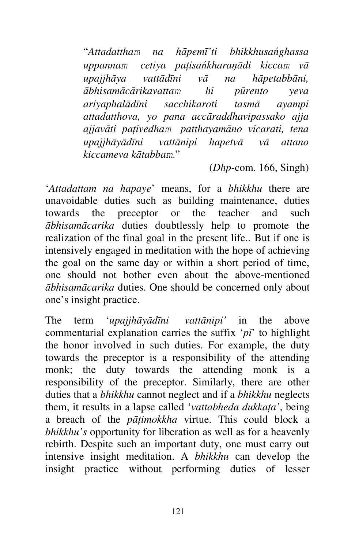"*Attadattham na hāpemī'ti bhikkhusańghassa uppannam cetiya paţisańkharaņādi kiccam vā upajjhāya vattādīni vā na hāpetabbāni, ābhisamācārikavattam hi pūrento yeva ariyaphalādīni sacchikaroti tasmā ayampi attadatthova, yo pana accāraddhavipassako ajja ajjavāti paţivedham patthayamāno vicarati, tena upajjhāyādīni vattānipi hapetvā vā attano kiccameva kātabbam*."

(*Dhp*-com. 166, Singh)

'*Attadattam na hapaye*' means, for a *bhikkhu* there are unavoidable duties such as building maintenance, duties towards the preceptor or the teacher and such *ābhisamācarika* duties doubtlessly help to promote the realization of the final goal in the present life.. But if one is intensively engaged in meditation with the hope of achieving the goal on the same day or within a short period of time, one should not bother even about the above-mentioned *ābhisamācarika* duties. One should be concerned only about one's insight practice.

The term '*upajjhāyādīni vattānipi'* in the above commentarial explanation carries the suffix '*pi*' to highlight the honor involved in such duties. For example, the duty towards the preceptor is a responsibility of the attending monk; the duty towards the attending monk is a responsibility of the preceptor. Similarly, there are other duties that a *bhikkhu* cannot neglect and if a *bhikkhu* neglects them, it results in a lapse called '*vattabheda dukkaţa'*, being a breach of the *pāţimokkha* virtue. This could block a *bhikkhu's* opportunity for liberation as well as for a heavenly rebirth. Despite such an important duty, one must carry out intensive insight meditation. A *bhikkhu* can develop the insight practice without performing duties of lesser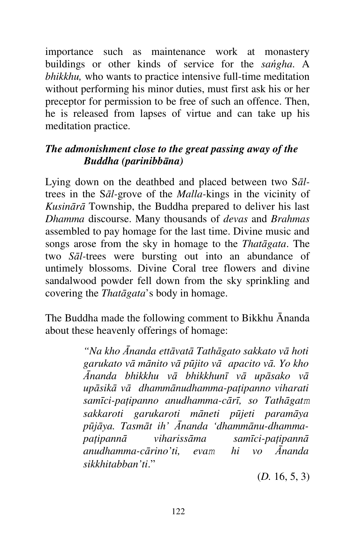importance such as maintenance work at monastery buildings or other kinds of service for the *sańgha*. A *bhikkhu,* who wants to practice intensive full-time meditation without performing his minor duties, must first ask his or her preceptor for permission to be free of such an offence. Then, he is released from lapses of virtue and can take up his meditation practice.

## *The admonishment close to the great passing away of the Buddha (parinibbāna)*

Lying down on the deathbed and placed between two S*āl*trees in the S*āl-*grove of the *Malla-*kings in the vicinity of *Kusinārā* Township, the Buddha prepared to deliver his last *Dhamma* discourse. Many thousands of *devas* and *Brahmas*  assembled to pay homage for the last time. Divine music and songs arose from the sky in homage to the *Thatāgata*. The two *Sāl-*trees were bursting out into an abundance of untimely blossoms. Divine Coral tree flowers and divine sandalwood powder fell down from the sky sprinkling and covering the *Thatāgata*'s body in homage.

The Buddha made the following comment to Bikkhu Ānanda about these heavenly offerings of homage:

> *"Na kho Ānanda ettāvatā Tathāgato sakkato vā hoti garukato vā mānito vā pūjito vā apacito vā. Yo kho Ānanda bhikkhu vā bhikkhunī vā upāsako vā upāsikā vā dhammānudhamma-paţipanno viharati samīci-paţipanno anudhamma-cārī, so Tathāgatm sakkaroti garukaroti māneti pūjeti paramāya pūjāya. Tasmāt ih' Ānanda 'dhammānu-dhammapaţipannā viharissāma samīci-paţipannā anudhamma-cārino'ti, evam hi vo Ānanda sikkhitabban'ti*."

> > (*D.* 16, 5, 3)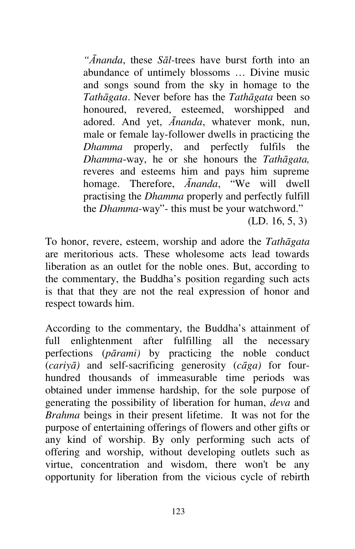*"Ānanda*, these *Sāl-*trees have burst forth into an abundance of untimely blossoms … Divine music and songs sound from the sky in homage to the *Tathāgata*. Never before has the *Tathāgata* been so honoured, revered, esteemed, worshipped and adored. And yet, *Ānanda*, whatever monk, nun, male or female lay-follower dwells in practicing the *Dhamma* properly, and perfectly fulfils the *Dhamma*-way, he or she honours the *Tathāgata,*  reveres and esteems him and pays him supreme homage. Therefore, *Ānanda*, "We will dwell practising the *Dhamma* properly and perfectly fulfill the *Dhamma*-way"- this must be your watchword."

(LD. 16, 5, 3)

To honor, revere, esteem, worship and adore the *Tathāgata*  are meritorious acts. These wholesome acts lead towards liberation as an outlet for the noble ones. But, according to the commentary, the Buddha's position regarding such acts is that that they are not the real expression of honor and respect towards him.

According to the commentary, the Buddha's attainment of full enlightenment after fulfilling all the necessary perfections (*pārami)* by practicing the noble conduct (*cariyā)* and self-sacrificing generosity (*cāga)* for fourhundred thousands of immeasurable time periods was obtained under immense hardship, for the sole purpose of generating the possibility of liberation for human, *deva* and *Brahma* beings in their present lifetime. It was not for the purpose of entertaining offerings of flowers and other gifts or any kind of worship. By only performing such acts of offering and worship, without developing outlets such as virtue, concentration and wisdom, there won't be any opportunity for liberation from the vicious cycle of rebirth

123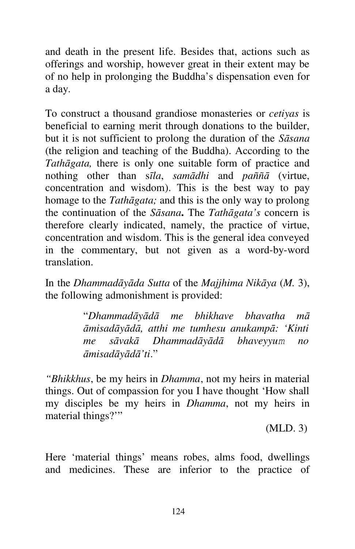and death in the present life. Besides that, actions such as offerings and worship, however great in their extent may be of no help in prolonging the Buddha's dispensation even for a day.

To construct a thousand grandiose monasteries or *cetiyas* is beneficial to earning merit through donations to the builder, but it is not sufficient to prolong the duration of the *Sāsana*  (the religion and teaching of the Buddha). According to the *Tathāgata,* there is only one suitable form of practice and nothing other than s*īla*, *samādhi* and *paññā* (virtue, concentration and wisdom). This is the best way to pay homage to the *Tathāgata;* and this is the only way to prolong the continuation of the *Sāsana***.** The *Tathāgata's* concern is therefore clearly indicated, namely, the practice of virtue, concentration and wisdom. This is the general idea conveyed in the commentary, but not given as a word-by-word translation.

In the *Dhammadāyāda Sutta* of the *Majjhima Nikāya* (*M.* 3), the following admonishment is provided:

> "*Dhammadāyādā me bhikhave bhavatha mā āmisadāyādā, atthi me tumhesu anukampā: 'Kinti me sāvakā Dhammadāyādā bhaveyyum no āmisadāyādā'ti*."

*"Bhikkhus*, be my heirs in *Dhamma*, not my heirs in material things. Out of compassion for you I have thought 'How shall my disciples be my heirs in *Dhamma*, not my heirs in material things?"

(MLD. 3)

Here 'material things' means robes, alms food, dwellings and medicines. These are inferior to the practice of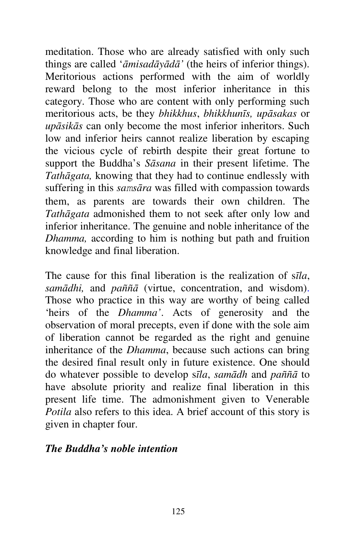meditation. Those who are already satisfied with only such things are called '*āmisadāyādā'* (the heirs of inferior things). Meritorious actions performed with the aim of worldly reward belong to the most inferior inheritance in this category. Those who are content with only performing such meritorious acts, be they *bhikkhus*, *bhikkhunīs, upāsakas* or *upāsikās* can only become the most inferior inheritors. Such low and inferior heirs cannot realize liberation by escaping the vicious cycle of rebirth despite their great fortune to support the Buddha's *Sāsana* in their present lifetime. The *Tathāgata,* knowing that they had to continue endlessly with suffering in this *samsāra* was filled with compassion towards them, as parents are towards their own children. The *Tathāgata* admonished them to not seek after only low and inferior inheritance. The genuine and noble inheritance of the *Dhamma,* according to him is nothing but path and fruition knowledge and final liberation.

The cause for this final liberation is the realization of s*īla*, *samādhi,* and *paññā* (virtue, concentration, and wisdom). Those who practice in this way are worthy of being called 'heirs of the *Dhamma'*. Acts of generosity and the observation of moral precepts, even if done with the sole aim of liberation cannot be regarded as the right and genuine inheritance of the *Dhamma*, because such actions can bring the desired final result only in future existence. One should do whatever possible to develop s*īla*, *samādh* and *paññā* to have absolute priority and realize final liberation in this present life time. The admonishment given to Venerable *Potila* also refers to this idea. A brief account of this story is given in chapter four.

### *The Buddha's noble intention*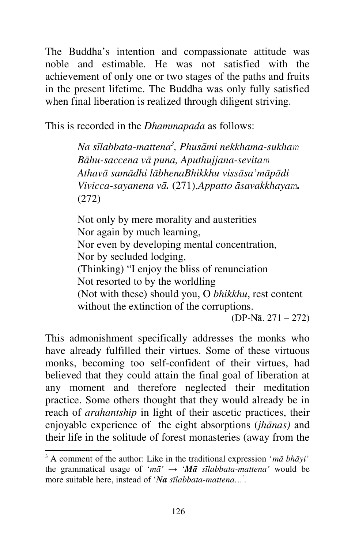The Buddha's intention and compassionate attitude was noble and estimable. He was not satisfied with the achievement of only one or two stages of the paths and fruits in the present lifetime. The Buddha was only fully satisfied when final liberation is realized through diligent striving.

This is recorded in the *Dhammapada* as follows:

*Na sīlabbata-mattena<sup>3</sup> , Phusāmi nekkhama-sukham Bāhu-saccena vā puna, Aputhujjana-sevitam Athavā samādhi lābhenaBhikkhu vissāsa'māpādi Vivicca-sayanena vā.* (271),*Appatto āsavakkhayam***.**  (272)

Not only by mere morality and austerities Nor again by much learning, Nor even by developing mental concentration, Nor by secluded lodging, (Thinking) "I enjoy the bliss of renunciation Not resorted to by the worldling (Not with these) should you, O *bhikkhu*, rest content without the extinction of the corruptions.

(DP-Nā. 271 – 272)

This admonishment specifically addresses the monks who have already fulfilled their virtues. Some of these virtuous monks, becoming too self-confident of their virtues, had believed that they could attain the final goal of liberation at any moment and therefore neglected their meditation practice. Some others thought that they would already be in reach of *arahantship* in light of their ascetic practices, their enjoyable experience of the eight absorptions (*jhānas)* and their life in the solitude of forest monasteries (away from the

<sup>3</sup> A comment of the author: Like in the traditional expression '*mā bhāyi'*  the grammatical usage of ' $m\bar{a}$ '  $\rightarrow$  ' $M\bar{a}$  s*īlabbata-mattena*' would be more suitable here, instead of '*Na sīlabbata-mattena…' .*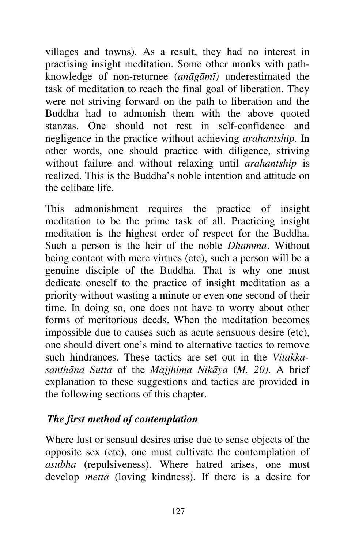villages and towns). As a result, they had no interest in practising insight meditation. Some other monks with pathknowledge of non-returnee (*anāgāmī)* underestimated the task of meditation to reach the final goal of liberation. They were not striving forward on the path to liberation and the Buddha had to admonish them with the above quoted stanzas. One should not rest in self-confidence and negligence in the practice without achieving *arahantship.* In other words, one should practice with diligence, striving without failure and without relaxing until *arahantship* is realized. This is the Buddha's noble intention and attitude on the celibate life.

This admonishment requires the practice of insight meditation to be the prime task of all. Practicing insight meditation is the highest order of respect for the Buddha. Such a person is the heir of the noble *Dhamma*. Without being content with mere virtues (etc), such a person will be a genuine disciple of the Buddha. That is why one must dedicate oneself to the practice of insight meditation as a priority without wasting a minute or even one second of their time. In doing so, one does not have to worry about other forms of meritorious deeds. When the meditation becomes impossible due to causes such as acute sensuous desire (etc), one should divert one's mind to alternative tactics to remove such hindrances. These tactics are set out in the *Vitakkasanthāna Sutta* of the *Majjhima Nikāya* (*M. 20)*. A brief explanation to these suggestions and tactics are provided in the following sections of this chapter.

## *The first method of contemplation*

Where lust or sensual desires arise due to sense objects of the opposite sex (etc), one must cultivate the contemplation of *asubha* (repulsiveness). Where hatred arises, one must develop *mettā* (loving kindness). If there is a desire for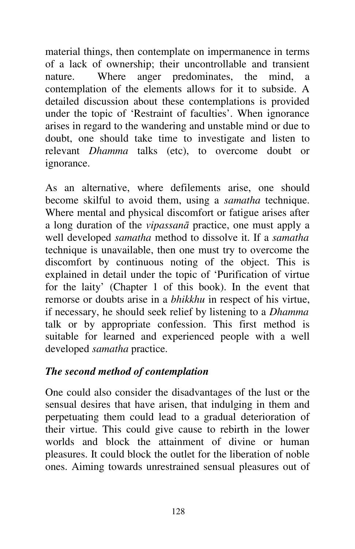material things, then contemplate on impermanence in terms of a lack of ownership; their uncontrollable and transient nature. Where anger predominates, the mind, contemplation of the elements allows for it to subside. A detailed discussion about these contemplations is provided under the topic of 'Restraint of faculties'. When ignorance arises in regard to the wandering and unstable mind or due to doubt, one should take time to investigate and listen to relevant *Dhamma* talks (etc), to overcome doubt or ignorance.

As an alternative, where defilements arise, one should become skilful to avoid them, using a *samatha* technique. Where mental and physical discomfort or fatigue arises after a long duration of the *vipassanā* practice, one must apply a well developed *samatha* method to dissolve it. If a *samatha*  technique is unavailable, then one must try to overcome the discomfort by continuous noting of the object. This is explained in detail under the topic of 'Purification of virtue for the laity' (Chapter 1 of this book). In the event that remorse or doubts arise in a *bhikkhu* in respect of his virtue, if necessary, he should seek relief by listening to a *Dhamma*  talk or by appropriate confession. This first method is suitable for learned and experienced people with a well developed *samatha* practice.

## *The second method of contemplation*

One could also consider the disadvantages of the lust or the sensual desires that have arisen, that indulging in them and perpetuating them could lead to a gradual deterioration of their virtue. This could give cause to rebirth in the lower worlds and block the attainment of divine or human pleasures. It could block the outlet for the liberation of noble ones. Aiming towards unrestrained sensual pleasures out of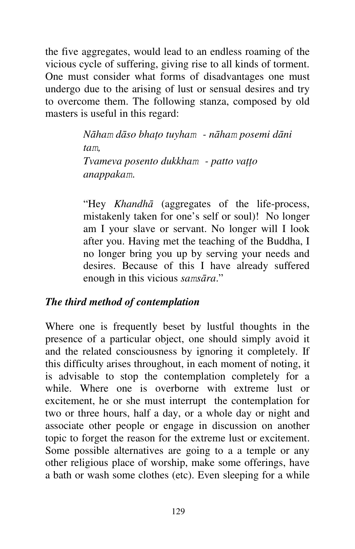the five aggregates, would lead to an endless roaming of the vicious cycle of suffering, giving rise to all kinds of torment. One must consider what forms of disadvantages one must undergo due to the arising of lust or sensual desires and try to overcome them. The following stanza, composed by old masters is useful in this regard:

> *Nāham dāso bhaţo tuyham - nāham posemi dāni tam, Tvameva posento dukkham - patto vaţţo anappakam*.

"Hey *Khandhā* (aggregates of the life-process, mistakenly taken for one's self or soul)! No longer am I your slave or servant. No longer will I look after you. Having met the teaching of the Buddha, I no longer bring you up by serving your needs and desires. Because of this I have already suffered enough in this vicious *samsāra*."

### *The third method of contemplation*

Where one is frequently beset by lustful thoughts in the presence of a particular object, one should simply avoid it and the related consciousness by ignoring it completely. If this difficulty arises throughout, in each moment of noting, it is advisable to stop the contemplation completely for a while. Where one is overborne with extreme lust or excitement, he or she must interrupt the contemplation for two or three hours, half a day, or a whole day or night and associate other people or engage in discussion on another topic to forget the reason for the extreme lust or excitement. Some possible alternatives are going to a a temple or any other religious place of worship, make some offerings, have a bath or wash some clothes (etc). Even sleeping for a while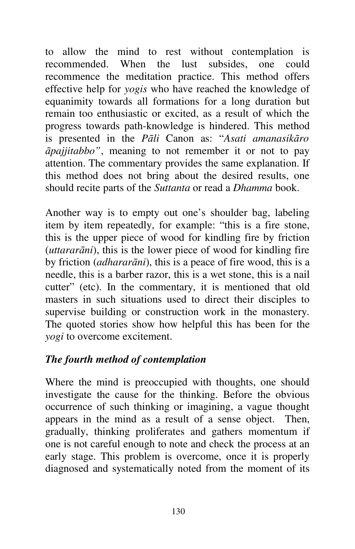to allow the mind to rest without contemplation is recommended. When the lust subsides, one could recommence the meditation practice. This method offers effective help for *yogis* who have reached the knowledge of equanimity towards all formations for a long duration but remain too enthusiastic or excited, as a result of which the progress towards path-knowledge is hindered. This method is presented in the *Pāli* Canon as: "*Asati amanasikāro āpajjitabbo"*, meaning to not remember it or not to pay attention. The commentary provides the same explanation. If this method does not bring about the desired results, one should recite parts of the *Suttanta* or read a *Dhamma* book.

Another way is to empty out one's shoulder bag, labeling item by item repeatedly, for example: "this is a fire stone, this is the upper piece of wood for kindling fire by friction (*uttararāni*), this is the lower piece of wood for kindling fire by friction (*adhararāni*), this is a peace of fire wood, this is a needle, this is a barber razor, this is a wet stone, this is a nail cutter" (etc). In the commentary, it is mentioned that old masters in such situations used to direct their disciples to supervise building or construction work in the monastery. The quoted stories show how helpful this has been for the *yogi* to overcome excitement.

## *The fourth method of contemplation*

Where the mind is preoccupied with thoughts, one should investigate the cause for the thinking. Before the obvious occurrence of such thinking or imagining, a vague thought appears in the mind as a result of a sense object. Then, gradually, thinking proliferates and gathers momentum if one is not careful enough to note and check the process at an early stage. This problem is overcome, once it is properly diagnosed and systematically noted from the moment of its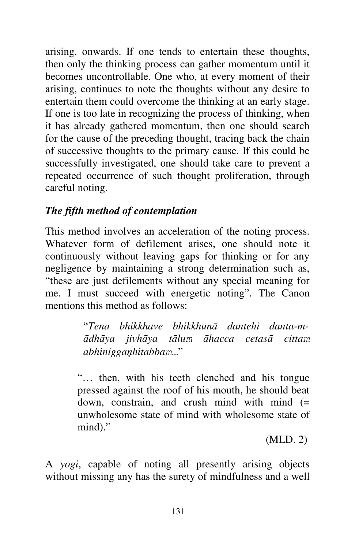arising, onwards. If one tends to entertain these thoughts, then only the thinking process can gather momentum until it becomes uncontrollable. One who, at every moment of their arising, continues to note the thoughts without any desire to entertain them could overcome the thinking at an early stage. If one is too late in recognizing the process of thinking, when it has already gathered momentum, then one should search for the cause of the preceding thought, tracing back the chain of successive thoughts to the primary cause. If this could be successfully investigated, one should take care to prevent a repeated occurrence of such thought proliferation, through careful noting.

# *The fifth method of contemplation*

This method involves an acceleration of the noting process. Whatever form of defilement arises, one should note it continuously without leaving gaps for thinking or for any negligence by maintaining a strong determination such as, "these are just defilements without any special meaning for me. I must succeed with energetic noting". The Canon mentions this method as follows:

> "*Tena bhikkhave bhikkhunā dantehi danta-mādhāya jivhāya tālum āhacca cetasā cittam abhiniggaņhitabbam…*"

"… then, with his teeth clenched and his tongue pressed against the roof of his mouth, he should beat down, constrain, and crush mind with mind  $(=$ unwholesome state of mind with wholesome state of mind)."

(MLD. 2)

A *yogi*, capable of noting all presently arising objects without missing any has the surety of mindfulness and a well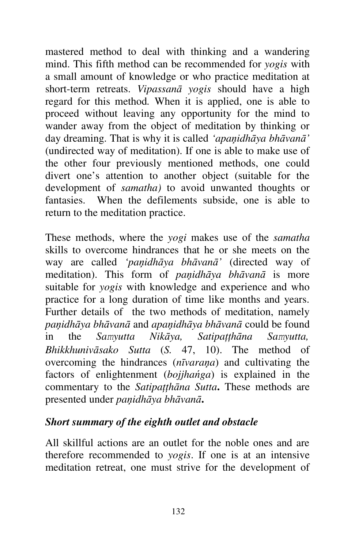mastered method to deal with thinking and a wandering mind. This fifth method can be recommended for *yogis* with a small amount of knowledge or who practice meditation at short-term retreats. *Vipassanā yogis* should have a high regard for this method*.* When it is applied, one is able to proceed without leaving any opportunity for the mind to wander away from the object of meditation by thinking or day dreaming. That is why it is called *'apaņidhāya bhāvanā'*  (undirected way of meditation). If one is able to make use of the other four previously mentioned methods, one could divert one's attention to another object (suitable for the development of *samatha)* to avoid unwanted thoughts or fantasies. When the defilements subside, one is able to return to the meditation practice.

These methods, where the *yogi* makes use of the *samatha*  skills to overcome hindrances that he or she meets on the way are called *'paņidhāya bhāvanā'* (directed way of meditation). This form of *paņidhāya bhāvanā* is more suitable for *yogis* with knowledge and experience and who practice for a long duration of time like months and years. Further details of the two methods of meditation, namely *paņidhāya bhāvanā* and *apaņidhāya bhāvanā* could be found in the *Samyutta Nikāya, Satipaţţhāna Samyutta, Bhikkhunivāsako Sutta* (*S.* 47, 10). The method of overcoming the hindrances (*nīvaraņa*) and cultivating the factors of enlightenment (*bojjhańga*) is explained in the commentary to the *Satipaţţhāna Sutta***.** These methods are presented under *paņidhāya bhāvanā***.**

### *Short summary of the eighth outlet and obstacle*

All skillful actions are an outlet for the noble ones and are therefore recommended to *yogis*. If one is at an intensive meditation retreat, one must strive for the development of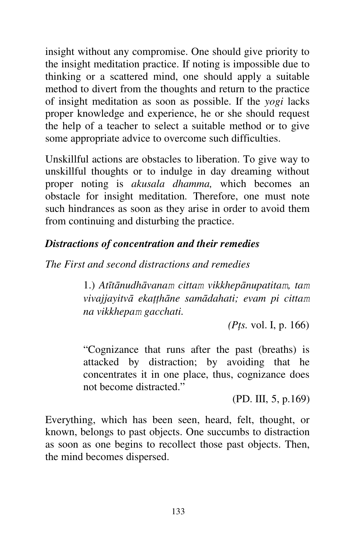insight without any compromise. One should give priority to the insight meditation practice. If noting is impossible due to thinking or a scattered mind, one should apply a suitable method to divert from the thoughts and return to the practice of insight meditation as soon as possible. If the *yogi* lacks proper knowledge and experience, he or she should request the help of a teacher to select a suitable method or to give some appropriate advice to overcome such difficulties.

Unskillful actions are obstacles to liberation. To give way to unskillful thoughts or to indulge in day dreaming without proper noting is *akusala dhamma,* which becomes an obstacle for insight meditation*.* Therefore, one must note such hindrances as soon as they arise in order to avoid them from continuing and disturbing the practice.

# *Distractions of concentration and their remedies*

*The First and second distractions and remedies*

1.) *Atītānudhāvanam cittam vikkhepānupatitam, tam vivajjayitvā ekaţţhāne samādahati; evam pi cittam na vikkhepam gacchati.* 

 *(Pţs.* vol. I, p. 166)

"Cognizance that runs after the past (breaths) is attacked by distraction; by avoiding that he concentrates it in one place, thus, cognizance does not become distracted."

(PD. III, 5, p.169)

Everything, which has been seen, heard, felt, thought, or known, belongs to past objects. One succumbs to distraction as soon as one begins to recollect those past objects. Then, the mind becomes dispersed.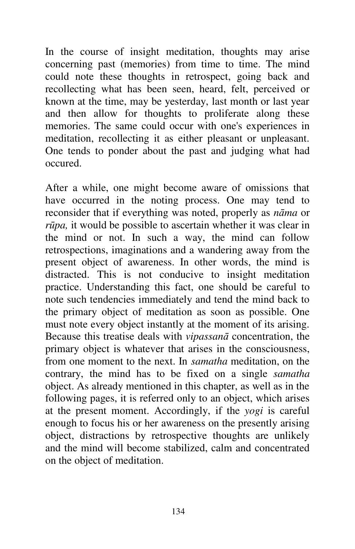In the course of insight meditation, thoughts may arise concerning past (memories) from time to time. The mind could note these thoughts in retrospect, going back and recollecting what has been seen, heard, felt, perceived or known at the time, may be yesterday, last month or last year and then allow for thoughts to proliferate along these memories. The same could occur with one's experiences in meditation, recollecting it as either pleasant or unpleasant. One tends to ponder about the past and judging what had occured.

After a while, one might become aware of omissions that have occurred in the noting process. One may tend to reconsider that if everything was noted, properly as *nāma* or *rūpa,* it would be possible to ascertain whether it was clear in the mind or not. In such a way, the mind can follow retrospections, imaginations and a wandering away from the present object of awareness. In other words, the mind is distracted. This is not conducive to insight meditation practice. Understanding this fact, one should be careful to note such tendencies immediately and tend the mind back to the primary object of meditation as soon as possible. One must note every object instantly at the moment of its arising. Because this treatise deals with *vipassanā* concentration, the primary object is whatever that arises in the consciousness, from one moment to the next. In *samatha* meditation, on the contrary, the mind has to be fixed on a single *samatha*  object. As already mentioned in this chapter, as well as in the following pages, it is referred only to an object, which arises at the present moment. Accordingly, if the *yogi* is careful enough to focus his or her awareness on the presently arising object, distractions by retrospective thoughts are unlikely and the mind will become stabilized, calm and concentrated on the object of meditation.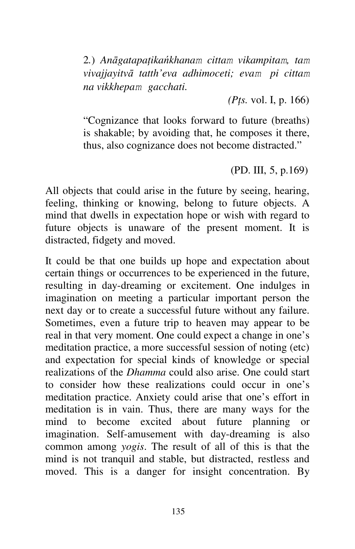2*.*) *Anāgatapaţikańkhanam cittam vikampitam, tam vivajjayitvā tatth'eva adhimoceti; evam pi cittam na vikkhepam gacchati.* 

 *(Pţs.* vol. I, p. 166)

"Cognizance that looks forward to future (breaths) is shakable; by avoiding that, he composes it there, thus, also cognizance does not become distracted."

(PD. III, 5, p.169)

All objects that could arise in the future by seeing, hearing, feeling, thinking or knowing, belong to future objects. A mind that dwells in expectation hope or wish with regard to future objects is unaware of the present moment. It is distracted, fidgety and moved.

It could be that one builds up hope and expectation about certain things or occurrences to be experienced in the future, resulting in day-dreaming or excitement. One indulges in imagination on meeting a particular important person the next day or to create a successful future without any failure. Sometimes, even a future trip to heaven may appear to be real in that very moment. One could expect a change in one's meditation practice, a more successful session of noting (etc) and expectation for special kinds of knowledge or special realizations of the *Dhamma* could also arise. One could start to consider how these realizations could occur in one's meditation practice. Anxiety could arise that one's effort in meditation is in vain. Thus, there are many ways for the mind to become excited about future planning or imagination. Self-amusement with day-dreaming is also common among *yogis*. The result of all of this is that the mind is not tranquil and stable, but distracted, restless and moved. This is a danger for insight concentration. By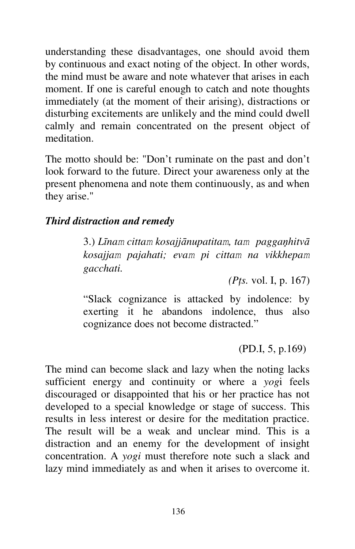understanding these disadvantages, one should avoid them by continuous and exact noting of the object. In other words, the mind must be aware and note whatever that arises in each moment. If one is careful enough to catch and note thoughts immediately (at the moment of their arising), distractions or disturbing excitements are unlikely and the mind could dwell calmly and remain concentrated on the present object of meditation.

The motto should be: "Don't ruminate on the past and don't look forward to the future. Direct your awareness only at the present phenomena and note them continuously, as and when they arise."

## *Third distraction and remedy*

3.) *Līnam cittam kosajjānupatitam, tam paggaņhitvā kosajjam pajahati; evam pi cittam na vikkhepam gacchati.*

*(Pţs.* vol. I, p. 167)

"Slack cognizance is attacked by indolence: by exerting it he abandons indolence, thus also cognizance does not become distracted."

(PD.I, 5, p.169)

The mind can become slack and lazy when the noting lacks sufficient energy and continuity or where a *yog*i feels discouraged or disappointed that his or her practice has not developed to a special knowledge or stage of success. This results in less interest or desire for the meditation practice. The result will be a weak and unclear mind. This is a distraction and an enemy for the development of insight concentration. A *yogi* must therefore note such a slack and lazy mind immediately as and when it arises to overcome it.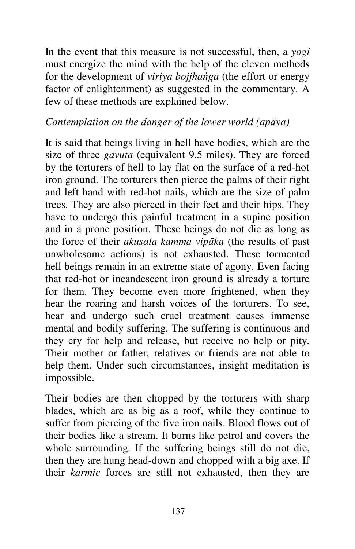In the event that this measure is not successful, then, a *yogi*  must energize the mind with the help of the eleven methods for the development of *viriya bojjhańga* (the effort or energy factor of enlightenment) as suggested in the commentary. A few of these methods are explained below.

## *Contemplation on the danger of the lower world (apāya)*

It is said that beings living in hell have bodies, which are the size of three *gāvuta* (equivalent 9.5 miles). They are forced by the torturers of hell to lay flat on the surface of a red-hot iron ground. The torturers then pierce the palms of their right and left hand with red-hot nails, which are the size of palm trees. They are also pierced in their feet and their hips. They have to undergo this painful treatment in a supine position and in a prone position. These beings do not die as long as the force of their *akusala kamma vipāka* (the results of past unwholesome actions) is not exhausted. These tormented hell beings remain in an extreme state of agony. Even facing that red-hot or incandescent iron ground is already a torture for them. They become even more frightened, when they hear the roaring and harsh voices of the torturers. To see, hear and undergo such cruel treatment causes immense mental and bodily suffering. The suffering is continuous and they cry for help and release, but receive no help or pity. Their mother or father, relatives or friends are not able to help them. Under such circumstances, insight meditation is impossible.

Their bodies are then chopped by the torturers with sharp blades, which are as big as a roof, while they continue to suffer from piercing of the five iron nails. Blood flows out of their bodies like a stream. It burns like petrol and covers the whole surrounding. If the suffering beings still do not die, then they are hung head-down and chopped with a big axe. If their *karmic* forces are still not exhausted, then they are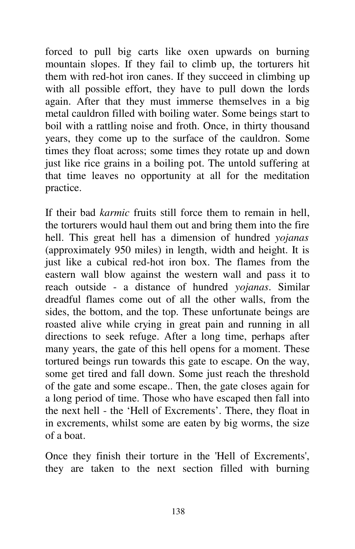forced to pull big carts like oxen upwards on burning mountain slopes. If they fail to climb up, the torturers hit them with red-hot iron canes. If they succeed in climbing up with all possible effort, they have to pull down the lords again. After that they must immerse themselves in a big metal cauldron filled with boiling water. Some beings start to boil with a rattling noise and froth. Once, in thirty thousand years, they come up to the surface of the cauldron. Some times they float across; some times they rotate up and down just like rice grains in a boiling pot. The untold suffering at that time leaves no opportunity at all for the meditation practice.

If their bad *karmic* fruits still force them to remain in hell, the torturers would haul them out and bring them into the fire hell. This great hell has a dimension of hundred *yojanas*  (approximately 950 miles) in length, width and height. It is just like a cubical red-hot iron box. The flames from the eastern wall blow against the western wall and pass it to reach outside - a distance of hundred *yojanas*. Similar dreadful flames come out of all the other walls, from the sides, the bottom, and the top. These unfortunate beings are roasted alive while crying in great pain and running in all directions to seek refuge. After a long time, perhaps after many years, the gate of this hell opens for a moment. These tortured beings run towards this gate to escape. On the way, some get tired and fall down. Some just reach the threshold of the gate and some escape.. Then, the gate closes again for a long period of time. Those who have escaped then fall into the next hell - the 'Hell of Excrements'. There, they float in in excrements, whilst some are eaten by big worms, the size of a boat.

Once they finish their torture in the 'Hell of Excrements', they are taken to the next section filled with burning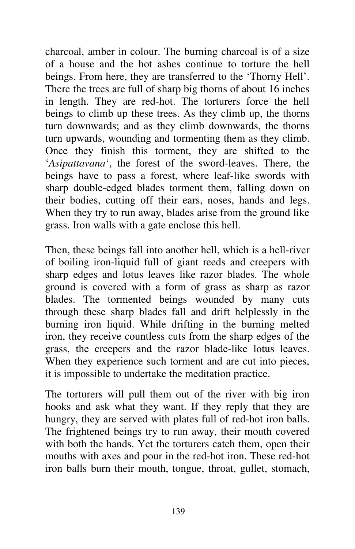charcoal, amber in colour. The burning charcoal is of a size of a house and the hot ashes continue to torture the hell beings. From here, they are transferred to the 'Thorny Hell'. There the trees are full of sharp big thorns of about 16 inches in length. They are red-hot. The torturers force the hell beings to climb up these trees. As they climb up, the thorns turn downwards; and as they climb downwards, the thorns turn upwards, wounding and tormenting them as they climb. Once they finish this torment, they are shifted to the '*Asipattavana*', the forest of the sword-leaves. There, the beings have to pass a forest, where leaf-like swords with sharp double-edged blades torment them, falling down on their bodies, cutting off their ears, noses, hands and legs. When they try to run away, blades arise from the ground like grass. Iron walls with a gate enclose this hell.

Then, these beings fall into another hell, which is a hell-river of boiling iron-liquid full of giant reeds and creepers with sharp edges and lotus leaves like razor blades. The whole ground is covered with a form of grass as sharp as razor blades. The tormented beings wounded by many cuts through these sharp blades fall and drift helplessly in the burning iron liquid. While drifting in the burning melted iron, they receive countless cuts from the sharp edges of the grass, the creepers and the razor blade-like lotus leaves. When they experience such torment and are cut into pieces, it is impossible to undertake the meditation practice.

The torturers will pull them out of the river with big iron hooks and ask what they want. If they reply that they are hungry, they are served with plates full of red-hot iron balls. The frightened beings try to run away, their mouth covered with both the hands. Yet the torturers catch them, open their mouths with axes and pour in the red-hot iron. These red-hot iron balls burn their mouth, tongue, throat, gullet, stomach,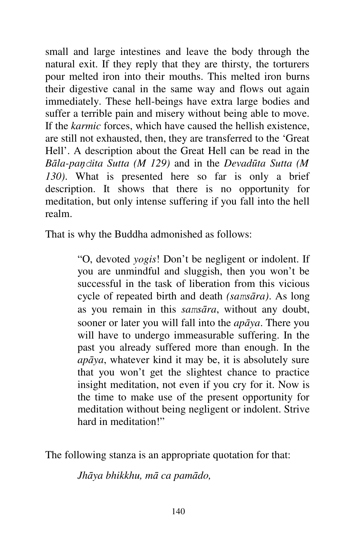small and large intestines and leave the body through the natural exit. If they reply that they are thirsty, the torturers pour melted iron into their mouths. This melted iron burns their digestive canal in the same way and flows out again immediately. These hell-beings have extra large bodies and suffer a terrible pain and misery without being able to move. If the *karmic* forces, which have caused the hellish existence, are still not exhausted, then, they are transferred to the 'Great Hell'. A description about the Great Hell can be read in the *Bāla-paņdita Sutta (M 129)* and in the *Devadūta Sutta (M 130)*. What is presented here so far is only a brief description. It shows that there is no opportunity for meditation, but only intense suffering if you fall into the hell realm.

That is why the Buddha admonished as follows:

"O, devoted *yogis*! Don't be negligent or indolent. If you are unmindful and sluggish, then you won't be successful in the task of liberation from this vicious cycle of repeated birth and death *(samsāra)*. As long as you remain in this *samsāra*, without any doubt, sooner or later you will fall into the *apāya*. There you will have to undergo immeasurable suffering. In the past you already suffered more than enough. In the *apāya*, whatever kind it may be, it is absolutely sure that you won't get the slightest chance to practice insight meditation, not even if you cry for it. Now is the time to make use of the present opportunity for meditation without being negligent or indolent. Strive hard in meditation!"

The following stanza is an appropriate quotation for that:

*Jhāya bhikkhu, mā ca pamādo,*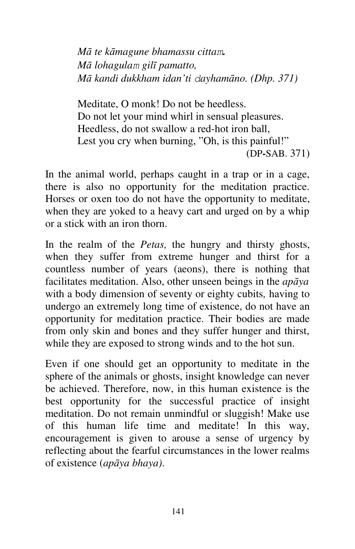*Mā te kāmagune bhamassu cittam. Mā lohagulam gilī pamatto, Mā kandi dukkham idan'ti dayhamāno. (Dhp. 371)*

Meditate, O monk! Do not be heedless. Do not let your mind whirl in sensual pleasures. Heedless, do not swallow a red-hot iron ball, Lest you cry when burning, "Oh, is this painful!" (DP**-**SAB. 371)

In the animal world, perhaps caught in a trap or in a cage, there is also no opportunity for the meditation practice. Horses or oxen too do not have the opportunity to meditate, when they are yoked to a heavy cart and urged on by a whip or a stick with an iron thorn.

In the realm of the *Petas,* the hungry and thirsty ghosts, when they suffer from extreme hunger and thirst for a countless number of years (aeons), there is nothing that facilitates meditation. Also, other unseen beings in the *apāya*  with a body dimension of seventy or eighty cubits*,* having to undergo an extremely long time of existence, do not have an opportunity for meditation practice. Their bodies are made from only skin and bones and they suffer hunger and thirst, while they are exposed to strong winds and to the hot sun.

Even if one should get an opportunity to meditate in the sphere of the animals or ghosts, insight knowledge can never be achieved. Therefore, now, in this human existence is the best opportunity for the successful practice of insight meditation. Do not remain unmindful or sluggish! Make use of this human life time and meditate! In this way, encouragement is given to arouse a sense of urgency by reflecting about the fearful circumstances in the lower realms of existence (*apāya bhaya)*.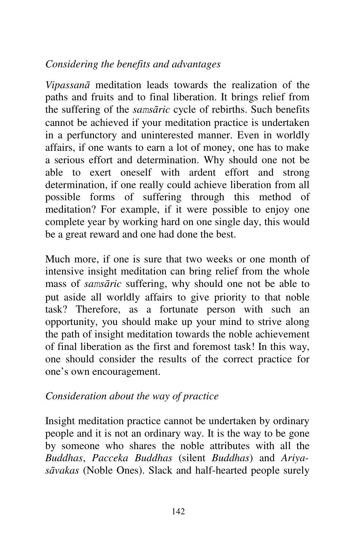# *Considering the benefits and advantages*

*Vipassanā* meditation leads towards the realization of the paths and fruits and to final liberation. It brings relief from the suffering of the *samsāric* cycle of rebirths. Such benefits cannot be achieved if your meditation practice is undertaken in a perfunctory and uninterested manner. Even in worldly affairs, if one wants to earn a lot of money, one has to make a serious effort and determination. Why should one not be able to exert oneself with ardent effort and strong determination, if one really could achieve liberation from all possible forms of suffering through this method of meditation? For example, if it were possible to enjoy one complete year by working hard on one single day, this would be a great reward and one had done the best.

Much more, if one is sure that two weeks or one month of intensive insight meditation can bring relief from the whole mass of *samsāric* suffering, why should one not be able to put aside all worldly affairs to give priority to that noble task? Therefore, as a fortunate person with such an opportunity, you should make up your mind to strive along the path of insight meditation towards the noble achievement of final liberation as the first and foremost task! In this way, one should consider the results of the correct practice for one's own encouragement.

### *Consideration about the way of practice*

Insight meditation practice cannot be undertaken by ordinary people and it is not an ordinary way. It is the way to be gone by someone who shares the noble attributes with all the *Buddhas*, *Pacceka Buddhas* (silent *Buddhas*) and *Ariyasāvakas* (Noble Ones). Slack and half-hearted people surely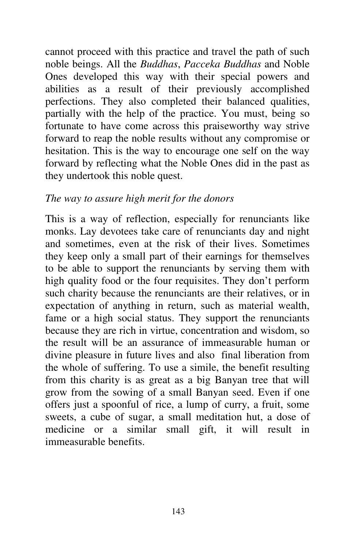cannot proceed with this practice and travel the path of such noble beings. All the *Buddhas*, *Pacceka Buddhas* and Noble Ones developed this way with their special powers and abilities as a result of their previously accomplished perfections. They also completed their balanced qualities, partially with the help of the practice. You must, being so fortunate to have come across this praiseworthy way strive forward to reap the noble results without any compromise or hesitation. This is the way to encourage one self on the way forward by reflecting what the Noble Ones did in the past as they undertook this noble quest.

### *The way to assure high merit for the donors*

This is a way of reflection, especially for renunciants like monks. Lay devotees take care of renunciants day and night and sometimes, even at the risk of their lives. Sometimes they keep only a small part of their earnings for themselves to be able to support the renunciants by serving them with high quality food or the four requisites. They don't perform such charity because the renunciants are their relatives, or in expectation of anything in return, such as material wealth, fame or a high social status. They support the renunciants because they are rich in virtue, concentration and wisdom, so the result will be an assurance of immeasurable human or divine pleasure in future lives and also final liberation from the whole of suffering. To use a simile, the benefit resulting from this charity is as great as a big Banyan tree that will grow from the sowing of a small Banyan seed. Even if one offers just a spoonful of rice, a lump of curry, a fruit, some sweets, a cube of sugar, a small meditation hut, a dose of medicine or a similar small gift, it will result in immeasurable benefits.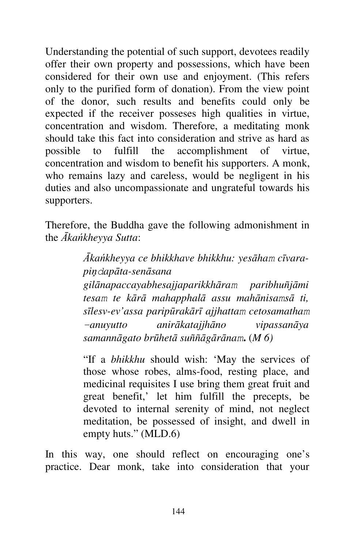Understanding the potential of such support, devotees readily offer their own property and possessions, which have been considered for their own use and enjoyment. (This refers only to the purified form of donation). From the view point of the donor, such results and benefits could only be expected if the receiver posseses high qualities in virtue, concentration and wisdom. Therefore, a meditating monk should take this fact into consideration and strive as hard as possible to fulfill the accomplishment of virtue, concentration and wisdom to benefit his supporters. A monk, who remains lazy and careless, would be negligent in his duties and also uncompassionate and ungrateful towards his supporters.

Therefore, the Buddha gave the following admonishment in the *Ākańkheyya Sutta*:

> *Ākańkheyya ce bhikkhave bhikkhu: yesāham cīvarapiņdapāta-senāsana gilānapaccayabhesajjaparikkhāram paribhuñjāmi tesam te kārā mahapphalā assu mahānisamsā ti, sīlesv-ev'assa paripūrakārī ajjhattam cetosamatham -anuyutto anirākatajjhāno vipassanāya samannāgato brūhetā suññāgārānam***.** (*M 6)*

> "If a *bhikkhu* should wish: 'May the services of those whose robes, alms-food, resting place, and medicinal requisites I use bring them great fruit and great benefit,' let him fulfill the precepts, be devoted to internal serenity of mind, not neglect meditation, be possessed of insight, and dwell in empty huts." (MLD.6)

In this way, one should reflect on encouraging one's practice. Dear monk, take into consideration that your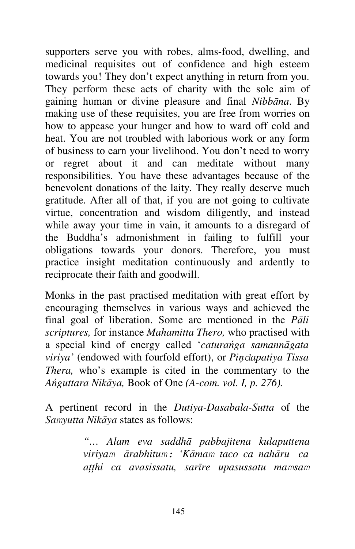supporters serve you with robes, alms-food, dwelling, and medicinal requisites out of confidence and high esteem towards you! They don't expect anything in return from you. They perform these acts of charity with the sole aim of gaining human or divine pleasure and final *Nibbāna*. By making use of these requisites, you are free from worries on how to appease your hunger and how to ward off cold and heat. You are not troubled with laborious work or any form of business to earn your livelihood. You don't need to worry or regret about it and can meditate without many responsibilities. You have these advantages because of the benevolent donations of the laity. They really deserve much gratitude. After all of that, if you are not going to cultivate virtue, concentration and wisdom diligently, and instead while away your time in vain, it amounts to a disregard of the Buddha's admonishment in failing to fulfill your obligations towards your donors. Therefore, you must practice insight meditation continuously and ardently to reciprocate their faith and goodwill.

Monks in the past practised meditation with great effort by encouraging themselves in various ways and achieved the final goal of liberation. Some are mentioned in the *Pāli scriptures,* for instance *Mahamitta Thero,* who practised with a special kind of energy called '*caturańga samannāgata viriya'* (endowed with fourfold effort), or *Piņdapatiya Tissa Thera,* who's example is cited in the commentary to the *Ańguttara Nikāya,* Book of One *(A-com. vol. I, p. 276).*

A pertinent record in the *Dutiya-Dasabala-Sutta* of the *Samyutta Nikāya* states as follows:

> *"… Alam eva saddhā pabbajitena kulaputtena viriyam ārabhitum: 'Kāmam taco ca nahāru ca aţţhi ca avasissatu, sarīre upasussatu mamsam*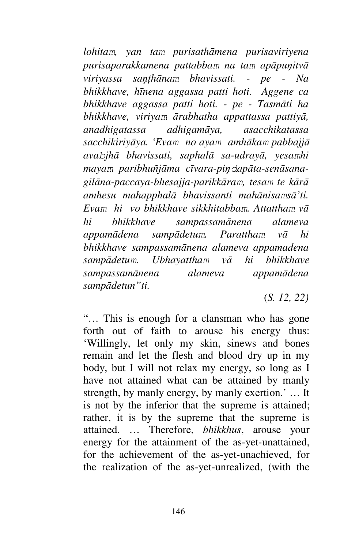*lohitam, yan tam purisathāmena purisaviriyena purisaparakkamena pattabbam na tam apāpuņitvā viriyassa saņţhānam bhavissati. - pe - Na bhikkhave, hīnena aggassa patti hoti. Aggene ca bhikkhave aggassa patti hoti. - pe - Tasmāti ha bhikkhave, viriyam ārabhatha appattassa pattiyā, anadhigatassa adhigamāya, asacchikatassa sacchikiriyāya. 'Evam no ayam amhākam pabbajjā avabjhā bhavissati, saphalā sa-udrayā, yesamhi mayam paribhuñjāma cīvara-piņdapāta-senāsanagilāna-paccaya-bhesajja-parikkāram, tesam te kārā amhesu mahapphalā bhavissanti mahānisamsā'ti. Evam hi vo bhikkhave sikkhitabbam. Attattham vā hi bhikkhave sampassamānena alameva appamādena sampādetum. Parattham vā hi bhikkhave sampassamānena alameva appamadena sampādetum. Ubhayattham vā hi bhikkhave sampassamānena alameva appamādena sampādetun"ti.*

(*S. 12, 22)*

"… This is enough for a clansman who has gone forth out of faith to arouse his energy thus: 'Willingly, let only my skin, sinews and bones remain and let the flesh and blood dry up in my body, but I will not relax my energy, so long as I have not attained what can be attained by manly strength, by manly energy, by manly exertion.' … It is not by the inferior that the supreme is attained; rather, it is by the supreme that the supreme is attained. … Therefore, *bhikkhus*, arouse your energy for the attainment of the as-yet-unattained, for the achievement of the as-yet-unachieved, for the realization of the as-yet-unrealized, (with the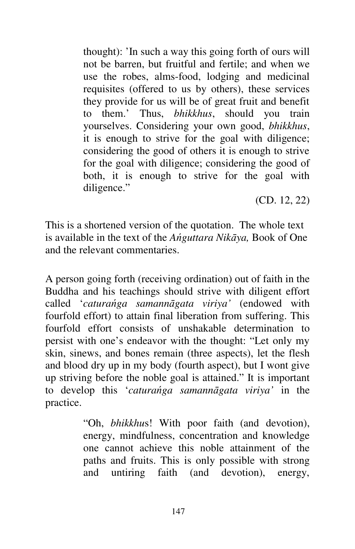thought): 'In such a way this going forth of ours will not be barren, but fruitful and fertile; and when we use the robes, alms-food, lodging and medicinal requisites (offered to us by others), these services they provide for us will be of great fruit and benefit to them.' Thus, *bhikkhus*, should you train yourselves. Considering your own good, *bhikkhus*, it is enough to strive for the goal with diligence; considering the good of others it is enough to strive for the goal with diligence; considering the good of both, it is enough to strive for the goal with diligence."

(CD. 12, 22)

This is a shortened version of the quotation. The whole text is available in the text of the *Ańguttara Nikāya,* Book of One and the relevant commentaries.

A person going forth (receiving ordination) out of faith in the Buddha and his teachings should strive with diligent effort called '*caturańga samannāgata viriya'* (endowed with fourfold effort) to attain final liberation from suffering. This fourfold effort consists of unshakable determination to persist with one's endeavor with the thought: "Let only my skin, sinews, and bones remain (three aspects), let the flesh and blood dry up in my body (fourth aspect), but I wont give up striving before the noble goal is attained." It is important to develop this '*caturańga samannāgata viriya'* in the practice.

> "Oh, *bhikkhu*s! With poor faith (and devotion), energy, mindfulness, concentration and knowledge one cannot achieve this noble attainment of the paths and fruits. This is only possible with strong and untiring faith (and devotion), energy,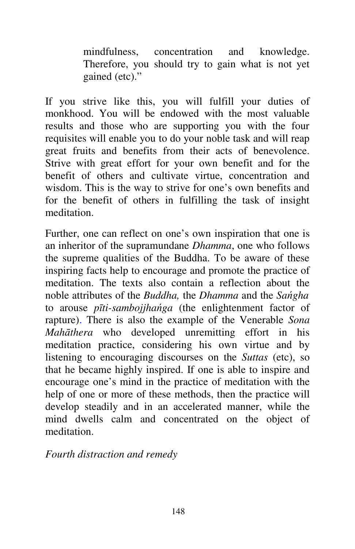mindfulness, concentration and knowledge. Therefore, you should try to gain what is not yet gained (etc)."

If you strive like this, you will fulfill your duties of monkhood. You will be endowed with the most valuable results and those who are supporting you with the four requisites will enable you to do your noble task and will reap great fruits and benefits from their acts of benevolence. Strive with great effort for your own benefit and for the benefit of others and cultivate virtue, concentration and wisdom. This is the way to strive for one's own benefits and for the benefit of others in fulfilling the task of insight meditation.

Further, one can reflect on one's own inspiration that one is an inheritor of the supramundane *Dhamma*, one who follows the supreme qualities of the Buddha. To be aware of these inspiring facts help to encourage and promote the practice of meditation. The texts also contain a reflection about the noble attributes of the *Buddha,* the *Dhamma* and the *Sańgha*  to arouse *pīti-sambojjhańga* (the enlightenment factor of rapture). There is also the example of the Venerable *Sona Mahāthera* who developed unremitting effort in his meditation practice, considering his own virtue and by listening to encouraging discourses on the *Suttas* (etc), so that he became highly inspired. If one is able to inspire and encourage one's mind in the practice of meditation with the help of one or more of these methods, then the practice will develop steadily and in an accelerated manner, while the mind dwells calm and concentrated on the object of meditation.

*Fourth distraction and remedy*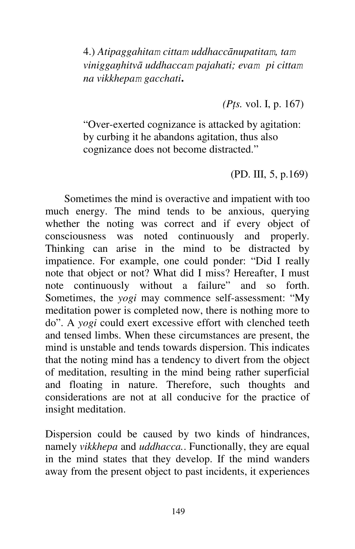4.) *Atipaggahitam cittam uddhaccānupatitam, tam viniggaņhitvā uddhaccam pajahati; evam pi cittam na vikkhepam gacchati***.**

*(Pţs.* vol. I, p. 167)

"Over-exerted cognizance is attacked by agitation: by curbing it he abandons agitation, thus also cognizance does not become distracted."

(PD. III, 5, p.169)

Sometimes the mind is overactive and impatient with too much energy. The mind tends to be anxious, querying whether the noting was correct and if every object of consciousness was noted continuously and properly. Thinking can arise in the mind to be distracted by impatience. For example, one could ponder: "Did I really note that object or not? What did I miss? Hereafter, I must note continuously without a failure" and so forth. Sometimes, the *yogi* may commence self-assessment: "My meditation power is completed now, there is nothing more to do". A *yogi* could exert excessive effort with clenched teeth and tensed limbs. When these circumstances are present, the mind is unstable and tends towards dispersion. This indicates that the noting mind has a tendency to divert from the object of meditation, resulting in the mind being rather superficial and floating in nature. Therefore, such thoughts and considerations are not at all conducive for the practice of insight meditation.

Dispersion could be caused by two kinds of hindrances, namely *vikkhepa* and *uddhacca.*. Functionally, they are equal in the mind states that they develop. If the mind wanders away from the present object to past incidents, it experiences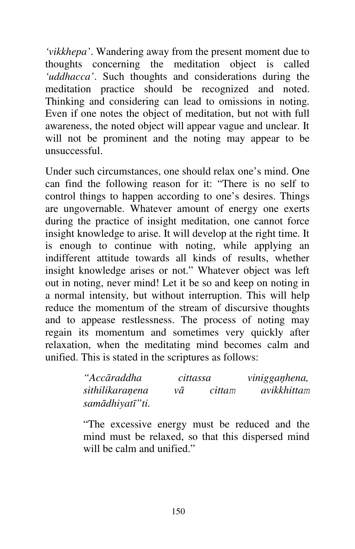*'vikkhepa'*. Wandering away from the present moment due to thoughts concerning the meditation object is called *'uddhacca'*. Such thoughts and considerations during the meditation practice should be recognized and noted. Thinking and considering can lead to omissions in noting. Even if one notes the object of meditation, but not with full awareness, the noted object will appear vague and unclear. It will not be prominent and the noting may appear to be unsuccessful.

Under such circumstances, one should relax one's mind. One can find the following reason for it: "There is no self to control things to happen according to one's desires. Things are ungovernable. Whatever amount of energy one exerts during the practice of insight meditation, one cannot force insight knowledge to arise. It will develop at the right time. It is enough to continue with noting, while applying an indifferent attitude towards all kinds of results, whether insight knowledge arises or not." Whatever object was left out in noting, never mind! Let it be so and keep on noting in a normal intensity, but without interruption. This will help reduce the momentum of the stream of discursive thoughts and to appease restlessness. The process of noting may regain its momentum and sometimes very quickly after relaxation, when the meditating mind becomes calm and unified. This is stated in the scriptures as follows:

| "Accāraddha      | cittassa |        | vinigganhena, |
|------------------|----------|--------|---------------|
| sithilikaranena  | νā       | cittam | avikkhittam   |
| samādhiyatī" ti. |          |        |               |

"The excessive energy must be reduced and the mind must be relaxed, so that this dispersed mind will be calm and unified."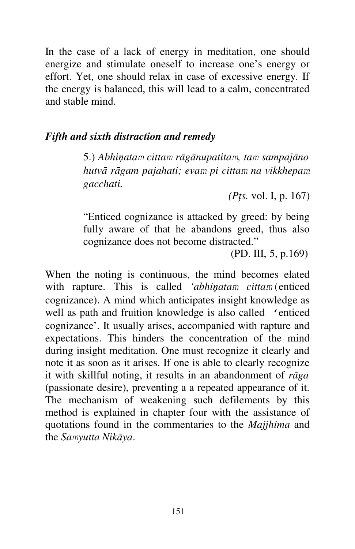In the case of a lack of energy in meditation, one should energize and stimulate oneself to increase one's energy or effort. Yet, one should relax in case of excessive energy. If the energy is balanced, this will lead to a calm, concentrated and stable mind.

#### *Fifth and sixth distraction and remedy*

5.) *Abhiņatam cittam rāgānupatitam, tam sampajāno hutvā rāgam pajahati; evam pi cittam na vikkhepam gacchati.*

*(Pţs.* vol. I, p. 167)

"Enticed cognizance is attacked by greed: by being fully aware of that he abandons greed, thus also cognizance does not become distracted."

(PD. III, 5, p.169)

When the noting is continuous, the mind becomes elated with rapture. This is called *'abhiņatam cittam*(enticed cognizance). A mind which anticipates insight knowledge as well as path and fruition knowledge is also called 'enticed cognizance'. It usually arises, accompanied with rapture and expectations. This hinders the concentration of the mind during insight meditation. One must recognize it clearly and note it as soon as it arises. If one is able to clearly recognize it with skillful noting, it results in an abandonment of *rāga*  (passionate desire), preventing a a repeated appearance of it. The mechanism of weakening such defilements by this method is explained in chapter four with the assistance of quotations found in the commentaries to the *Majjhima* and the *Samyutta Nikāya*.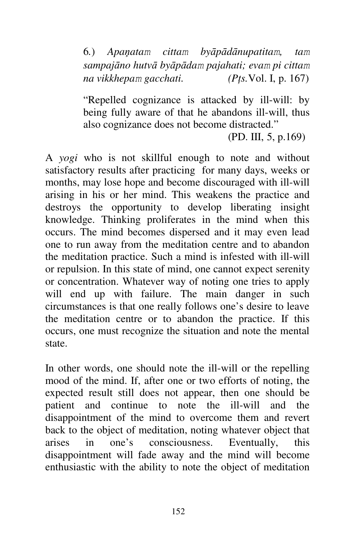6*.*) *Apaņatam cittam byāpādānupatitam, tam sampajāno hutvā byāpādam pajahati; evam pi cittam na vikkhepam gacchati. (Pţs.*Vol. I, p. 167)

"Repelled cognizance is attacked by ill-will: by being fully aware of that he abandons ill-will, thus also cognizance does not become distracted."

(PD. III, 5, p.169)

A *yogi* who is not skillful enough to note and without satisfactory results after practicing for many days, weeks or months, may lose hope and become discouraged with ill-will arising in his or her mind. This weakens the practice and destroys the opportunity to develop liberating insight knowledge. Thinking proliferates in the mind when this occurs. The mind becomes dispersed and it may even lead one to run away from the meditation centre and to abandon the meditation practice. Such a mind is infested with ill-will or repulsion. In this state of mind, one cannot expect serenity or concentration. Whatever way of noting one tries to apply will end up with failure. The main danger in such circumstances is that one really follows one's desire to leave the meditation centre or to abandon the practice. If this occurs, one must recognize the situation and note the mental state.

In other words, one should note the ill-will or the repelling mood of the mind. If, after one or two efforts of noting, the expected result still does not appear, then one should be patient and continue to note the ill-will and the disappointment of the mind to overcome them and revert back to the object of meditation, noting whatever object that arises in one's consciousness. Eventually, this disappointment will fade away and the mind will become enthusiastic with the ability to note the object of meditation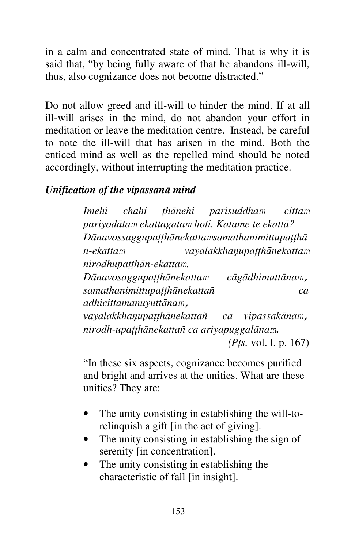in a calm and concentrated state of mind. That is why it is said that, "by being fully aware of that he abandons ill-will, thus, also cognizance does not become distracted."

Do not allow greed and ill-will to hinder the mind. If at all ill-will arises in the mind, do not abandon your effort in meditation or leave the meditation centre. Instead, be careful to note the ill-will that has arisen in the mind. Both the enticed mind as well as the repelled mind should be noted accordingly, without interrupting the meditation practice.

### *Unification of the vipassanā mind*

*Imehi chahi ţhānehi parisuddham cittam pariyodātam ekattagatam hoti. Katame te ekattā? Dānavossaggupaţţhānekattamsamathanimittupaţţhā n-ekattam vayalakkhaņupaţţhānekattam nirodhupaţţhān-ekattam. Dānavosaggupaţţhānekattam cāgādhimuttānam, samathanimittupaţţhānekattañ ca adhicittamanuyuttānam, vayalakkhaņupaţţhānekattañ ca vipassakānam, nirodh-upaţţhānekattañ ca ariyapuggalānam***.** *(Pţs.* vol. I, p. 167)

"In these six aspects, cognizance becomes purified and bright and arrives at the unities. What are these unities? They are:

- The unity consisting in establishing the will-torelinquish a gift [in the act of giving].
- The unity consisting in establishing the sign of serenity [in concentration].
- The unity consisting in establishing the characteristic of fall [in insight].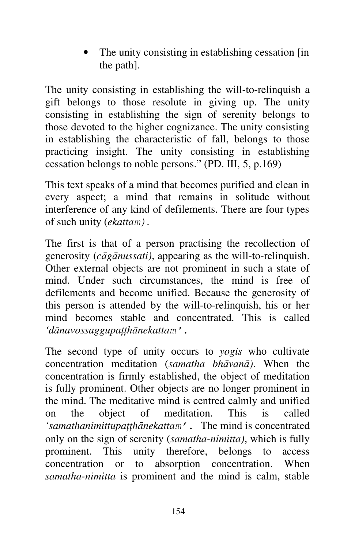The unity consisting in establishing cessation [in] the path].

The unity consisting in establishing the will-to-relinquish a gift belongs to those resolute in giving up. The unity consisting in establishing the sign of serenity belongs to those devoted to the higher cognizance. The unity consisting in establishing the characteristic of fall, belongs to those practicing insight. The unity consisting in establishing cessation belongs to noble persons." (PD. III, 5, p.169)

This text speaks of a mind that becomes purified and clean in every aspect; a mind that remains in solitude without interference of any kind of defilements. There are four types of such unity (*ekattam)*.

The first is that of a person practising the recollection of generosity (*cāgānussati)*, appearing as the will-to-relinquish. Other external objects are not prominent in such a state of mind. Under such circumstances, the mind is free of defilements and become unified. Because the generosity of this person is attended by the will-to-relinquish, his or her mind becomes stable and concentrated. This is called *'dānavossaggupaţţhānekattam'*.

The second type of unity occurs to *yogis* who cultivate concentration meditation (*samatha bhāvanā)*. When the concentration is firmly established, the object of meditation is fully prominent. Other objects are no longer prominent in the mind. The meditative mind is centred calmly and unified on the object of meditation. This is called *'samathanimittupaţţhānekattam'*. The mind is concentrated only on the sign of serenity (*samatha-nimitta)*, which is fully prominent. This unity therefore, belongs to access concentration or to absorption concentration. When *samatha-nimitta* is prominent and the mind is calm, stable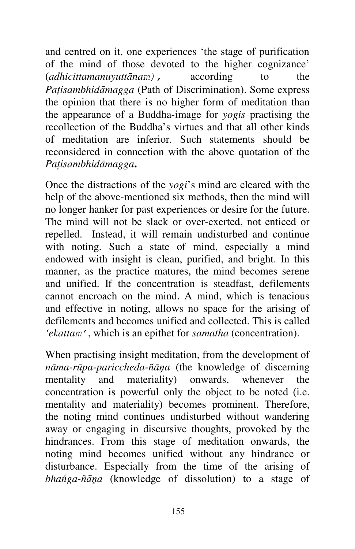and centred on it, one experiences 'the stage of purification of the mind of those devoted to the higher cognizance' (*adhicittamanuyuttānam),* according to the *Paţisambhidāmagga* (Path of Discrimination). Some express the opinion that there is no higher form of meditation than the appearance of a Buddha-image for *yogis* practising the recollection of the Buddha's virtues and that all other kinds of meditation are inferior. Such statements should be reconsidered in connection with the above quotation of the *Paţisambhidāmagga***.**

Once the distractions of the *yogi*'s mind are cleared with the help of the above-mentioned six methods, then the mind will no longer hanker for past experiences or desire for the future. The mind will not be slack or over-exerted, not enticed or repelled. Instead, it will remain undisturbed and continue with noting. Such a state of mind, especially a mind endowed with insight is clean, purified, and bright. In this manner, as the practice matures, the mind becomes serene and unified. If the concentration is steadfast, defilements cannot encroach on the mind. A mind, which is tenacious and effective in noting, allows no space for the arising of defilements and becomes unified and collected. This is called *'ekattam'*, which is an epithet for *samatha* (concentration).

When practising insight meditation, from the development of *nāma-rūpa-pariccheda-ñāņa* (the knowledge of discerning mentality and materiality) onwards, whenever the concentration is powerful only the object to be noted (i.e. mentality and materiality) becomes prominent. Therefore, the noting mind continues undisturbed without wandering away or engaging in discursive thoughts, provoked by the hindrances. From this stage of meditation onwards, the noting mind becomes unified without any hindrance or disturbance. Especially from the time of the arising of *bhańga-ñāņa* (knowledge of dissolution) to a stage of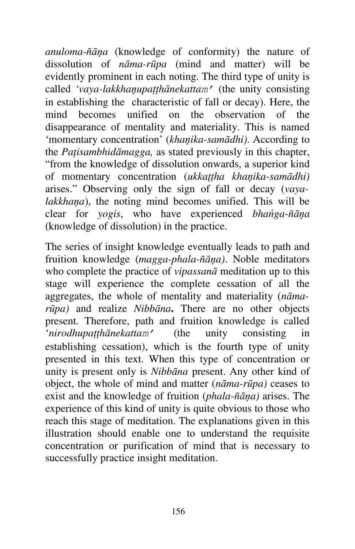*anuloma-ñāņa* (knowledge of conformity) the nature of dissolution of *nāma-rūpa* (mind and matter) will be evidently prominent in each noting. The third type of unity is called *'vaya-lakkhaņupaţţhānekattam'* (the unity consisting in establishing the characteristic of fall or decay). Here, the mind becomes unified on the observation of the disappearance of mentality and materiality. This is named 'momentary concentration' (*khaņika-samādhi)*. According to the *Paţisambhidāmagga,* as stated previously in this chapter, "from the knowledge of dissolution onwards, a superior kind of momentary concentration (*ukkaţţha khaņika-samādhi)*  arises." Observing only the sign of fall or decay (*vayalakkhaņa*), the noting mind becomes unified. This will be clear for *yogis*, who have experienced *bhańga-ñāņa*  (knowledge of dissolution) in the practice.

The series of insight knowledge eventually leads to path and fruition knowledge (*magga-phala-ñāņa)*. Noble meditators who complete the practice of *vipassanā* meditation up to this stage will experience the complete cessation of all the aggregates, the whole of mentality and materiality (*nāmarūpa)* and realize *Nibbāna***.** There are no other objects present. Therefore, path and fruition knowledge is called '*nirodhupaţţhānekattam'* (the unity consisting in establishing cessation), which is the fourth type of unity presented in this text. When this type of concentration or unity is present only is *Nibbāna* present. Any other kind of object, the whole of mind and matter (*nāma-rūpa)* ceases to exist and the knowledge of fruition (*phala-ñāņa)* arises. The experience of this kind of unity is quite obvious to those who reach this stage of meditation. The explanations given in this illustration should enable one to understand the requisite concentration or purification of mind that is necessary to successfully practice insight meditation.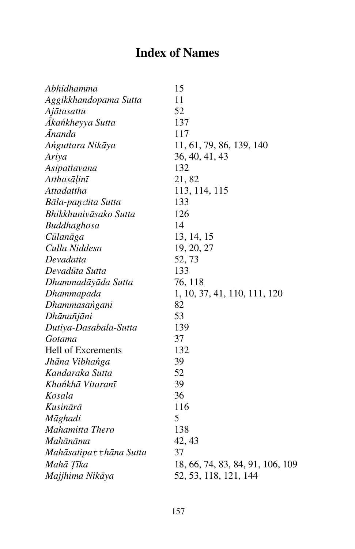# **Index of Names**

| Abhidhamma                          | 15                               |
|-------------------------------------|----------------------------------|
| Aggikkhandopama Sutta               | 11                               |
| Ajātasattu                          | 52                               |
| Ākańkheyya Sutta                    | 137                              |
| Ānanda                              | 117                              |
| Ańguttara Nikāya                    | 11, 61, 79, 86, 139, 140         |
| Ariya                               | 36, 40, 41, 43                   |
| Asipattavana                        | 132                              |
| Atthasāḷinī                         | 21,82                            |
| Attadattha                          | 113, 114, 115                    |
| Bāla-paņ∂ita Sutta                  | 133                              |
| Bhikkhunivāsako Sutta               | 126                              |
| Buddhaghosa                         | 14                               |
| Cūlanāga                            | 13, 14, 15                       |
| Culla Niddesa                       | 19, 20, 27                       |
| Devadatta                           | 52, 73                           |
| Devadūta Sutta                      | 133                              |
| Dhammadāyāda Sutta                  | 76, 118                          |
| Dhammapada                          | 1, 10, 37, 41, 110, 111, 120     |
| Dhammasańgani                       | 82                               |
| Dhānañjāni                          | 53                               |
| Dutiya-Dasabala-Sutta               | 139                              |
| Gotama                              | 37                               |
| Hell of Excrements                  | 132                              |
| Jhāna Vibhańga                      | 39                               |
| Kandaraka Sutta                     | 52                               |
| Khańkhā Vitaranī                    | 39                               |
| Kosala                              | 36                               |
| Kusinārā                            | 116                              |
| Māghadi                             | 5                                |
| Mahamitta Thero                     | 138                              |
| Mahānāma                            | 42, 43                           |
| Mahāsatipa <del>L</del> thāna Sutta | 37                               |
| Mahā Țīka                           | 18, 66, 74, 83, 84, 91, 106, 109 |
| Majjhima Nikāya                     | 52, 53, 118, 121, 144            |
|                                     |                                  |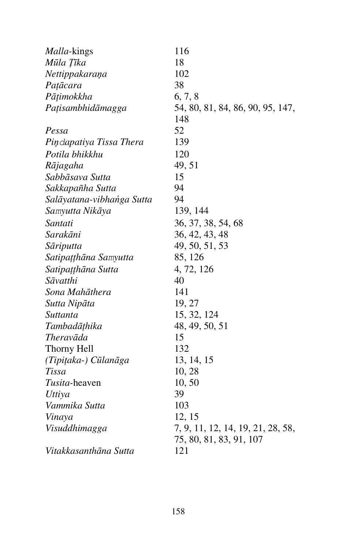| <i>Malla-kings</i>        | 116                               |
|---------------------------|-----------------------------------|
| Mūla Tīka                 | 18                                |
| Nettippakaraņa            | 102                               |
| Pațācara                  | 38                                |
| Pāṭimokkha                | 6, 7, 8                           |
| Pațisambhidāmagga         | 54, 80, 81, 84, 86, 90, 95, 147,  |
|                           | 148                               |
| Pessa                     | 52                                |
| Pindapatiya Tissa Thera   | 139                               |
| Potila bhikkhu            | 120                               |
| Rājagaha                  | 49, 51                            |
| Sabbāsava Sutta           | 15                                |
| Sakkapañha Sutta          | 94                                |
| Salāyatana-vibhańga Sutta | 94                                |
| Samyutta Nikāya           | 139, 144                          |
| Santati                   | 36, 37, 38, 54, 68                |
| Sarakāni                  | 36, 42, 43, 48                    |
| Sāriputta                 | 49, 50, 51, 53                    |
| Satipațțhāna Samyutta     | 85, 126                           |
| Satipațțhāna Sutta        | 4, 72, 126                        |
| Sāvatthi                  | 40                                |
| Sona Mahāthera            | 141                               |
| Sutta Nipāta              | 19, 27                            |
| Suttanta                  | 15, 32, 124                       |
| Tambadāțhika              | 48, 49, 50, 51                    |
| Theravāda                 | 15                                |
| Thorny Hell               | 132                               |
| (Tipițaka-) Cūlanāga      | 13, 14, 15                        |
| Tissa                     | 10, 28                            |
| Tusita-heaven             | 10,50                             |
| Uttiya                    | 39                                |
| Vammika Sutta             | 103                               |
| Vinaya                    | 12, 15                            |
| Visuddhimagga             | 7, 9, 11, 12, 14, 19, 21, 28, 58, |
|                           | 75, 80, 81, 83, 91, 107           |
| Vitakkasanthāna Sutta     | 121                               |
|                           |                                   |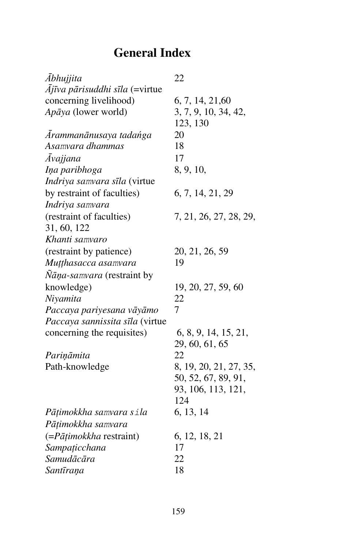# **General Index**

| Ābhujjita                                    | 22                     |
|----------------------------------------------|------------------------|
| $\overline{A}$ jīva pārisuddhi sīla (=virtue |                        |
| concerning livelihood)                       | 6, 7, 14, 21,60        |
| Apāya (lower world)                          | 3, 7, 9, 10, 34, 42,   |
|                                              | 123, 130               |
| Ārammanānusaya tadańga                       | 20                     |
| Asamvara dhammas                             | 18                     |
| Āvajjana                                     | 17                     |
| Iņa paribhoga                                | 8, 9, 10,              |
| Indriya samvara sīla (virtue                 |                        |
| by restraint of faculties)                   | 6, 7, 14, 21, 29       |
| Indriya samvara                              |                        |
| (restraint of faculties)                     | 7, 21, 26, 27, 28, 29, |
| 31, 60, 122                                  |                        |
| Khanti samvaro                               |                        |
| (restraint by patience)                      | 20, 21, 26, 59         |
| Muțțhasacca asamvara                         | 19                     |
| <i>Nāņa-samvara</i> (restraint by            |                        |
| knowledge)                                   | 19, 20, 27, 59, 60     |
| Niyamita                                     | 22                     |
| Paccaya pariyesana vāyāmo                    | 7                      |
| Paccaya sannissita sīla (virtue              |                        |
| concerning the requisites)                   | 6, 8, 9, 14, 15, 21,   |
|                                              | 29, 60, 61, 65         |
| Pariņāmita                                   | 22                     |
| Path-knowledge                               | 8, 19, 20, 21, 27, 35, |
|                                              | 50, 52, 67, 89, 91,    |
|                                              | 93, 106, 113, 121,     |
|                                              | 124                    |
| Pāțimokkha samvara sila                      | 6, 13, 14              |
| Pāțimokkha samvara                           |                        |
| $(=\rho \bar{a} \bar{t}$ imokkha restraint)  | 6, 12, 18, 21          |
| Sampațicchana                                | 17                     |
| Samudācāra                                   | 22                     |
| Santīraņa                                    | 18                     |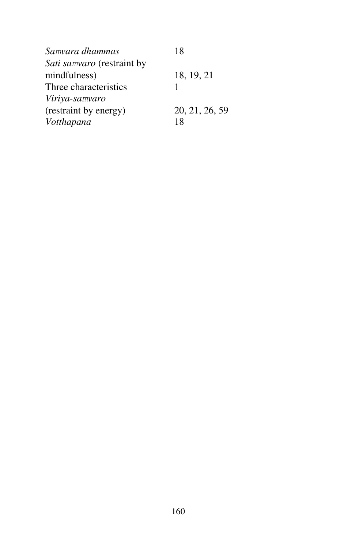| Samvara dhammas            | 18             |
|----------------------------|----------------|
| Sati samvaro (restraint by |                |
| mindfulness)               | 18, 19, 21     |
| Three characteristics      |                |
| Viriya-samvaro             |                |
| (restraint by energy)      | 20, 21, 26, 59 |
| Votthapana                 | 18             |
|                            |                |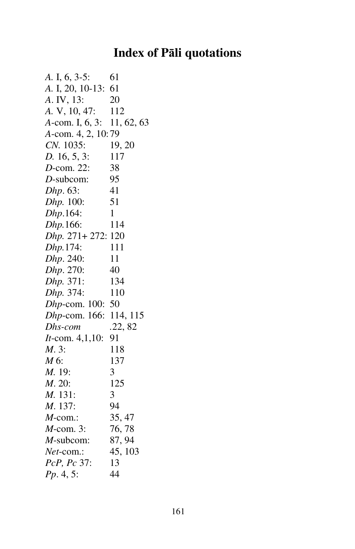### **Index of Pāli quotations**

*A.* I, 6, 3-5: 61 *A.* I, 20, 10-13: 61 *A*. IV, 13: 20 *A.* V, 10, 47: 112 *A*-com. I, 6, 3: 11, 62, 63 *A*-com. 4, 2, 10:79 *CN.* 1035: 19, 20 *D.* 16, 5, 3: 117 *D*-com. 22: 38 *D*-subcom: 95 *Dhp*. 63: 41 *Dhp.* 100: 51 *Dhp*.164: 1 *Dhp.*166: 114 *Dhp.* 271+ 272: 120 *Dhp.*174: 111 *Dhp.* 240: 11 *Dhp*. 270: 40 *Dhp.* 371: 134 *Dhp.* 374: 110 *Dhp*-com. 100: 50 *Dhp*-com. 166: 114, 115 *Dhs-com .*22, 82 *It*-com. 4,1,10: 91 *M*. 3: 118 *M* 6: 137 *M.* 19: 3 *M*. 20: 125 *M.* 131: 3 *M*. 137: 94 *M*-com.: 35, 47 *M*-com. 3: 76, 78 *M*-subcom: 87, 94 *Net*-com.: 45, 103 *PcP, Pc* 37: 13 *Pp*. 4, 5: 44